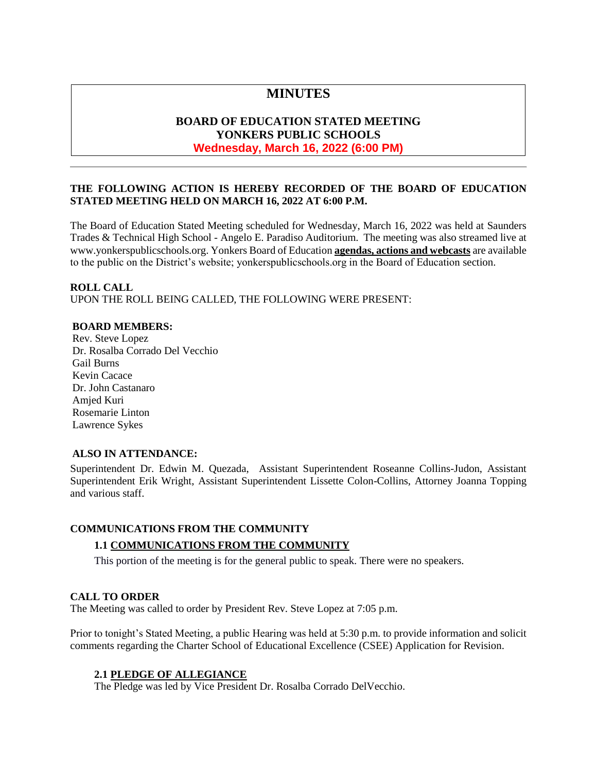# **MINUTES**

# **BOARD OF EDUCATION STATED MEETING YONKERS PUBLIC SCHOOLS Wednesday, March 16, 2022 (6:00 PM)**

# **THE FOLLOWING ACTION IS HEREBY RECORDED OF THE BOARD OF EDUCATION STATED MEETING HELD ON MARCH 16, 2022 AT 6:00 P.M.**

The Board of Education Stated Meeting scheduled for Wednesday, March 16, 2022 was held at Saunders Trades & Technical High School - Angelo E. Paradiso Auditorium. The meeting was also streamed live at [www.yonkerspublicschools.org.](http://www.yonkerspublicschools.org/) Yonkers Board of Education **agendas, actions and webcasts** are available to the public on the District's website; yonkerspublicschools.org in the Board of Education section.

# **ROLL CALL**

UPON THE ROLL BEING CALLED, THE FOLLOWING WERE PRESENT:

### **BOARD MEMBERS:**

Rev. Steve Lopez Dr. Rosalba Corrado Del Vecchio Gail Burns Kevin Cacace Dr. John Castanaro Amjed Kuri Rosemarie Linton Lawrence Sykes

### **ALSO IN ATTENDANCE:**

Superintendent Dr. Edwin M. Quezada, Assistant Superintendent Roseanne Collins-Judon, Assistant Superintendent Erik Wright, Assistant Superintendent Lissette Colon-Collins, Attorney Joanna Topping and various staff.

# **COMMUNICATIONS FROM THE COMMUNITY**

### **1.1 COMMUNICATIONS FROM THE COMMUNITY**

This portion of the meeting is for the general public to speak. There were no speakers.

### **CALL TO ORDER**

The Meeting was called to order by President Rev. Steve Lopez at 7:05 p.m.

Prior to tonight's Stated Meeting, a public Hearing was held at 5:30 p.m. to provide information and solicit comments regarding the Charter School of Educational Excellence (CSEE) Application for Revision.

### **2.1 PLEDGE OF ALLEGIANCE**

The Pledge was led by Vice President Dr. Rosalba Corrado DelVecchio.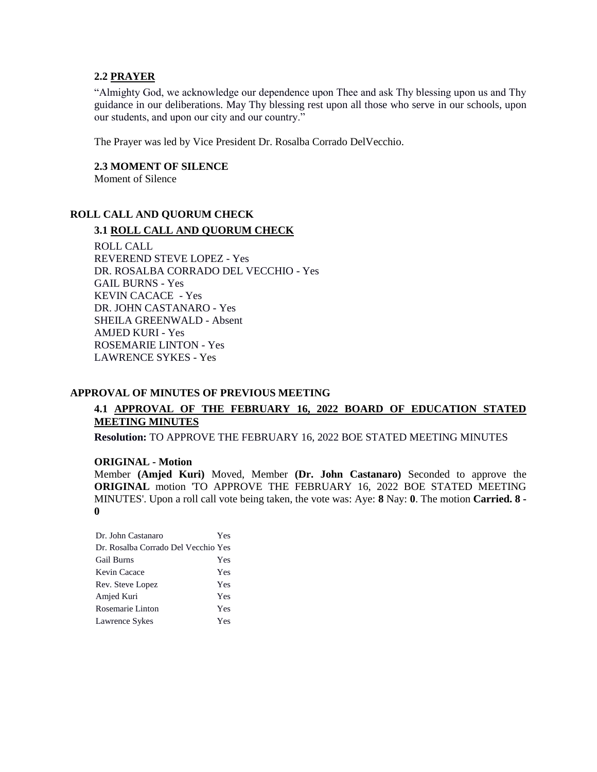#### **2.2 PRAYER**

"Almighty God, we acknowledge our dependence upon Thee and ask Thy blessing upon us and Thy guidance in our deliberations. May Thy blessing rest upon all those who serve in our schools, upon our students, and upon our city and our country."

The Prayer was led by Vice President Dr. Rosalba Corrado DelVecchio.

**2.3 MOMENT OF SILENCE** Moment of Silence

# **ROLL CALL AND QUORUM CHECK**

#### **3.1 ROLL CALL AND QUORUM CHECK**

ROLL CALL REVEREND STEVE LOPEZ - Yes DR. ROSALBA CORRADO DEL VECCHIO - Yes GAIL BURNS - Yes KEVIN CACACE - Yes DR. JOHN CASTANARO - Yes SHEILA GREENWALD - Absent AMJED KURI - Yes ROSEMARIE LINTON - Yes LAWRENCE SYKES - Yes

#### **APPROVAL OF MINUTES OF PREVIOUS MEETING**

# **4.1 APPROVAL OF THE FEBRUARY 16, 2022 BOARD OF EDUCATION STATED MEETING MINUTES**

**Resolution:** TO APPROVE THE FEBRUARY 16, 2022 BOE STATED MEETING MINUTES

#### **ORIGINAL - Motion**

Member **(Amjed Kuri)** Moved, Member **(Dr. John Castanaro)** Seconded to approve the **ORIGINAL** motion 'TO APPROVE THE FEBRUARY 16, 2022 BOE STATED MEETING MINUTES'. Upon a roll call vote being taken, the vote was: Aye: **8** Nay: **0**. The motion **Carried. 8 - 0** 

| Dr. John Castanaro                  | Yes |
|-------------------------------------|-----|
| Dr. Rosalba Corrado Del Vecchio Yes |     |
| <b>Gail Burns</b>                   | Yes |
| Kevin Cacace                        | Yes |
| Rev. Steve Lopez                    | Yes |
| Amjed Kuri                          | Yes |
| Rosemarie Linton                    | Yes |
| Lawrence Sykes                      | Yes |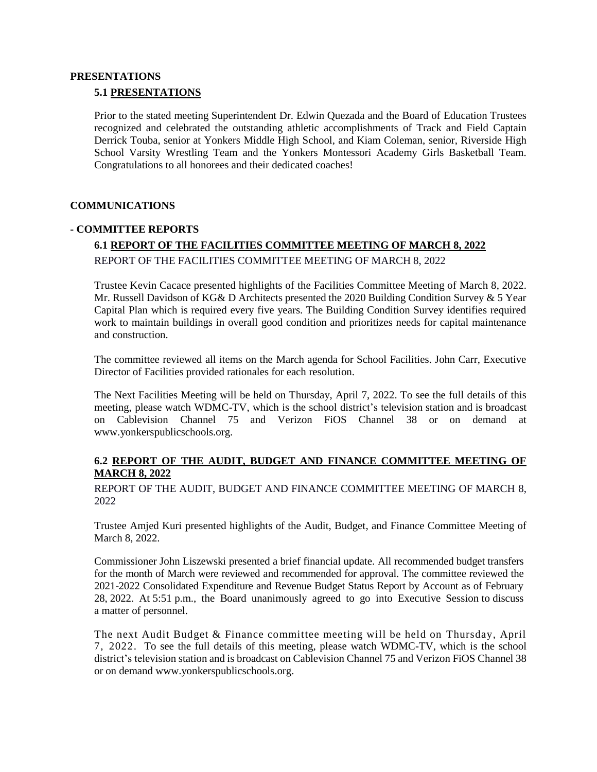#### **PRESENTATIONS**

#### **5.1 PRESENTATIONS**

Prior to the stated meeting Superintendent Dr. Edwin Quezada and the Board of Education Trustees recognized and celebrated the outstanding athletic accomplishments of Track and Field Captain Derrick Touba, senior at Yonkers Middle High School, and Kiam Coleman, senior, Riverside High School Varsity Wrestling Team and the Yonkers Montessori Academy Girls Basketball Team. Congratulations to all honorees and their dedicated coaches!

#### **COMMUNICATIONS**

#### **- COMMITTEE REPORTS**

# **6.1 REPORT OF THE FACILITIES COMMITTEE MEETING OF MARCH 8, 2022** REPORT OF THE FACILITIES COMMITTEE MEETING OF MARCH 8, 2022

Trustee Kevin Cacace presented highlights of the Facilities Committee Meeting of March 8, 2022. Mr. Russell Davidson of KG& D Architects presented the 2020 Building Condition Survey & 5 Year Capital Plan which is required every five years. The Building Condition Survey identifies required work to maintain buildings in overall good condition and prioritizes needs for capital maintenance and construction.

The committee reviewed all items on the March agenda for School Facilities. John Carr, Executive Director of Facilities provided rationales for each resolution.

The Next Facilities Meeting will be held on Thursday, April 7, 2022. To see the full details of this meeting, please watch WDMC-TV, which is the school district's television station and is broadcast on Cablevision Channel 75 and Verizon FiOS Channel 38 or on demand at [www.yonkerspublicschools.org.](http://www.yonkerspublicschools.org/)

### **6.2 REPORT OF THE AUDIT, BUDGET AND FINANCE COMMITTEE MEETING OF MARCH 8, 2022**

REPORT OF THE AUDIT, BUDGET AND FINANCE COMMITTEE MEETING OF MARCH 8, 2022

Trustee Amjed Kuri presented highlights of the Audit, Budget, and Finance Committee Meeting of March 8, 2022.

Commissioner John Liszewski presented a brief financial update. All recommended budget transfers for the month of March were reviewed and recommended for approval. The committee reviewed the 2021-2022 Consolidated Expenditure and Revenue Budget Status Report by Account as of February 28, 2022. At 5:51 p.m., the Board unanimously agreed to go into Executive Session to discuss a matter of personnel.

The next Audit Budget & Finance committee meeting will be held on Thursday, April 7, 2022. To see the full details of this meeting, please watch WDMC-TV, which is the school district's television station and is broadcast on Cablevision Channel 75 and Verizon FiOS Channel 38 or on demand [www.yonkerspublicschools.org.](http://www.yonkerspublicschools.org/)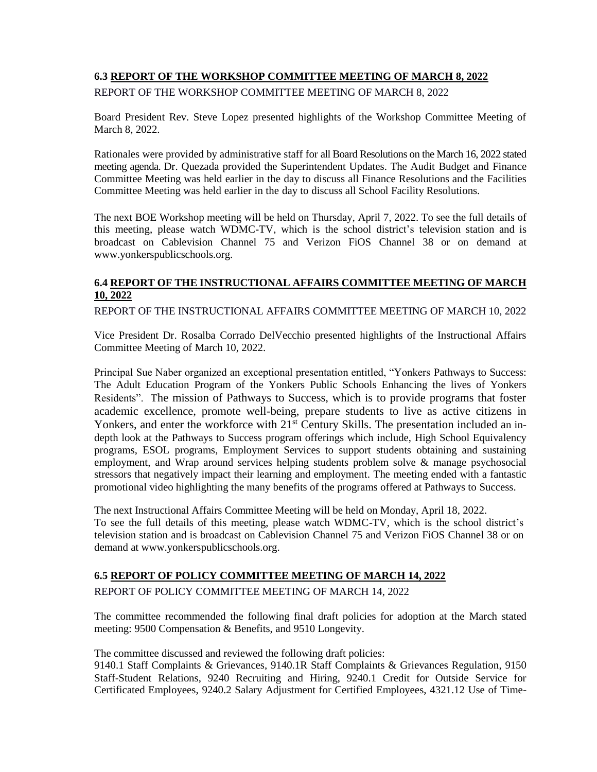# **6.3 REPORT OF THE WORKSHOP COMMITTEE MEETING OF MARCH 8, 2022**

REPORT OF THE WORKSHOP COMMITTEE MEETING OF MARCH 8, 2022

Board President Rev. Steve Lopez presented highlights of the Workshop Committee Meeting of March 8, 2022.

Rationales were provided by administrative staff for all Board Resolutions on the March 16, 2022 stated meeting agenda. Dr. Quezada provided the Superintendent Updates. The Audit Budget and Finance Committee Meeting was held earlier in the day to discuss all Finance Resolutions and the Facilities Committee Meeting was held earlier in the day to discuss all School Facility Resolutions.

The next BOE Workshop meeting will be held on Thursday, April 7, 2022. To see the full details of this meeting, please watch WDMC-TV, which is the school district's television station and is broadcast on Cablevision Channel 75 and Verizon FiOS Channel 38 or on demand at [www.yonkerspublicschools.org.](http://www.yonkerspublicschools.org/)

# **6.4 REPORT OF THE INSTRUCTIONAL AFFAIRS COMMITTEE MEETING OF MARCH 10, 2022**

REPORT OF THE INSTRUCTIONAL AFFAIRS COMMITTEE MEETING OF MARCH 10, 2022

Vice President Dr. Rosalba Corrado DelVecchio presented highlights of the Instructional Affairs Committee Meeting of March 10, 2022.

Principal Sue Naber organized an exceptional presentation entitled, "Yonkers Pathways to Success: The Adult Education Program of the Yonkers Public Schools Enhancing the lives of Yonkers Residents". The mission of Pathways to Success, which is to provide programs that foster academic excellence, promote well-being, prepare students to live as active citizens in Yonkers, and enter the workforce with 21<sup>st</sup> Century Skills. The presentation included an indepth look at the Pathways to Success program offerings which include, High School Equivalency programs, ESOL programs, Employment Services to support students obtaining and sustaining employment, and Wrap around services helping students problem solve & manage psychosocial stressors that negatively impact their learning and employment. The meeting ended with a fantastic promotional video highlighting the many benefits of the programs offered at Pathways to Success.

The next Instructional Affairs Committee Meeting will be held on Monday, April 18, 2022. To see the full details of this meeting, please watch WDMC-TV, which is the school district's television station and is broadcast on Cablevision Channel 75 and Verizon FiOS Channel 38 or on demand at [www.yonkerspublicschools.org.](http://www.yonkerspublicschools.org/)

### **6.5 REPORT OF POLICY COMMITTEE MEETING OF MARCH 14, 2022**

REPORT OF POLICY COMMITTEE MEETING OF MARCH 14, 2022

The committee recommended the following final draft policies for adoption at the March stated meeting: 9500 Compensation & Benefits, and 9510 Longevity.

The committee discussed and reviewed the following draft policies:

9140.1 Staff Complaints & Grievances, 9140.1R Staff Complaints & Grievances Regulation, 9150 Staff-Student Relations, 9240 Recruiting and Hiring, 9240.1 Credit for Outside Service for Certificated Employees, 9240.2 Salary Adjustment for Certified Employees, 4321.12 Use of Time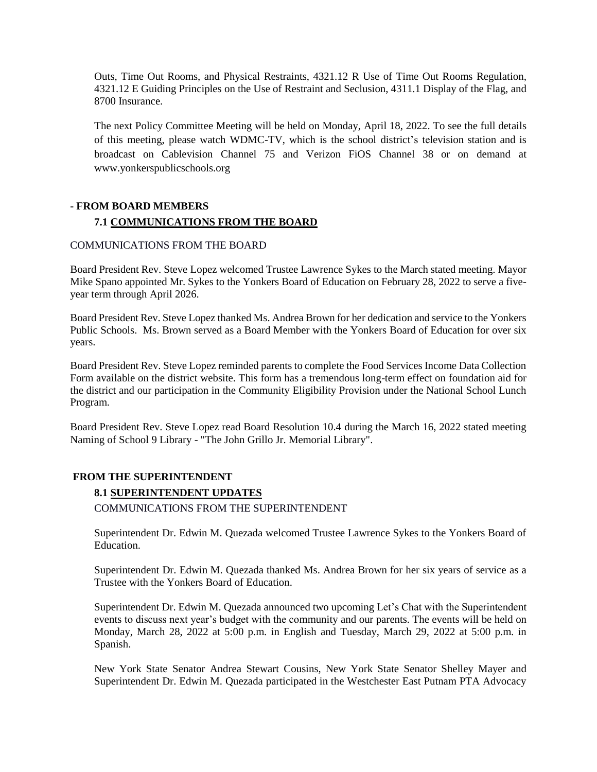Outs, Time Out Rooms, and Physical Restraints, 4321.12 R Use of Time Out Rooms Regulation, 4321.12 E Guiding Principles on the Use of Restraint and Seclusion, 4311.1 Display of the Flag, and 8700 Insurance.

The next Policy Committee Meeting will be held on Monday, April 18, 2022. To see the full details of this meeting, please watch WDMC-TV, which is the school district's television station and is broadcast on Cablevision Channel 75 and Verizon FiOS Channel 38 or on demand at [www.yonkerspublicschools.org](http://www.yonkerspublicschools.org/)

# **- FROM BOARD MEMBERS 7.1 COMMUNICATIONS FROM THE BOARD**

### COMMUNICATIONS FROM THE BOARD

Board President Rev. Steve Lopez welcomed Trustee Lawrence Sykes to the March stated meeting. Mayor Mike Spano appointed Mr. Sykes to the Yonkers Board of Education on February 28, 2022 to serve a fiveyear term through April 2026.

Board President Rev. Steve Lopez thanked Ms. Andrea Brown for her dedication and service to the Yonkers Public Schools. Ms. Brown served as a Board Member with the Yonkers Board of Education for over six years.

Board President Rev. Steve Lopez reminded parents to complete the Food Services Income Data Collection Form available on the district website. This form has a tremendous long-term effect on foundation aid for the district and our participation in the Community Eligibility Provision under the National School Lunch Program.

Board President Rev. Steve Lopez read Board Resolution 10.4 during the March 16, 2022 stated meeting Naming of School 9 Library - "The John Grillo Jr. Memorial Library".

### **FROM THE SUPERINTENDENT**

# **8.1 SUPERINTENDENT UPDATES**

COMMUNICATIONS FROM THE SUPERINTENDENT

Superintendent Dr. Edwin M. Quezada welcomed Trustee Lawrence Sykes to the Yonkers Board of Education.

Superintendent Dr. Edwin M. Quezada thanked Ms. Andrea Brown for her six years of service as a Trustee with the Yonkers Board of Education.

Superintendent Dr. Edwin M. Quezada announced two upcoming Let's Chat with the Superintendent events to discuss next year's budget with the community and our parents. The events will be held on Monday, March 28, 2022 at 5:00 p.m. in English and Tuesday, March 29, 2022 at 5:00 p.m. in Spanish.

New York State Senator Andrea Stewart Cousins, New York State Senator Shelley Mayer and Superintendent Dr. Edwin M. Quezada participated in the Westchester East Putnam PTA Advocacy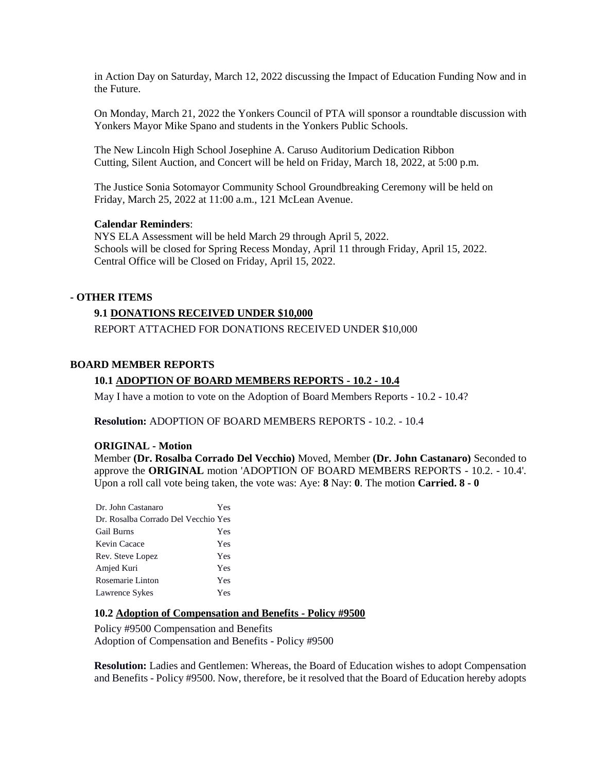in Action Day on Saturday, March 12, 2022 discussing the Impact of Education Funding Now and in the Future.

On Monday, March 21, 2022 the Yonkers Council of PTA will sponsor a roundtable discussion with Yonkers Mayor Mike Spano and students in the Yonkers Public Schools.

The New Lincoln High School Josephine A. Caruso Auditorium Dedication Ribbon Cutting, Silent Auction, and Concert will be held on Friday, March 18, 2022, at 5:00 p.m.

The Justice Sonia Sotomayor Community School Groundbreaking Ceremony will be held on Friday, March 25, 2022 at 11:00 a.m., 121 McLean Avenue.

#### **Calendar Reminders**:

NYS ELA Assessment will be held March 29 through April 5, 2022. Schools will be closed for Spring Recess Monday, April 11 through Friday, April 15, 2022. Central Office will be Closed on Friday, April 15, 2022.

### **- OTHER ITEMS**

#### **9.1 DONATIONS RECEIVED UNDER \$10,000**

REPORT ATTACHED FOR DONATIONS RECEIVED UNDER \$10,000

#### **BOARD MEMBER REPORTS**

#### **10.1 ADOPTION OF BOARD MEMBERS REPORTS - 10.2 - 10.4**

May I have a motion to vote on the Adoption of Board Members Reports - 10.2 - 10.4?

**Resolution:** ADOPTION OF BOARD MEMBERS REPORTS - 10.2. - 10.4

#### **ORIGINAL - Motion**

Member **(Dr. Rosalba Corrado Del Vecchio)** Moved, Member **(Dr. John Castanaro)** Seconded to approve the **ORIGINAL** motion 'ADOPTION OF BOARD MEMBERS REPORTS - 10.2. - 10.4'. Upon a roll call vote being taken, the vote was: Aye: **8** Nay: **0**. The motion **Carried. 8 - 0** 

| Dr. John Castanaro                  | Yes |
|-------------------------------------|-----|
| Dr. Rosalba Corrado Del Vecchio Yes |     |
| Gail Burns                          | Yes |
| Kevin Cacace                        | Yes |
| Rev. Steve Lopez                    | Yes |
| Amjed Kuri                          | Yes |
| Rosemarie Linton                    | Yes |
| Lawrence Sykes                      | Yes |
|                                     |     |

#### **10.2 Adoption of Compensation and Benefits - Policy #9500**

Policy #9500 Compensation and Benefits Adoption of Compensation and Benefits - Policy #9500

**Resolution:** Ladies and Gentlemen: Whereas, the Board of Education wishes to adopt Compensation and Benefits - Policy #9500. Now, therefore, be it resolved that the Board of Education hereby adopts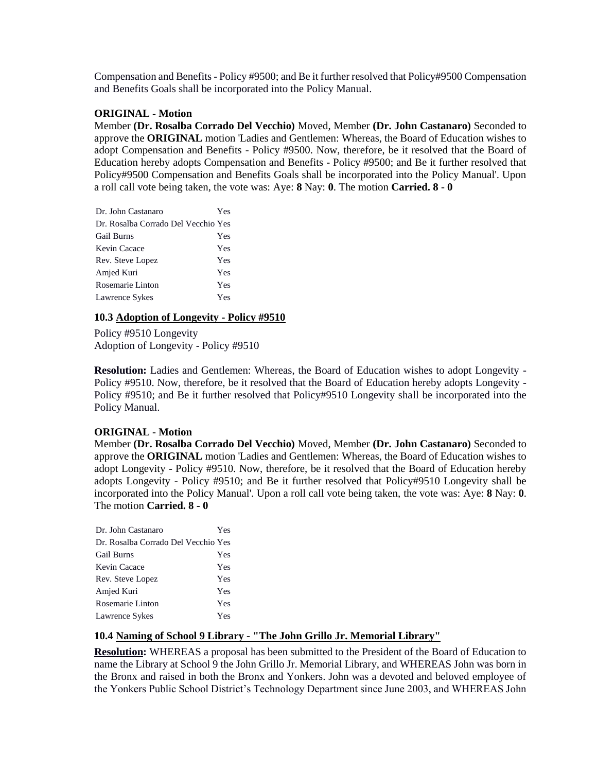Compensation and Benefits - Policy #9500; and Be it further resolved that Policy#9500 Compensation and Benefits Goals shall be incorporated into the Policy Manual.

### **ORIGINAL - Motion**

Member **(Dr. Rosalba Corrado Del Vecchio)** Moved, Member **(Dr. John Castanaro)** Seconded to approve the **ORIGINAL** motion 'Ladies and Gentlemen: Whereas, the Board of Education wishes to adopt Compensation and Benefits - Policy #9500. Now, therefore, be it resolved that the Board of Education hereby adopts Compensation and Benefits - Policy #9500; and Be it further resolved that Policy#9500 Compensation and Benefits Goals shall be incorporated into the Policy Manual'. Upon a roll call vote being taken, the vote was: Aye: **8** Nay: **0**. The motion **Carried. 8 - 0** 

| Dr. John Castanaro                  | Yes |
|-------------------------------------|-----|
| Dr. Rosalba Corrado Del Vecchio Yes |     |
| <b>Gail Burns</b>                   | Yes |
| Kevin Cacace                        | Yes |
| Rev. Steve Lopez                    | Yes |
| Amjed Kuri                          | Yes |
| Rosemarie Linton                    | Yes |
| Lawrence Sykes                      | Yes |

#### **10.3 Adoption of Longevity - Policy #9510**

Policy #9510 Longevity Adoption of Longevity - Policy #9510

**Resolution:** Ladies and Gentlemen: Whereas, the Board of Education wishes to adopt Longevity - Policy #9510. Now, therefore, be it resolved that the Board of Education hereby adopts Longevity - Policy #9510; and Be it further resolved that Policy#9510 Longevity shall be incorporated into the Policy Manual.

#### **ORIGINAL - Motion**

Member **(Dr. Rosalba Corrado Del Vecchio)** Moved, Member **(Dr. John Castanaro)** Seconded to approve the **ORIGINAL** motion 'Ladies and Gentlemen: Whereas, the Board of Education wishes to adopt Longevity - Policy #9510. Now, therefore, be it resolved that the Board of Education hereby adopts Longevity - Policy #9510; and Be it further resolved that Policy#9510 Longevity shall be incorporated into the Policy Manual'. Upon a roll call vote being taken, the vote was: Aye: **8** Nay: **0**. The motion **Carried. 8 - 0** 

| Dr. John Castanaro                  | Yes |
|-------------------------------------|-----|
| Dr. Rosalba Corrado Del Vecchio Yes |     |
| <b>Gail Burns</b>                   | Yes |
| Kevin Cacace                        | Yes |
| Rev. Steve Lopez                    | Yes |
| Amjed Kuri                          | Yes |
| Rosemarie Linton                    | Yes |
| Lawrence Sykes                      | Yes |

### **10.4 Naming of School 9 Library - "The John Grillo Jr. Memorial Library"**

**Resolution:** WHEREAS a proposal has been submitted to the President of the Board of Education to name the Library at School 9 the John Grillo Jr. Memorial Library, and WHEREAS John was born in the Bronx and raised in both the Bronx and Yonkers. John was a devoted and beloved employee of the Yonkers Public School District's Technology Department since June 2003, and WHEREAS John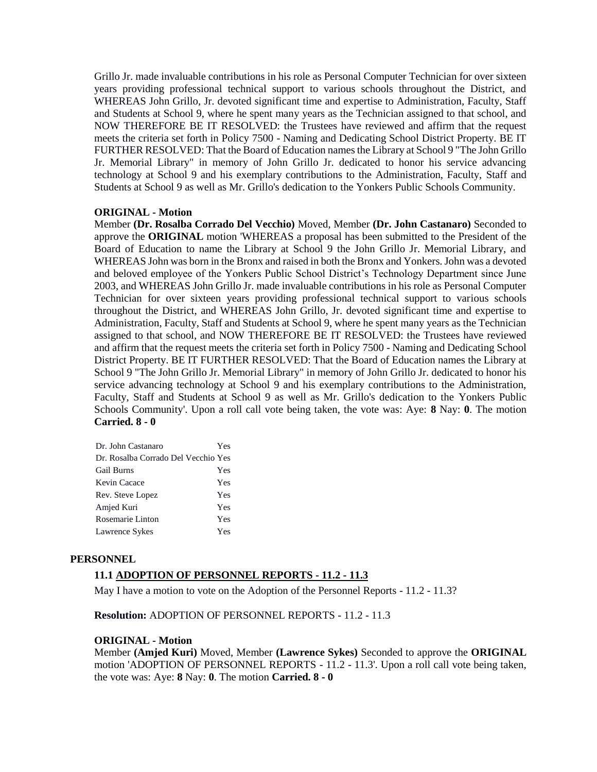Grillo Jr. made invaluable contributions in his role as Personal Computer Technician for over sixteen years providing professional technical support to various schools throughout the District, and WHEREAS John Grillo, Jr. devoted significant time and expertise to Administration, Faculty, Staff and Students at School 9, where he spent many years as the Technician assigned to that school, and NOW THEREFORE BE IT RESOLVED: the Trustees have reviewed and affirm that the request meets the criteria set forth in Policy 7500 - Naming and Dedicating School District Property. BE IT FURTHER RESOLVED: That the Board of Education names the Library at School 9 "The John Grillo Jr. Memorial Library" in memory of John Grillo Jr. dedicated to honor his service advancing technology at School 9 and his exemplary contributions to the Administration, Faculty, Staff and Students at School 9 as well as Mr. Grillo's dedication to the Yonkers Public Schools Community.

### **ORIGINAL - Motion**

Member **(Dr. Rosalba Corrado Del Vecchio)** Moved, Member **(Dr. John Castanaro)** Seconded to approve the **ORIGINAL** motion 'WHEREAS a proposal has been submitted to the President of the Board of Education to name the Library at School 9 the John Grillo Jr. Memorial Library, and WHEREAS John was born in the Bronx and raised in both the Bronx and Yonkers. John was a devoted and beloved employee of the Yonkers Public School District's Technology Department since June 2003, and WHEREAS John Grillo Jr. made invaluable contributions in his role as Personal Computer Technician for over sixteen years providing professional technical support to various schools throughout the District, and WHEREAS John Grillo, Jr. devoted significant time and expertise to Administration, Faculty, Staff and Students at School 9, where he spent many years as the Technician assigned to that school, and NOW THEREFORE BE IT RESOLVED: the Trustees have reviewed and affirm that the request meets the criteria set forth in Policy 7500 - Naming and Dedicating School District Property. BE IT FURTHER RESOLVED: That the Board of Education names the Library at School 9 "The John Grillo Jr. Memorial Library" in memory of John Grillo Jr. dedicated to honor his service advancing technology at School 9 and his exemplary contributions to the Administration, Faculty, Staff and Students at School 9 as well as Mr. Grillo's dedication to the Yonkers Public Schools Community'. Upon a roll call vote being taken, the vote was: Aye: **8** Nay: **0**. The motion **Carried. 8 - 0** 

| Dr. John Castanaro                  | Yes |
|-------------------------------------|-----|
| Dr. Rosalba Corrado Del Vecchio Yes |     |
| <b>Gail Burns</b>                   | Yes |
| Kevin Cacace                        | Yes |
| Rev. Steve Lopez                    | Yes |
| Amjed Kuri                          | Yes |
| Rosemarie Linton                    | Yes |
| Lawrence Sykes                      | Yes |

#### **PERSONNEL**

#### **11.1 ADOPTION OF PERSONNEL REPORTS - 11.2 - 11.3**

May I have a motion to vote on the Adoption of the Personnel Reports - 11.2 - 11.3?

**Resolution:** ADOPTION OF PERSONNEL REPORTS - 11.2 - 11.3

#### **ORIGINAL - Motion**

Member **(Amjed Kuri)** Moved, Member **(Lawrence Sykes)** Seconded to approve the **ORIGINAL**  motion 'ADOPTION OF PERSONNEL REPORTS - 11.2 - 11.3'. Upon a roll call vote being taken, the vote was: Aye: **8** Nay: **0**. The motion **Carried. 8 - 0**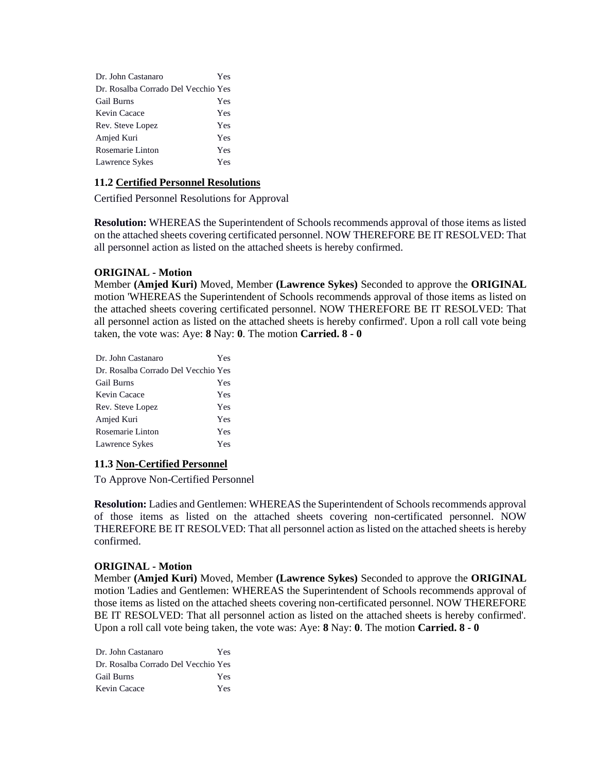| Dr. John Castanaro                  | Yes |
|-------------------------------------|-----|
| Dr. Rosalba Corrado Del Vecchio Yes |     |
| Gail Burns                          | Yes |
| Kevin Cacace                        | Yes |
| Rev. Steve Lopez                    | Yes |
| Amjed Kuri                          | Yes |
| Rosemarie Linton                    | Yes |
| Lawrence Sykes                      | Yes |

## **11.2 Certified Personnel Resolutions**

Certified Personnel Resolutions for Approval

**Resolution:** WHEREAS the Superintendent of Schools recommends approval of those items as listed on the attached sheets covering certificated personnel. NOW THEREFORE BE IT RESOLVED: That all personnel action as listed on the attached sheets is hereby confirmed.

### **ORIGINAL - Motion**

Member **(Amjed Kuri)** Moved, Member **(Lawrence Sykes)** Seconded to approve the **ORIGINAL**  motion 'WHEREAS the Superintendent of Schools recommends approval of those items as listed on the attached sheets covering certificated personnel. NOW THEREFORE BE IT RESOLVED: That all personnel action as listed on the attached sheets is hereby confirmed'. Upon a roll call vote being taken, the vote was: Aye: **8** Nay: **0**. The motion **Carried. 8 - 0** 

| Dr. John Castanaro                  | Yes |
|-------------------------------------|-----|
| Dr. Rosalba Corrado Del Vecchio Yes |     |
| <b>Gail Burns</b>                   | Yes |
| Kevin Cacace                        | Yes |
| Rev. Steve Lopez                    | Yes |
| Amjed Kuri                          | Yes |
| Rosemarie Linton                    | Yes |
| Lawrence Sykes                      | Yes |
|                                     |     |

### **11.3 Non-Certified Personnel**

To Approve Non-Certified Personnel

**Resolution:** Ladies and Gentlemen: WHEREAS the Superintendent of Schools recommends approval of those items as listed on the attached sheets covering non-certificated personnel. NOW THEREFORE BE IT RESOLVED: That all personnel action as listed on the attached sheets is hereby confirmed.

### **ORIGINAL - Motion**

Member **(Amjed Kuri)** Moved, Member **(Lawrence Sykes)** Seconded to approve the **ORIGINAL**  motion 'Ladies and Gentlemen: WHEREAS the Superintendent of Schools recommends approval of those items as listed on the attached sheets covering non-certificated personnel. NOW THEREFORE BE IT RESOLVED: That all personnel action as listed on the attached sheets is hereby confirmed'. Upon a roll call vote being taken, the vote was: Aye: **8** Nay: **0**. The motion **Carried. 8 - 0** 

Dr. John Castanaro Yes Dr. Rosalba Corrado Del Vecchio Yes Gail Burns Yes Kevin Cacace Yes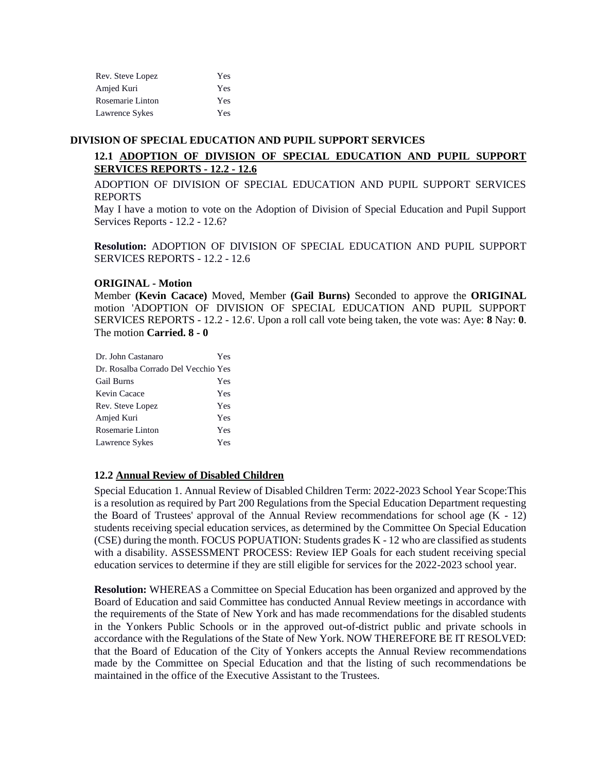| Rev. Steve Lopez | Yes |
|------------------|-----|
| Amjed Kuri       | Yes |
| Rosemarie Linton | Yes |
| Lawrence Sykes   | Yes |

#### **DIVISION OF SPECIAL EDUCATION AND PUPIL SUPPORT SERVICES**

# **12.1 ADOPTION OF DIVISION OF SPECIAL EDUCATION AND PUPIL SUPPORT SERVICES REPORTS - 12.2 - 12.6**

ADOPTION OF DIVISION OF SPECIAL EDUCATION AND PUPIL SUPPORT SERVICES REPORTS

May I have a motion to vote on the Adoption of Division of Special Education and Pupil Support Services Reports - 12.2 - 12.6?

**Resolution:** ADOPTION OF DIVISION OF SPECIAL EDUCATION AND PUPIL SUPPORT SERVICES REPORTS - 12.2 - 12.6

### **ORIGINAL - Motion**

Member **(Kevin Cacace)** Moved, Member **(Gail Burns)** Seconded to approve the **ORIGINAL**  motion 'ADOPTION OF DIVISION OF SPECIAL EDUCATION AND PUPIL SUPPORT SERVICES REPORTS - 12.2 - 12.6'. Upon a roll call vote being taken, the vote was: Aye: **8** Nay: **0**. The motion **Carried. 8 - 0** 

| Dr. John Castanaro                  | Yes |
|-------------------------------------|-----|
| Dr. Rosalba Corrado Del Vecchio Yes |     |
| <b>Gail Burns</b>                   | Yes |
| Kevin Cacace                        | Yes |
| Rev. Steve Lopez                    | Yes |
| Amjed Kuri                          | Yes |
| Rosemarie Linton                    | Yes |
| Lawrence Sykes                      | Yes |

#### **12.2 Annual Review of Disabled Children**

Special Education 1. Annual Review of Disabled Children Term: 2022-2023 School Year Scope:This is a resolution as required by Part 200 Regulations from the Special Education Department requesting the Board of Trustees' approval of the Annual Review recommendations for school age  $(K - 12)$ students receiving special education services, as determined by the Committee On Special Education (CSE) during the month. FOCUS POPUATION: Students grades K - 12 who are classified as students with a disability. ASSESSMENT PROCESS: Review IEP Goals for each student receiving special education services to determine if they are still eligible for services for the 2022-2023 school year.

**Resolution:** WHEREAS a Committee on Special Education has been organized and approved by the Board of Education and said Committee has conducted Annual Review meetings in accordance with the requirements of the State of New York and has made recommendations for the disabled students in the Yonkers Public Schools or in the approved out-of-district public and private schools in accordance with the Regulations of the State of New York. NOW THEREFORE BE IT RESOLVED: that the Board of Education of the City of Yonkers accepts the Annual Review recommendations made by the Committee on Special Education and that the listing of such recommendations be maintained in the office of the Executive Assistant to the Trustees.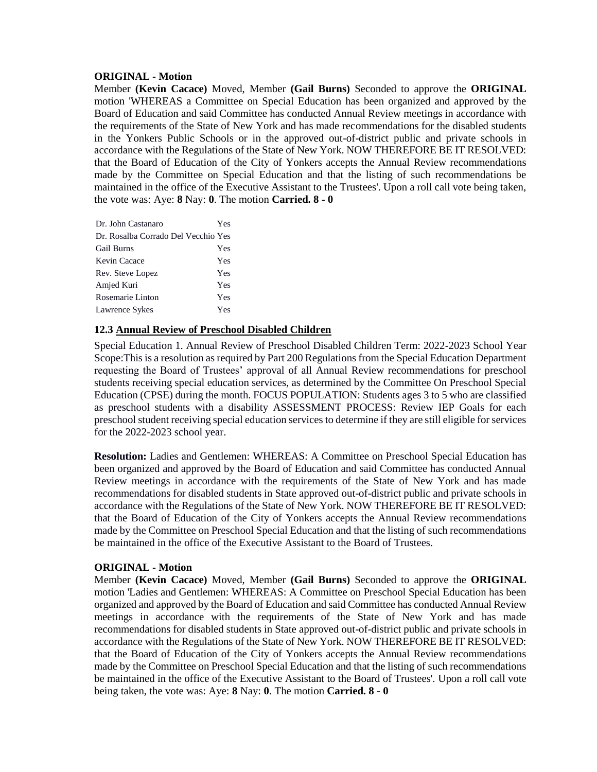#### **ORIGINAL - Motion**

Member **(Kevin Cacace)** Moved, Member **(Gail Burns)** Seconded to approve the **ORIGINAL**  motion 'WHEREAS a Committee on Special Education has been organized and approved by the Board of Education and said Committee has conducted Annual Review meetings in accordance with the requirements of the State of New York and has made recommendations for the disabled students in the Yonkers Public Schools or in the approved out-of-district public and private schools in accordance with the Regulations of the State of New York. NOW THEREFORE BE IT RESOLVED: that the Board of Education of the City of Yonkers accepts the Annual Review recommendations made by the Committee on Special Education and that the listing of such recommendations be maintained in the office of the Executive Assistant to the Trustees'. Upon a roll call vote being taken, the vote was: Aye: **8** Nay: **0**. The motion **Carried. 8 - 0** 

| Dr. John Castanaro                  | Yes |
|-------------------------------------|-----|
| Dr. Rosalba Corrado Del Vecchio Yes |     |
| <b>Gail Burns</b>                   | Yes |
| Kevin Cacace                        | Yes |
| Rev. Steve Lopez                    | Yes |
| Amjed Kuri                          | Yes |
| Rosemarie Linton                    | Yes |
| Lawrence Sykes                      | Yes |

### **12.3 Annual Review of Preschool Disabled Children**

Special Education 1. Annual Review of Preschool Disabled Children Term: 2022-2023 School Year Scope:This is a resolution as required by Part 200 Regulations from the Special Education Department requesting the Board of Trustees' approval of all Annual Review recommendations for preschool students receiving special education services, as determined by the Committee On Preschool Special Education (CPSE) during the month. FOCUS POPULATION: Students ages 3 to 5 who are classified as preschool students with a disability ASSESSMENT PROCESS: Review IEP Goals for each preschool student receiving special education services to determine if they are still eligible for services for the 2022-2023 school year.

**Resolution:** Ladies and Gentlemen: WHEREAS: A Committee on Preschool Special Education has been organized and approved by the Board of Education and said Committee has conducted Annual Review meetings in accordance with the requirements of the State of New York and has made recommendations for disabled students in State approved out-of-district public and private schools in accordance with the Regulations of the State of New York. NOW THEREFORE BE IT RESOLVED: that the Board of Education of the City of Yonkers accepts the Annual Review recommendations made by the Committee on Preschool Special Education and that the listing of such recommendations be maintained in the office of the Executive Assistant to the Board of Trustees.

### **ORIGINAL - Motion**

Member **(Kevin Cacace)** Moved, Member **(Gail Burns)** Seconded to approve the **ORIGINAL**  motion 'Ladies and Gentlemen: WHEREAS: A Committee on Preschool Special Education has been organized and approved by the Board of Education and said Committee has conducted Annual Review meetings in accordance with the requirements of the State of New York and has made recommendations for disabled students in State approved out-of-district public and private schools in accordance with the Regulations of the State of New York. NOW THEREFORE BE IT RESOLVED: that the Board of Education of the City of Yonkers accepts the Annual Review recommendations made by the Committee on Preschool Special Education and that the listing of such recommendations be maintained in the office of the Executive Assistant to the Board of Trustees'. Upon a roll call vote being taken, the vote was: Aye: **8** Nay: **0**. The motion **Carried. 8 - 0**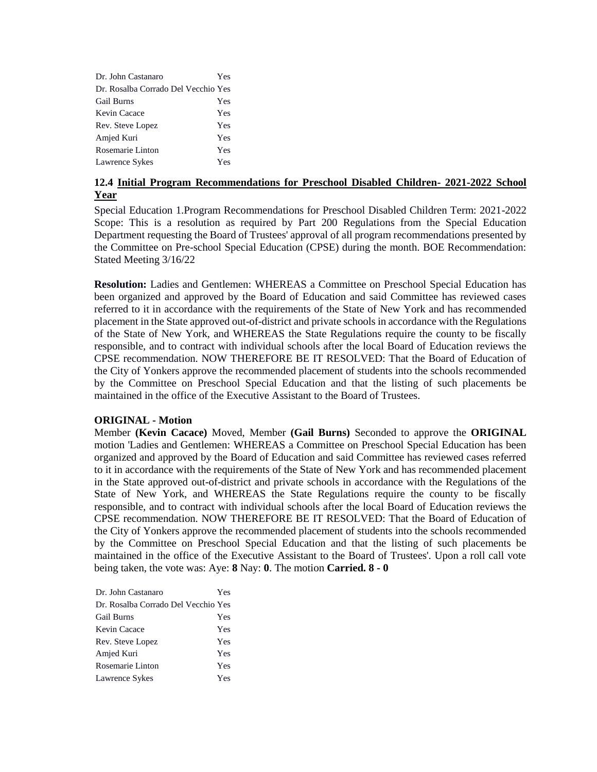| Dr. John Castanaro                  | Yes |
|-------------------------------------|-----|
| Dr. Rosalba Corrado Del Vecchio Yes |     |
| Gail Burns                          | Yes |
| Kevin Cacace                        | Yes |
| Rev. Steve Lopez                    | Yes |
| Amjed Kuri                          | Yes |
| Rosemarie Linton                    | Yes |
| Lawrence Sykes                      | Yes |

# **12.4 Initial Program Recommendations for Preschool Disabled Children- 2021-2022 School Year**

Special Education 1.Program Recommendations for Preschool Disabled Children Term: 2021-2022 Scope: This is a resolution as required by Part 200 Regulations from the Special Education Department requesting the Board of Trustees' approval of all program recommendations presented by the Committee on Pre-school Special Education (CPSE) during the month. BOE Recommendation: Stated Meeting 3/16/22

**Resolution:** Ladies and Gentlemen: WHEREAS a Committee on Preschool Special Education has been organized and approved by the Board of Education and said Committee has reviewed cases referred to it in accordance with the requirements of the State of New York and has recommended placement in the State approved out-of-district and private schools in accordance with the Regulations of the State of New York, and WHEREAS the State Regulations require the county to be fiscally responsible, and to contract with individual schools after the local Board of Education reviews the CPSE recommendation. NOW THEREFORE BE IT RESOLVED: That the Board of Education of the City of Yonkers approve the recommended placement of students into the schools recommended by the Committee on Preschool Special Education and that the listing of such placements be maintained in the office of the Executive Assistant to the Board of Trustees.

### **ORIGINAL - Motion**

Member **(Kevin Cacace)** Moved, Member **(Gail Burns)** Seconded to approve the **ORIGINAL**  motion 'Ladies and Gentlemen: WHEREAS a Committee on Preschool Special Education has been organized and approved by the Board of Education and said Committee has reviewed cases referred to it in accordance with the requirements of the State of New York and has recommended placement in the State approved out-of-district and private schools in accordance with the Regulations of the State of New York, and WHEREAS the State Regulations require the county to be fiscally responsible, and to contract with individual schools after the local Board of Education reviews the CPSE recommendation. NOW THEREFORE BE IT RESOLVED: That the Board of Education of the City of Yonkers approve the recommended placement of students into the schools recommended by the Committee on Preschool Special Education and that the listing of such placements be maintained in the office of the Executive Assistant to the Board of Trustees'. Upon a roll call vote being taken, the vote was: Aye: **8** Nay: **0**. The motion **Carried. 8 - 0** 

| Dr. John Castanaro                  | Yes |
|-------------------------------------|-----|
| Dr. Rosalba Corrado Del Vecchio Yes |     |
| Gail Burns                          | Yes |
| Kevin Cacace                        | Yes |
| Rev. Steve Lopez                    | Yes |
| Amjed Kuri                          | Yes |
| Rosemarie Linton                    | Yes |
| Lawrence Sykes                      | Yes |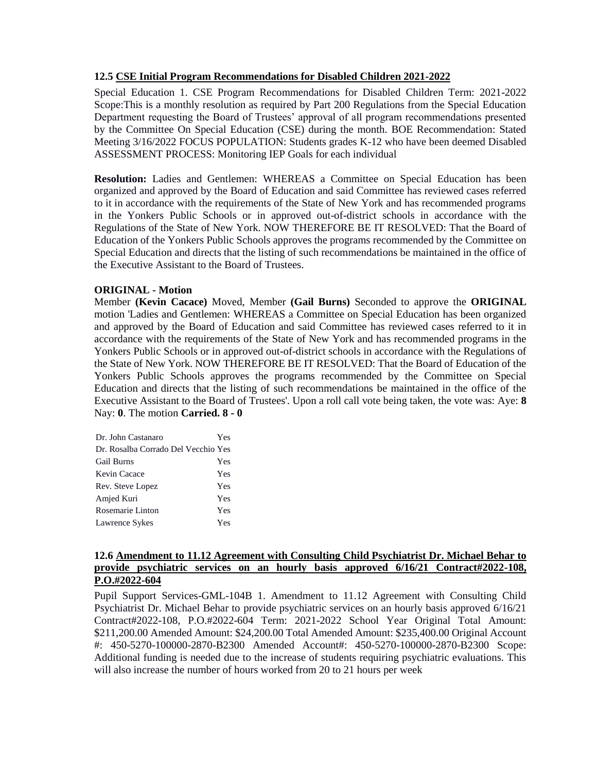### **12.5 CSE Initial Program Recommendations for Disabled Children 2021-2022**

Special Education 1. CSE Program Recommendations for Disabled Children Term: 2021-2022 Scope:This is a monthly resolution as required by Part 200 Regulations from the Special Education Department requesting the Board of Trustees' approval of all program recommendations presented by the Committee On Special Education (CSE) during the month. BOE Recommendation: Stated Meeting 3/16/2022 FOCUS POPULATION: Students grades K-12 who have been deemed Disabled ASSESSMENT PROCESS: Monitoring IEP Goals for each individual

**Resolution:** Ladies and Gentlemen: WHEREAS a Committee on Special Education has been organized and approved by the Board of Education and said Committee has reviewed cases referred to it in accordance with the requirements of the State of New York and has recommended programs in the Yonkers Public Schools or in approved out-of-district schools in accordance with the Regulations of the State of New York. NOW THEREFORE BE IT RESOLVED: That the Board of Education of the Yonkers Public Schools approves the programs recommended by the Committee on Special Education and directs that the listing of such recommendations be maintained in the office of the Executive Assistant to the Board of Trustees.

### **ORIGINAL - Motion**

Member **(Kevin Cacace)** Moved, Member **(Gail Burns)** Seconded to approve the **ORIGINAL**  motion 'Ladies and Gentlemen: WHEREAS a Committee on Special Education has been organized and approved by the Board of Education and said Committee has reviewed cases referred to it in accordance with the requirements of the State of New York and has recommended programs in the Yonkers Public Schools or in approved out-of-district schools in accordance with the Regulations of the State of New York. NOW THEREFORE BE IT RESOLVED: That the Board of Education of the Yonkers Public Schools approves the programs recommended by the Committee on Special Education and directs that the listing of such recommendations be maintained in the office of the Executive Assistant to the Board of Trustees'. Upon a roll call vote being taken, the vote was: Aye: **8** Nay: **0**. The motion **Carried. 8 - 0** 

| Dr. John Castanaro                  | Yes |
|-------------------------------------|-----|
| Dr. Rosalba Corrado Del Vecchio Yes |     |
| <b>Gail Burns</b>                   | Yes |
| Kevin Cacace                        | Yes |
| Rev. Steve Lopez                    | Yes |
| Amjed Kuri                          | Yes |
| Rosemarie Linton                    | Yes |
| Lawrence Sykes                      | Yes |

## **12.6 Amendment to 11.12 Agreement with Consulting Child Psychiatrist Dr. Michael Behar to provide psychiatric services on an hourly basis approved 6/16/21 Contract#2022-108, P.O.#2022-604**

Pupil Support Services-GML-104B 1. Amendment to 11.12 Agreement with Consulting Child Psychiatrist Dr. Michael Behar to provide psychiatric services on an hourly basis approved 6/16/21 Contract#2022-108, P.O.#2022-604 Term: 2021-2022 School Year Original Total Amount: \$211,200.00 Amended Amount: \$24,200.00 Total Amended Amount: \$235,400.00 Original Account #: 450-5270-100000-2870-B2300 Amended Account#: 450-5270-100000-2870-B2300 Scope: Additional funding is needed due to the increase of students requiring psychiatric evaluations. This will also increase the number of hours worked from 20 to 21 hours per week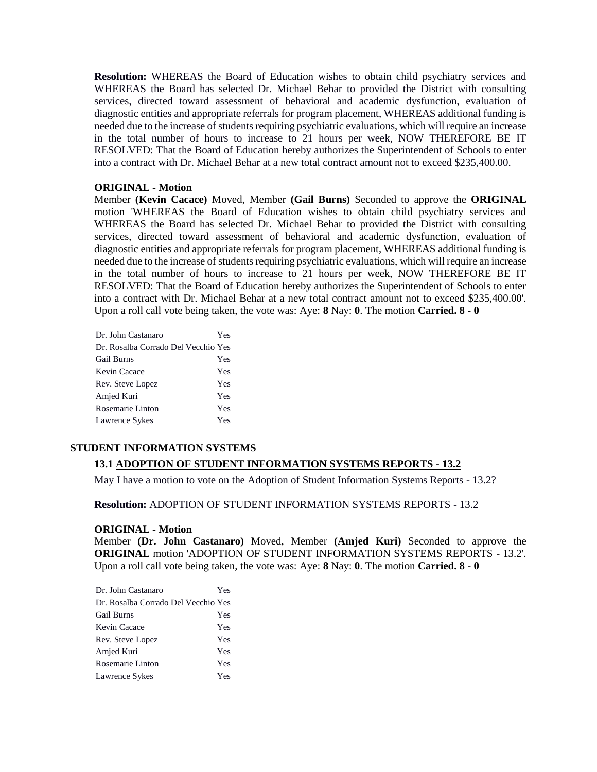**Resolution:** WHEREAS the Board of Education wishes to obtain child psychiatry services and WHEREAS the Board has selected Dr. Michael Behar to provided the District with consulting services, directed toward assessment of behavioral and academic dysfunction, evaluation of diagnostic entities and appropriate referrals for program placement, WHEREAS additional funding is needed due to the increase of students requiring psychiatric evaluations, which will require an increase in the total number of hours to increase to 21 hours per week, NOW THEREFORE BE IT RESOLVED: That the Board of Education hereby authorizes the Superintendent of Schools to enter into a contract with Dr. Michael Behar at a new total contract amount not to exceed \$235,400.00.

#### **ORIGINAL - Motion**

Member **(Kevin Cacace)** Moved, Member **(Gail Burns)** Seconded to approve the **ORIGINAL**  motion 'WHEREAS the Board of Education wishes to obtain child psychiatry services and WHEREAS the Board has selected Dr. Michael Behar to provided the District with consulting services, directed toward assessment of behavioral and academic dysfunction, evaluation of diagnostic entities and appropriate referrals for program placement, WHEREAS additional funding is needed due to the increase of students requiring psychiatric evaluations, which will require an increase in the total number of hours to increase to 21 hours per week, NOW THEREFORE BE IT RESOLVED: That the Board of Education hereby authorizes the Superintendent of Schools to enter into a contract with Dr. Michael Behar at a new total contract amount not to exceed \$235,400.00'. Upon a roll call vote being taken, the vote was: Aye: **8** Nay: **0**. The motion **Carried. 8 - 0** 

| Dr. John Castanaro                  | Yes |
|-------------------------------------|-----|
| Dr. Rosalba Corrado Del Vecchio Yes |     |
| <b>Gail Burns</b>                   | Yes |
| Kevin Cacace                        | Yes |
| Rev. Steve Lopez                    | Yes |
| Amjed Kuri                          | Yes |
| Rosemarie Linton                    | Yes |
| Lawrence Sykes                      | Yes |

### **STUDENT INFORMATION SYSTEMS**

#### **13.1 ADOPTION OF STUDENT INFORMATION SYSTEMS REPORTS - 13.2**

May I have a motion to vote on the Adoption of Student Information Systems Reports - 13.2?

**Resolution:** ADOPTION OF STUDENT INFORMATION SYSTEMS REPORTS - 13.2

#### **ORIGINAL - Motion**

Member **(Dr. John Castanaro)** Moved, Member **(Amjed Kuri)** Seconded to approve the **ORIGINAL** motion 'ADOPTION OF STUDENT INFORMATION SYSTEMS REPORTS - 13.2'. Upon a roll call vote being taken, the vote was: Aye: **8** Nay: **0**. The motion **Carried. 8 - 0** 

| Dr. John Castanaro                  | Yes |
|-------------------------------------|-----|
| Dr. Rosalba Corrado Del Vecchio Yes |     |
| Gail Burns                          | Yes |
| Kevin Cacace                        | Yes |
| Rev. Steve Lopez                    | Yes |
| Amjed Kuri                          | Yes |
| Rosemarie Linton                    | Yes |
| Lawrence Sykes                      | Yes |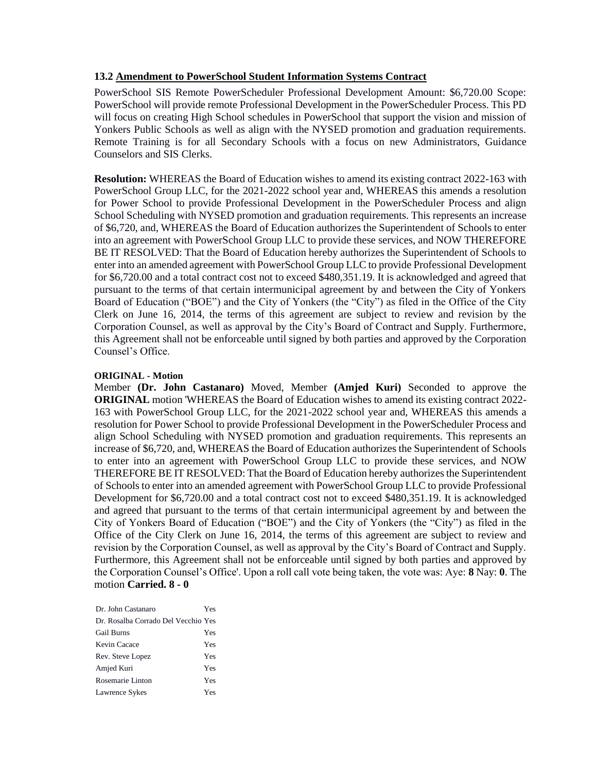#### **13.2 Amendment to PowerSchool Student Information Systems Contract**

PowerSchool SIS Remote PowerScheduler Professional Development Amount: \$6,720.00 Scope: PowerSchool will provide remote Professional Development in the PowerScheduler Process. This PD will focus on creating High School schedules in PowerSchool that support the vision and mission of Yonkers Public Schools as well as align with the NYSED promotion and graduation requirements. Remote Training is for all Secondary Schools with a focus on new Administrators, Guidance Counselors and SIS Clerks.

**Resolution:** WHEREAS the Board of Education wishes to amend its existing contract 2022-163 with PowerSchool Group LLC, for the 2021-2022 school year and, WHEREAS this amends a resolution for Power School to provide Professional Development in the PowerScheduler Process and align School Scheduling with NYSED promotion and graduation requirements. This represents an increase of \$6,720, and, WHEREAS the Board of Education authorizes the Superintendent of Schools to enter into an agreement with PowerSchool Group LLC to provide these services, and NOW THEREFORE BE IT RESOLVED: That the Board of Education hereby authorizes the Superintendent of Schools to enter into an amended agreement with PowerSchool Group LLC to provide Professional Development for \$6,720.00 and a total contract cost not to exceed \$480,351.19. It is acknowledged and agreed that pursuant to the terms of that certain intermunicipal agreement by and between the City of Yonkers Board of Education ("BOE") and the City of Yonkers (the "City") as filed in the Office of the City Clerk on June 16, 2014, the terms of this agreement are subject to review and revision by the Corporation Counsel, as well as approval by the City's Board of Contract and Supply. Furthermore, this Agreement shall not be enforceable until signed by both parties and approved by the Corporation Counsel's Office.

#### **ORIGINAL - Motion**

Member **(Dr. John Castanaro)** Moved, Member **(Amjed Kuri)** Seconded to approve the **ORIGINAL** motion 'WHEREAS the Board of Education wishes to amend its existing contract 2022- 163 with PowerSchool Group LLC, for the 2021-2022 school year and, WHEREAS this amends a resolution for Power School to provide Professional Development in the PowerScheduler Process and align School Scheduling with NYSED promotion and graduation requirements. This represents an increase of \$6,720, and, WHEREAS the Board of Education authorizes the Superintendent of Schools to enter into an agreement with PowerSchool Group LLC to provide these services, and NOW THEREFORE BE IT RESOLVED: That the Board of Education hereby authorizes the Superintendent of Schools to enter into an amended agreement with PowerSchool Group LLC to provide Professional Development for \$6,720.00 and a total contract cost not to exceed \$480,351.19. It is acknowledged and agreed that pursuant to the terms of that certain intermunicipal agreement by and between the City of Yonkers Board of Education ("BOE") and the City of Yonkers (the "City") as filed in the Office of the City Clerk on June 16, 2014, the terms of this agreement are subject to review and revision by the Corporation Counsel, as well as approval by the City's Board of Contract and Supply. Furthermore, this Agreement shall not be enforceable until signed by both parties and approved by the Corporation Counsel's Office'. Upon a roll call vote being taken, the vote was: Aye: **8** Nay: **0**. The motion **Carried. 8 - 0** 

| Dr. John Castanaro                  | Yes |
|-------------------------------------|-----|
| Dr. Rosalba Corrado Del Vecchio Yes |     |
| <b>Gail Burns</b>                   | Yes |
| Kevin Cacace                        | Yes |
| Rev. Steve Lopez                    | Yes |
| Amjed Kuri                          | Yes |
| Rosemarie Linton                    | Yes |
| Lawrence Sykes                      | Yes |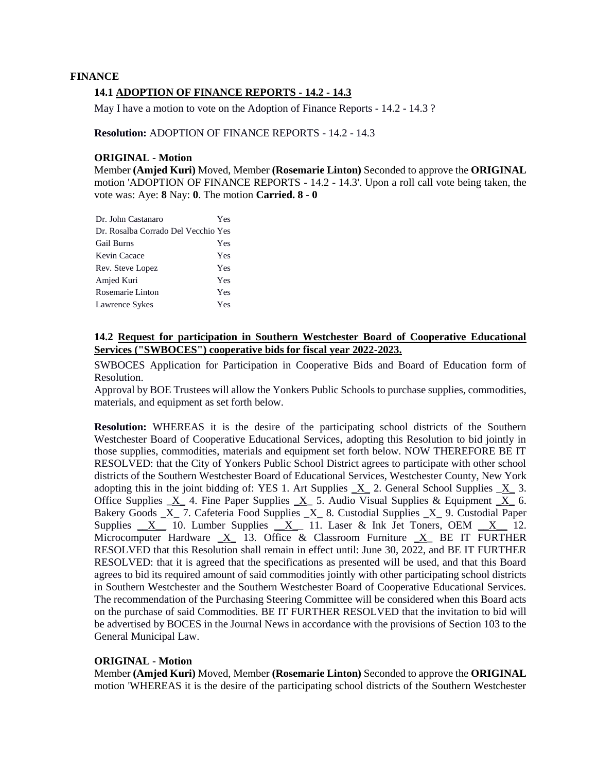# **FINANCE 14.1 ADOPTION OF FINANCE REPORTS - 14.2 - 14.3**

May I have a motion to vote on the Adoption of Finance Reports - 14.2 - 14.3 ?

**Resolution:** ADOPTION OF FINANCE REPORTS - 14.2 - 14.3

### **ORIGINAL - Motion**

Member **(Amjed Kuri)** Moved, Member **(Rosemarie Linton)** Seconded to approve the **ORIGINAL**  motion 'ADOPTION OF FINANCE REPORTS - 14.2 - 14.3'. Upon a roll call vote being taken, the vote was: Aye: **8** Nay: **0**. The motion **Carried. 8 - 0** 

| Dr. John Castanaro                  | <b>Yes</b> |
|-------------------------------------|------------|
| Dr. Rosalba Corrado Del Vecchio Yes |            |
| <b>Gail Burns</b>                   | Yes        |
| Kevin Cacace                        | Yes        |
| Rev. Steve Lopez                    | Yes        |
| Amjed Kuri                          | <b>Yes</b> |
| Rosemarie Linton                    | <b>Yes</b> |
| Lawrence Sykes                      | Yes        |

## **14.2 Request for participation in Southern Westchester Board of Cooperative Educational Services ("SWBOCES") cooperative bids for fiscal year 2022-2023.**

SWBOCES Application for Participation in Cooperative Bids and Board of Education form of Resolution.

Approval by BOE Trustees will allow the Yonkers Public Schools to purchase supplies, commodities, materials, and equipment as set forth below.

**Resolution:** WHEREAS it is the desire of the participating school districts of the Southern Westchester Board of Cooperative Educational Services, adopting this Resolution to bid jointly in those supplies, commodities, materials and equipment set forth below. NOW THEREFORE BE IT RESOLVED: that the City of Yonkers Public School District agrees to participate with other school districts of the Southern Westchester Board of Educational Services, Westchester County, New York adopting this in the joint bidding of: YES 1. Art Supplies  $\bar{X}$  2. General School Supplies  $\bar{X}$  3. Office Supplies  $X$  4. Fine Paper Supplies  $X$  5. Audio Visual Supplies & Equipment  $X$  6. Bakery Goods  $X$  7. Cafeteria Food Supplies  $X$  8. Custodial Supplies  $X$  9. Custodial Paper Supplies  $X$  10. Lumber Supplies  $X$  11. Laser & Ink Jet Toners, OEM  $X$  12. Microcomputer Hardware  $X$  13. Office & Classroom Furniture  $X$  BE IT FURTHER RESOLVED that this Resolution shall remain in effect until: June 30, 2022, and BE IT FURTHER RESOLVED: that it is agreed that the specifications as presented will be used, and that this Board agrees to bid its required amount of said commodities jointly with other participating school districts in Southern Westchester and the Southern Westchester Board of Cooperative Educational Services. The recommendation of the Purchasing Steering Committee will be considered when this Board acts on the purchase of said Commodities. BE IT FURTHER RESOLVED that the invitation to bid will be advertised by BOCES in the Journal News in accordance with the provisions of Section 103 to the General Municipal Law.

### **ORIGINAL - Motion**

Member **(Amjed Kuri)** Moved, Member **(Rosemarie Linton)** Seconded to approve the **ORIGINAL**  motion 'WHEREAS it is the desire of the participating school districts of the Southern Westchester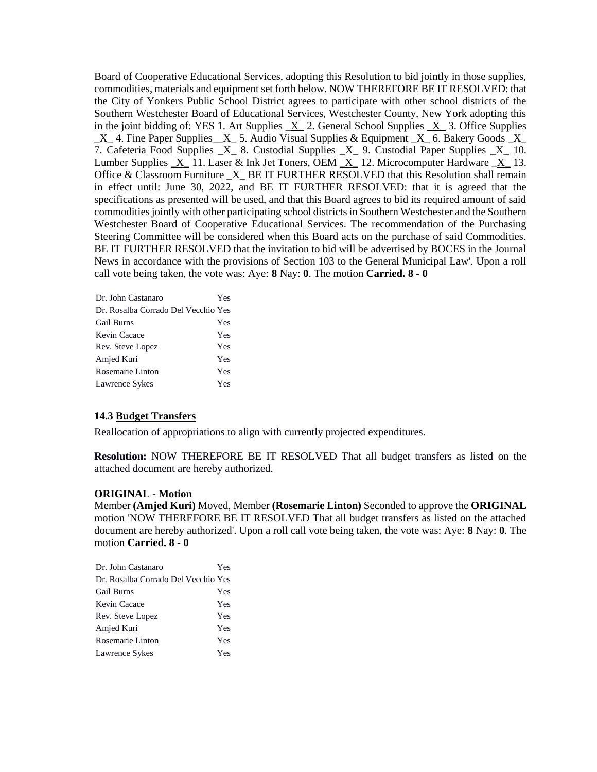Board of Cooperative Educational Services, adopting this Resolution to bid jointly in those supplies, commodities, materials and equipment set forth below. NOW THEREFORE BE IT RESOLVED: that the City of Yonkers Public School District agrees to participate with other school districts of the Southern Westchester Board of Educational Services, Westchester County, New York adopting this in the joint bidding of: YES 1. Art Supplies  $\bar{X}$  2. General School Supplies  $\bar{X}$  3. Office Supplies  $\underline{X}$  4. Fine Paper Supplies  $\underline{X}$  5. Audio Visual Supplies & Equipment  $\underline{X}$  6. Bakery Goods  $\underline{X}$ 7. Cafeteria Food Supplies  $X_8$ . Custodial Supplies  $X_9$ . Custodial Paper Supplies  $X_1$  10. Lumber Supplies  $X_1$  11. Laser & Ink Jet Toners, OEM  $X_1$  12. Microcomputer Hardware  $X_1$  13. Office & Classroom Furniture  $X$  BE IT FURTHER RESOLVED that this Resolution shall remain in effect until: June 30, 2022, and BE IT FURTHER RESOLVED: that it is agreed that the specifications as presented will be used, and that this Board agrees to bid its required amount of said commodities jointly with other participating school districts in Southern Westchester and the Southern Westchester Board of Cooperative Educational Services. The recommendation of the Purchasing Steering Committee will be considered when this Board acts on the purchase of said Commodities. BE IT FURTHER RESOLVED that the invitation to bid will be advertised by BOCES in the Journal News in accordance with the provisions of Section 103 to the General Municipal Law'. Upon a roll call vote being taken, the vote was: Aye: **8** Nay: **0**. The motion **Carried. 8 - 0** 

| Dr. John Castanaro                  | Yes |
|-------------------------------------|-----|
| Dr. Rosalba Corrado Del Vecchio Yes |     |
| <b>Gail Burns</b>                   | Yes |
| Kevin Cacace                        | Yes |
| Rev. Steve Lopez                    | Yes |
| Amjed Kuri                          | Yes |
| Rosemarie Linton                    | Yes |
| Lawrence Sykes                      | Yes |

### **14.3 Budget Transfers**

Reallocation of appropriations to align with currently projected expenditures.

**Resolution:** NOW THEREFORE BE IT RESOLVED That all budget transfers as listed on the attached document are hereby authorized.

#### **ORIGINAL - Motion**

Member **(Amjed Kuri)** Moved, Member **(Rosemarie Linton)** Seconded to approve the **ORIGINAL**  motion 'NOW THEREFORE BE IT RESOLVED That all budget transfers as listed on the attached document are hereby authorized'. Upon a roll call vote being taken, the vote was: Aye: **8** Nay: **0**. The motion **Carried. 8 - 0** 

| Dr. John Castanaro                  | Yes |
|-------------------------------------|-----|
| Dr. Rosalba Corrado Del Vecchio Yes |     |
| <b>Gail Burns</b>                   | Yes |
| Kevin Cacace                        | Yes |
| Rev. Steve Lopez                    | Yes |
| Amjed Kuri                          | Yes |
| Rosemarie Linton                    | Yes |
| Lawrence Sykes                      | Yes |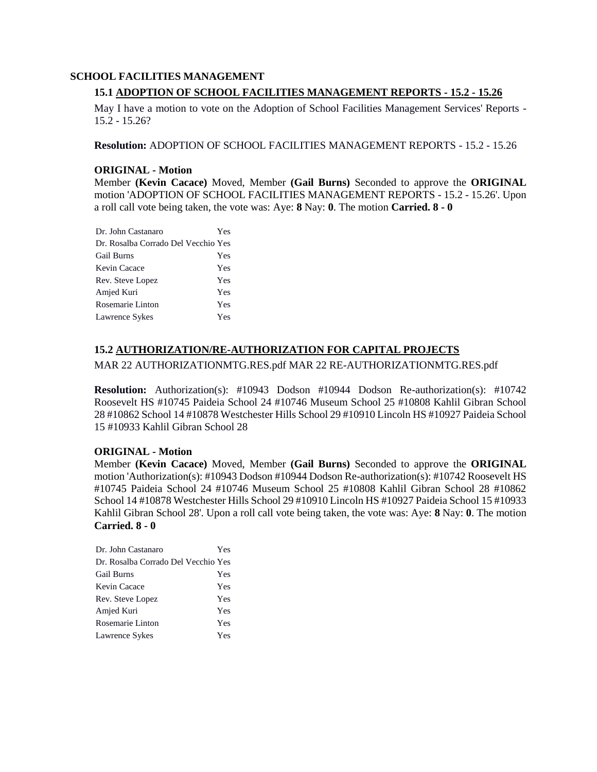#### **SCHOOL FACILITIES MANAGEMENT**

# **15.1 ADOPTION OF SCHOOL FACILITIES MANAGEMENT REPORTS - 15.2 - 15.26**

May I have a motion to vote on the Adoption of School Facilities Management Services' Reports - 15.2 - 15.26?

**Resolution:** ADOPTION OF SCHOOL FACILITIES MANAGEMENT REPORTS - 15.2 - 15.26

#### **ORIGINAL - Motion**

Member **(Kevin Cacace)** Moved, Member **(Gail Burns)** Seconded to approve the **ORIGINAL**  motion 'ADOPTION OF SCHOOL FACILITIES MANAGEMENT REPORTS - 15.2 - 15.26'. Upon a roll call vote being taken, the vote was: Aye: **8** Nay: **0**. The motion **Carried. 8 - 0** 

| Dr. John Castanaro                  | Yes |
|-------------------------------------|-----|
| Dr. Rosalba Corrado Del Vecchio Yes |     |
| <b>Gail Burns</b>                   | Yes |
| Kevin Cacace                        | Yes |
| Rev. Steve Lopez                    | Yes |
| Amjed Kuri                          | Yes |
| Rosemarie Linton                    | Yes |
| Lawrence Sykes                      | Yes |

## **15.2 AUTHORIZATION/RE-AUTHORIZATION FOR CAPITAL PROJECTS**

### MAR 22 AUTHORIZATIONMTG.RES.pdf MAR 22 RE-AUTHORIZATIONMTG.RES.pdf

**Resolution:** Authorization(s): #10943 Dodson #10944 Dodson Re-authorization(s): #10742 Roosevelt HS #10745 Paideia School 24 #10746 Museum School 25 #10808 Kahlil Gibran School 28 #10862 School 14 #10878 Westchester Hills School 29 #10910 Lincoln HS #10927 Paideia School 15 #10933 Kahlil Gibran School 28

### **ORIGINAL - Motion**

Member **(Kevin Cacace)** Moved, Member **(Gail Burns)** Seconded to approve the **ORIGINAL**  motion 'Authorization(s): #10943 Dodson #10944 Dodson Re-authorization(s): #10742 Roosevelt HS #10745 Paideia School 24 #10746 Museum School 25 #10808 Kahlil Gibran School 28 #10862 School 14 #10878 Westchester Hills School 29 #10910 Lincoln HS #10927 Paideia School 15 #10933 Kahlil Gibran School 28'. Upon a roll call vote being taken, the vote was: Aye: **8** Nay: **0**. The motion **Carried. 8 - 0** 

| Dr. John Castanaro                  | Yes |
|-------------------------------------|-----|
| Dr. Rosalba Corrado Del Vecchio Yes |     |
| <b>Gail Burns</b>                   | Yes |
| Kevin Cacace                        | Yes |
| Rev. Steve Lopez                    | Yes |
| Amjed Kuri                          | Yes |
| Rosemarie Linton                    | Yes |
| Lawrence Sykes                      | Yes |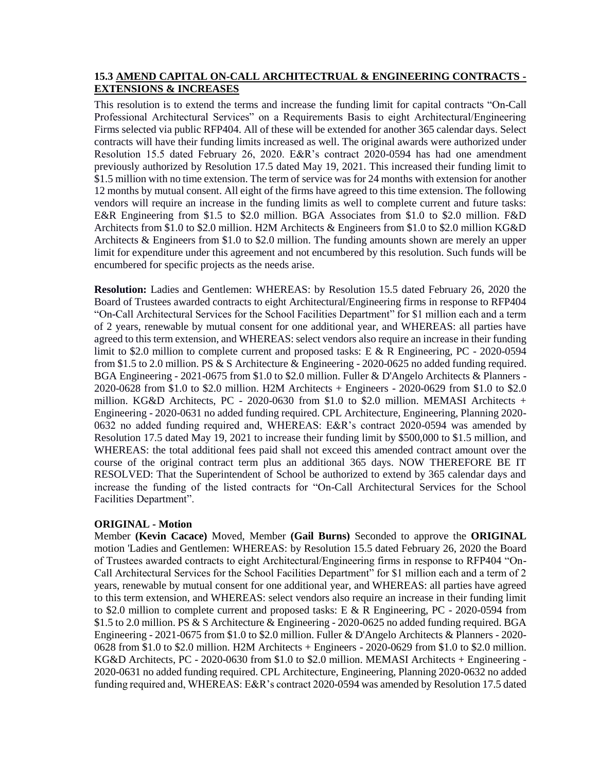### **15.3 AMEND CAPITAL ON-CALL ARCHITECTRUAL & ENGINEERING CONTRACTS - EXTENSIONS & INCREASES**

This resolution is to extend the terms and increase the funding limit for capital contracts "On-Call Professional Architectural Services" on a Requirements Basis to eight Architectural/Engineering Firms selected via public RFP404. All of these will be extended for another 365 calendar days. Select contracts will have their funding limits increased as well. The original awards were authorized under Resolution 15.5 dated February 26, 2020. E&R's contract 2020-0594 has had one amendment previously authorized by Resolution 17.5 dated May 19, 2021. This increased their funding limit to \$1.5 million with no time extension. The term of service was for 24 months with extension for another 12 months by mutual consent. All eight of the firms have agreed to this time extension. The following vendors will require an increase in the funding limits as well to complete current and future tasks: E&R Engineering from \$1.5 to \$2.0 million. BGA Associates from \$1.0 to \$2.0 million. F&D Architects from \$1.0 to \$2.0 million. H2M Architects & Engineers from \$1.0 to \$2.0 million KG&D Architects & Engineers from \$1.0 to \$2.0 million. The funding amounts shown are merely an upper limit for expenditure under this agreement and not encumbered by this resolution. Such funds will be encumbered for specific projects as the needs arise.

**Resolution:** Ladies and Gentlemen: WHEREAS: by Resolution 15.5 dated February 26, 2020 the Board of Trustees awarded contracts to eight Architectural/Engineering firms in response to RFP404 "On-Call Architectural Services for the School Facilities Department" for \$1 million each and a term of 2 years, renewable by mutual consent for one additional year, and WHEREAS: all parties have agreed to this term extension, and WHEREAS: select vendors also require an increase in their funding limit to \$2.0 million to complete current and proposed tasks: E & R Engineering, PC - 2020-0594 from \$1.5 to 2.0 million. PS & S Architecture & Engineering - 2020-0625 no added funding required. BGA Engineering - 2021-0675 from \$1.0 to \$2.0 million. Fuller & D'Angelo Architects & Planners - 2020-0628 from \$1.0 to \$2.0 million. H2M Architects + Engineers - 2020-0629 from \$1.0 to \$2.0 million. KG&D Architects, PC - 2020-0630 from \$1.0 to \$2.0 million. MEMASI Architects + Engineering - 2020-0631 no added funding required. CPL Architecture, Engineering, Planning 2020- 0632 no added funding required and, WHEREAS: E&R's contract 2020-0594 was amended by Resolution 17.5 dated May 19, 2021 to increase their funding limit by \$500,000 to \$1.5 million, and WHEREAS: the total additional fees paid shall not exceed this amended contract amount over the course of the original contract term plus an additional 365 days. NOW THEREFORE BE IT RESOLVED: That the Superintendent of School be authorized to extend by 365 calendar days and increase the funding of the listed contracts for "On-Call Architectural Services for the School Facilities Department".

### **ORIGINAL - Motion**

Member **(Kevin Cacace)** Moved, Member **(Gail Burns)** Seconded to approve the **ORIGINAL**  motion 'Ladies and Gentlemen: WHEREAS: by Resolution 15.5 dated February 26, 2020 the Board of Trustees awarded contracts to eight Architectural/Engineering firms in response to RFP404 "On-Call Architectural Services for the School Facilities Department" for \$1 million each and a term of 2 years, renewable by mutual consent for one additional year, and WHEREAS: all parties have agreed to this term extension, and WHEREAS: select vendors also require an increase in their funding limit to \$2.0 million to complete current and proposed tasks: E & R Engineering, PC - 2020-0594 from \$1.5 to 2.0 million. PS & S Architecture & Engineering - 2020-0625 no added funding required. BGA Engineering - 2021-0675 from \$1.0 to \$2.0 million. Fuller & D'Angelo Architects & Planners - 2020- 0628 from \$1.0 to \$2.0 million. H2M Architects + Engineers - 2020-0629 from \$1.0 to \$2.0 million. KG&D Architects, PC - 2020-0630 from \$1.0 to \$2.0 million. MEMASI Architects + Engineering - 2020-0631 no added funding required. CPL Architecture, Engineering, Planning 2020-0632 no added funding required and, WHEREAS: E&R's contract 2020-0594 was amended by Resolution 17.5 dated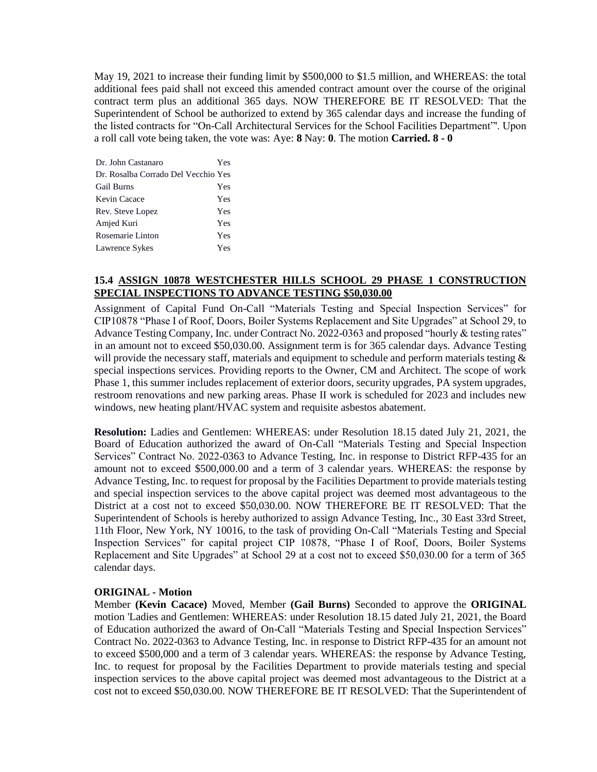May 19, 2021 to increase their funding limit by \$500,000 to \$1.5 million, and WHEREAS: the total additional fees paid shall not exceed this amended contract amount over the course of the original contract term plus an additional 365 days. NOW THEREFORE BE IT RESOLVED: That the Superintendent of School be authorized to extend by 365 calendar days and increase the funding of the listed contracts for "On-Call Architectural Services for the School Facilities Department"'. Upon a roll call vote being taken, the vote was: Aye: **8** Nay: **0**. The motion **Carried. 8 - 0** 

| Dr. John Castanaro                  | Yes |
|-------------------------------------|-----|
| Dr. Rosalba Corrado Del Vecchio Yes |     |
| <b>Gail Burns</b>                   | Yes |
| Kevin Cacace                        | Yes |
| Rev. Steve Lopez                    | Yes |
| Amjed Kuri                          | Yes |
| Rosemarie Linton                    | Yes |
| Lawrence Sykes                      | Yes |

# **15.4 ASSIGN 10878 WESTCHESTER HILLS SCHOOL 29 PHASE 1 CONSTRUCTION SPECIAL INSPECTIONS TO ADVANCE TESTING \$50,030.00**

Assignment of Capital Fund On-Call "Materials Testing and Special Inspection Services" for CIP10878 "Phase I of Roof, Doors, Boiler Systems Replacement and Site Upgrades" at School 29, to Advance Testing Company, Inc. under Contract No. 2022-0363 and proposed "hourly & testing rates" in an amount not to exceed \$50,030.00. Assignment term is for 365 calendar days. Advance Testing will provide the necessary staff, materials and equipment to schedule and perform materials testing & special inspections services. Providing reports to the Owner, CM and Architect. The scope of work Phase 1, this summer includes replacement of exterior doors, security upgrades, PA system upgrades, restroom renovations and new parking areas. Phase II work is scheduled for 2023 and includes new windows, new heating plant/HVAC system and requisite asbestos abatement.

**Resolution:** Ladies and Gentlemen: WHEREAS: under Resolution 18.15 dated July 21, 2021, the Board of Education authorized the award of On-Call "Materials Testing and Special Inspection Services" Contract No. 2022-0363 to Advance Testing, Inc. in response to District RFP-435 for an amount not to exceed \$500,000.00 and a term of 3 calendar years. WHEREAS: the response by Advance Testing, Inc. to request for proposal by the Facilities Department to provide materials testing and special inspection services to the above capital project was deemed most advantageous to the District at a cost not to exceed \$50,030.00. NOW THEREFORE BE IT RESOLVED: That the Superintendent of Schools is hereby authorized to assign Advance Testing, Inc., 30 East 33rd Street, 11th Floor, New York, NY 10016, to the task of providing On-Call "Materials Testing and Special Inspection Services" for capital project CIP 10878, "Phase I of Roof, Doors, Boiler Systems Replacement and Site Upgrades" at School 29 at a cost not to exceed \$50,030.00 for a term of 365 calendar days.

### **ORIGINAL - Motion**

Member **(Kevin Cacace)** Moved, Member **(Gail Burns)** Seconded to approve the **ORIGINAL**  motion 'Ladies and Gentlemen: WHEREAS: under Resolution 18.15 dated July 21, 2021, the Board of Education authorized the award of On-Call "Materials Testing and Special Inspection Services" Contract No. 2022-0363 to Advance Testing, Inc. in response to District RFP-435 for an amount not to exceed \$500,000 and a term of 3 calendar years. WHEREAS: the response by Advance Testing, Inc. to request for proposal by the Facilities Department to provide materials testing and special inspection services to the above capital project was deemed most advantageous to the District at a cost not to exceed \$50,030.00. NOW THEREFORE BE IT RESOLVED: That the Superintendent of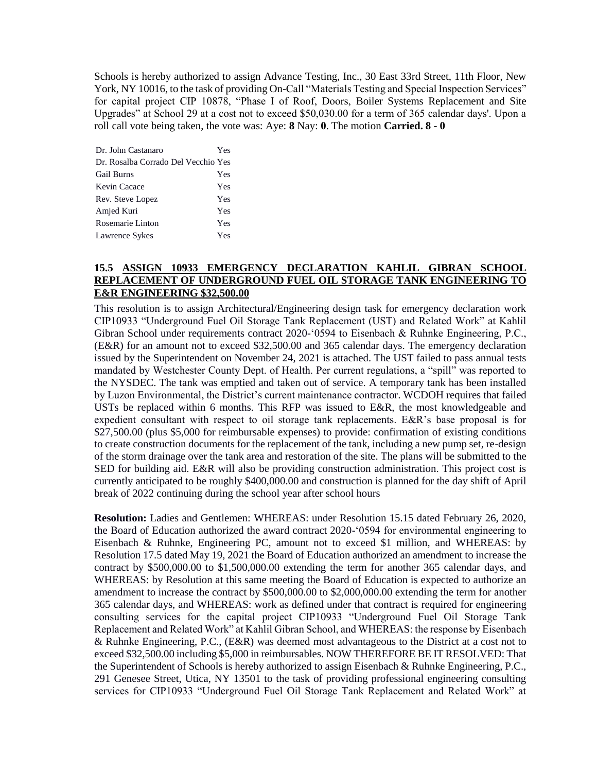Schools is hereby authorized to assign Advance Testing, Inc., 30 East 33rd Street, 11th Floor, New York, NY 10016, to the task of providing On-Call "Materials Testing and Special Inspection Services" for capital project CIP 10878, "Phase I of Roof, Doors, Boiler Systems Replacement and Site Upgrades" at School 29 at a cost not to exceed \$50,030.00 for a term of 365 calendar days'. Upon a roll call vote being taken, the vote was: Aye: **8** Nay: **0**. The motion **Carried. 8 - 0** 

| Dr. John Castanaro                  | Yes |
|-------------------------------------|-----|
| Dr. Rosalba Corrado Del Vecchio Yes |     |
| <b>Gail Burns</b>                   | Yes |
| Kevin Cacace                        | Yes |
| Rev. Steve Lopez                    | Yes |
| Amjed Kuri                          | Yes |
| Rosemarie Linton                    | Yes |
| Lawrence Sykes                      | Yes |

# **15.5 ASSIGN 10933 EMERGENCY DECLARATION KAHLIL GIBRAN SCHOOL REPLACEMENT OF UNDERGROUND FUEL OIL STORAGE TANK ENGINEERING TO E&R ENGINEERING \$32,500.00**

This resolution is to assign Architectural/Engineering design task for emergency declaration work CIP10933 "Underground Fuel Oil Storage Tank Replacement (UST) and Related Work" at Kahlil Gibran School under requirements contract 2020-'0594 to Eisenbach & Ruhnke Engineering, P.C., (E&R) for an amount not to exceed \$32,500.00 and 365 calendar days. The emergency declaration issued by the Superintendent on November 24, 2021 is attached. The UST failed to pass annual tests mandated by Westchester County Dept. of Health. Per current regulations, a "spill" was reported to the NYSDEC. The tank was emptied and taken out of service. A temporary tank has been installed by Luzon Environmental, the District's current maintenance contractor. WCDOH requires that failed USTs be replaced within 6 months. This RFP was issued to E&R, the most knowledgeable and expedient consultant with respect to oil storage tank replacements. E&R's base proposal is for \$27,500.00 (plus \$5,000 for reimbursable expenses) to provide: confirmation of existing conditions to create construction documents for the replacement of the tank, including a new pump set, re-design of the storm drainage over the tank area and restoration of the site. The plans will be submitted to the SED for building aid. E&R will also be providing construction administration. This project cost is currently anticipated to be roughly \$400,000.00 and construction is planned for the day shift of April break of 2022 continuing during the school year after school hours

**Resolution:** Ladies and Gentlemen: WHEREAS: under Resolution 15.15 dated February 26, 2020, the Board of Education authorized the award contract 2020-'0594 for environmental engineering to Eisenbach & Ruhnke, Engineering PC, amount not to exceed \$1 million, and WHEREAS: by Resolution 17.5 dated May 19, 2021 the Board of Education authorized an amendment to increase the contract by \$500,000.00 to \$1,500,000.00 extending the term for another 365 calendar days, and WHEREAS: by Resolution at this same meeting the Board of Education is expected to authorize an amendment to increase the contract by \$500,000.00 to \$2,000,000.00 extending the term for another 365 calendar days, and WHEREAS: work as defined under that contract is required for engineering consulting services for the capital project CIP10933 "Underground Fuel Oil Storage Tank Replacement and Related Work" at Kahlil Gibran School, and WHEREAS: the response by Eisenbach & Ruhnke Engineering, P.C., (E&R) was deemed most advantageous to the District at a cost not to exceed \$32,500.00 including \$5,000 in reimbursables. NOW THEREFORE BE IT RESOLVED: That the Superintendent of Schools is hereby authorized to assign Eisenbach & Ruhnke Engineering, P.C., 291 Genesee Street, Utica, NY 13501 to the task of providing professional engineering consulting services for CIP10933 "Underground Fuel Oil Storage Tank Replacement and Related Work" at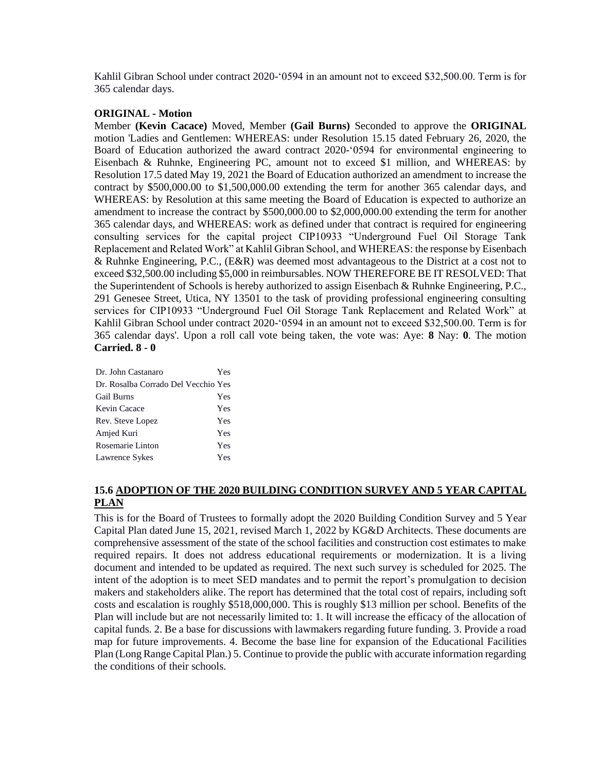Kahlil Gibran School under contract 2020-'0594 in an amount not to exceed \$32,500.00. Term is for 365 calendar days.

#### **ORIGINAL - Motion**

Member **(Kevin Cacace)** Moved, Member **(Gail Burns)** Seconded to approve the **ORIGINAL**  motion 'Ladies and Gentlemen: WHEREAS: under Resolution 15.15 dated February 26, 2020, the Board of Education authorized the award contract 2020-'0594 for environmental engineering to Eisenbach & Ruhnke, Engineering PC, amount not to exceed \$1 million, and WHEREAS: by Resolution 17.5 dated May 19, 2021 the Board of Education authorized an amendment to increase the contract by \$500,000.00 to \$1,500,000.00 extending the term for another 365 calendar days, and WHEREAS: by Resolution at this same meeting the Board of Education is expected to authorize an amendment to increase the contract by \$500,000.00 to \$2,000,000.00 extending the term for another 365 calendar days, and WHEREAS: work as defined under that contract is required for engineering consulting services for the capital project CIP10933 "Underground Fuel Oil Storage Tank Replacement and Related Work" at Kahlil Gibran School, and WHEREAS: the response by Eisenbach & Ruhnke Engineering, P.C., (E&R) was deemed most advantageous to the District at a cost not to exceed \$32,500.00 including \$5,000 in reimbursables. NOW THEREFORE BE IT RESOLVED: That the Superintendent of Schools is hereby authorized to assign Eisenbach & Ruhnke Engineering, P.C., 291 Genesee Street, Utica, NY 13501 to the task of providing professional engineering consulting services for CIP10933 "Underground Fuel Oil Storage Tank Replacement and Related Work" at Kahlil Gibran School under contract 2020-'0594 in an amount not to exceed \$32,500.00. Term is for 365 calendar days'. Upon a roll call vote being taken, the vote was: Aye: **8** Nay: **0**. The motion **Carried. 8 - 0** 

| Dr. John Castanaro                  | Yes |
|-------------------------------------|-----|
| Dr. Rosalba Corrado Del Vecchio Yes |     |
| <b>Gail Burns</b>                   | Yes |
| Kevin Cacace                        | Yes |
| Rev. Steve Lopez                    | Yes |
| Amjed Kuri                          | Yes |
| Rosemarie Linton                    | Yes |
| Lawrence Sykes                      | Yes |

# **15.6 ADOPTION OF THE 2020 BUILDING CONDITION SURVEY AND 5 YEAR CAPITAL PLAN**

This is for the Board of Trustees to formally adopt the 2020 Building Condition Survey and 5 Year Capital Plan dated June 15, 2021, revised March 1, 2022 by KG&D Architects. These documents are comprehensive assessment of the state of the school facilities and construction cost estimates to make required repairs. It does not address educational requirements or modernization. It is a living document and intended to be updated as required. The next such survey is scheduled for 2025. The intent of the adoption is to meet SED mandates and to permit the report's promulgation to decision makers and stakeholders alike. The report has determined that the total cost of repairs, including soft costs and escalation is roughly \$518,000,000. This is roughly \$13 million per school. Benefits of the Plan will include but are not necessarily limited to: 1. It will increase the efficacy of the allocation of capital funds. 2. Be a base for discussions with lawmakers regarding future funding. 3. Provide a road map for future improvements. 4. Become the base line for expansion of the Educational Facilities Plan (Long Range Capital Plan.) 5. Continue to provide the public with accurate information regarding the conditions of their schools.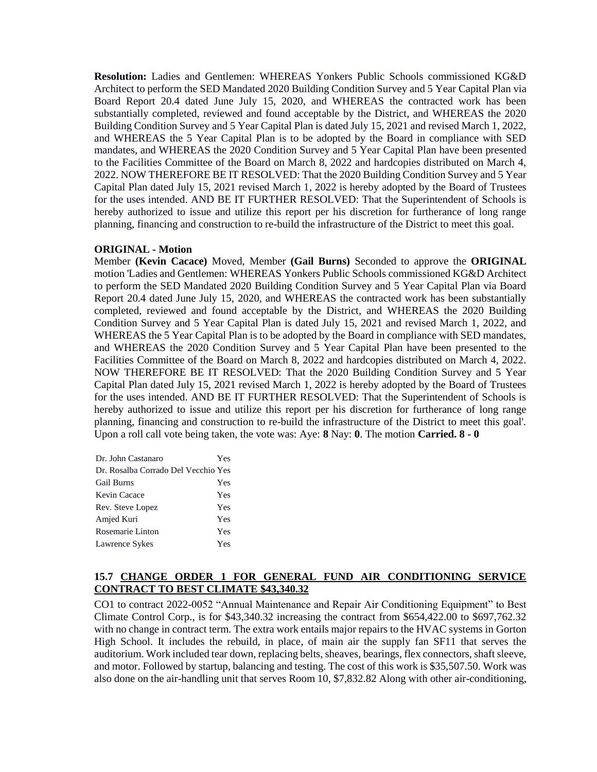**Resolution:** Ladies and Gentlemen: WHEREAS Yonkers Public Schools commissioned KG&D Architect to perform the SED Mandated 2020 Building Condition Survey and 5 Year Capital Plan via Board Report 20.4 dated June July 15, 2020, and WHEREAS the contracted work has been substantially completed, reviewed and found acceptable by the District, and WHEREAS the 2020 Building Condition Survey and 5 Year Capital Plan is dated July 15, 2021 and revised March 1, 2022, and WHEREAS the 5 Year Capital Plan is to be adopted by the Board in compliance with SED mandates, and WHEREAS the 2020 Condition Survey and 5 Year Capital Plan have been presented to the Facilities Committee of the Board on March 8, 2022 and hardcopies distributed on March 4, 2022. NOW THEREFORE BE IT RESOLVED: That the 2020 Building Condition Survey and 5 Year Capital Plan dated July 15, 2021 revised March 1, 2022 is hereby adopted by the Board of Trustees for the uses intended. AND BE IT FURTHER RESOLVED: That the Superintendent of Schools is hereby authorized to issue and utilize this report per his discretion for furtherance of long range planning, financing and construction to re-build the infrastructure of the District to meet this goal.

#### **ORIGINAL - Motion**

Member **(Kevin Cacace)** Moved, Member **(Gail Burns)** Seconded to approve the **ORIGINAL**  motion 'Ladies and Gentlemen: WHEREAS Yonkers Public Schools commissioned KG&D Architect to perform the SED Mandated 2020 Building Condition Survey and 5 Year Capital Plan via Board Report 20.4 dated June July 15, 2020, and WHEREAS the contracted work has been substantially completed, reviewed and found acceptable by the District, and WHEREAS the 2020 Building Condition Survey and 5 Year Capital Plan is dated July 15, 2021 and revised March 1, 2022, and WHEREAS the 5 Year Capital Plan is to be adopted by the Board in compliance with SED mandates, and WHEREAS the 2020 Condition Survey and 5 Year Capital Plan have been presented to the Facilities Committee of the Board on March 8, 2022 and hardcopies distributed on March 4, 2022. NOW THEREFORE BE IT RESOLVED: That the 2020 Building Condition Survey and 5 Year Capital Plan dated July 15, 2021 revised March 1, 2022 is hereby adopted by the Board of Trustees for the uses intended. AND BE IT FURTHER RESOLVED: That the Superintendent of Schools is hereby authorized to issue and utilize this report per his discretion for furtherance of long range planning, financing and construction to re-build the infrastructure of the District to meet this goal'. Upon a roll call vote being taken, the vote was: Aye: **8** Nay: **0**. The motion **Carried. 8 - 0** 

| Dr. John Castanaro                  | Yes |
|-------------------------------------|-----|
| Dr. Rosalba Corrado Del Vecchio Yes |     |
| <b>Gail Burns</b>                   | Yes |
| Kevin Cacace                        | Yes |
| Rev. Steve Lopez                    | Yes |
| Amjed Kuri                          | Yes |
| Rosemarie Linton                    | Yes |
| Lawrence Sykes                      | Yes |

### **15.7 CHANGE ORDER 1 FOR GENERAL FUND AIR CONDITIONING SERVICE CONTRACT TO BEST CLIMATE \$43,340.32**

CO1 to contract 2022-0052 "Annual Maintenance and Repair Air Conditioning Equipment" to Best Climate Control Corp., is for \$43,340.32 increasing the contract from \$654,422.00 to \$697,762.32 with no change in contract term. The extra work entails major repairs to the HVAC systems in Gorton High School. It includes the rebuild, in place, of main air the supply fan SF11 that serves the auditorium. Work included tear down, replacing belts, sheaves, bearings, flex connectors, shaft sleeve, and motor. Followed by startup, balancing and testing. The cost of this work is \$35,507.50. Work was also done on the air-handling unit that serves Room 10, \$7,832.82 Along with other air-conditioning,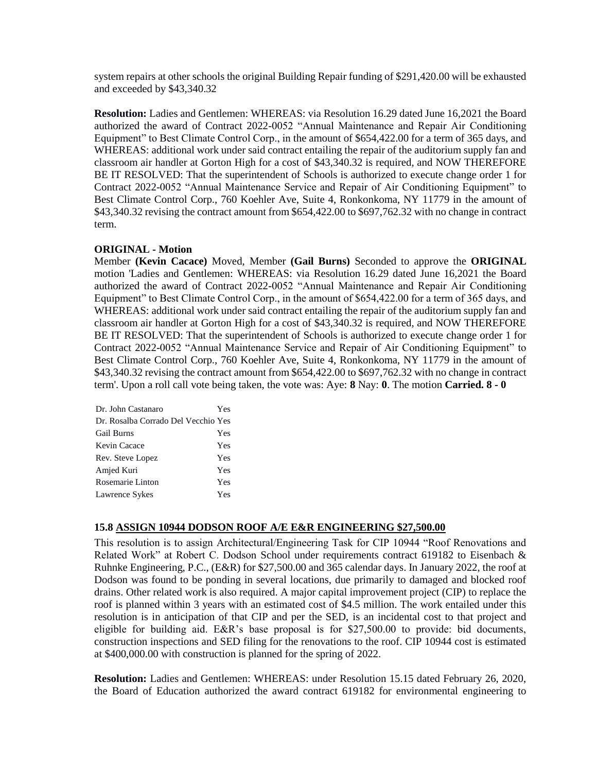system repairs at other schools the original Building Repair funding of \$291,420.00 will be exhausted and exceeded by \$43,340.32

**Resolution:** Ladies and Gentlemen: WHEREAS: via Resolution 16.29 dated June 16,2021 the Board authorized the award of Contract 2022-0052 "Annual Maintenance and Repair Air Conditioning Equipment" to Best Climate Control Corp., in the amount of \$654,422.00 for a term of 365 days, and WHEREAS: additional work under said contract entailing the repair of the auditorium supply fan and classroom air handler at Gorton High for a cost of \$43,340.32 is required, and NOW THEREFORE BE IT RESOLVED: That the superintendent of Schools is authorized to execute change order 1 for Contract 2022-0052 "Annual Maintenance Service and Repair of Air Conditioning Equipment" to Best Climate Control Corp., 760 Koehler Ave, Suite 4, Ronkonkoma, NY 11779 in the amount of \$43,340.32 revising the contract amount from \$654,422.00 to \$697,762.32 with no change in contract term.

### **ORIGINAL - Motion**

Member **(Kevin Cacace)** Moved, Member **(Gail Burns)** Seconded to approve the **ORIGINAL**  motion 'Ladies and Gentlemen: WHEREAS: via Resolution 16.29 dated June 16,2021 the Board authorized the award of Contract 2022-0052 "Annual Maintenance and Repair Air Conditioning Equipment" to Best Climate Control Corp., in the amount of \$654,422.00 for a term of 365 days, and WHEREAS: additional work under said contract entailing the repair of the auditorium supply fan and classroom air handler at Gorton High for a cost of \$43,340.32 is required, and NOW THEREFORE BE IT RESOLVED: That the superintendent of Schools is authorized to execute change order 1 for Contract 2022-0052 "Annual Maintenance Service and Repair of Air Conditioning Equipment" to Best Climate Control Corp., 760 Koehler Ave, Suite 4, Ronkonkoma, NY 11779 in the amount of \$43,340.32 revising the contract amount from \$654,422.00 to \$697,762.32 with no change in contract term'. Upon a roll call vote being taken, the vote was: Aye: **8** Nay: **0**. The motion **Carried. 8 - 0** 

| Dr. John Castanaro                  | Yes |
|-------------------------------------|-----|
| Dr. Rosalba Corrado Del Vecchio Yes |     |
| <b>Gail Burns</b>                   | Yes |
| Kevin Cacace                        | Yes |
| Rev. Steve Lopez                    | Yes |
| Amjed Kuri                          | Yes |
| Rosemarie Linton                    | Yes |
| Lawrence Sykes                      | Yes |

#### **15.8 ASSIGN 10944 DODSON ROOF A/E E&R ENGINEERING \$27,500.00**

This resolution is to assign Architectural/Engineering Task for CIP 10944 "Roof Renovations and Related Work" at Robert C. Dodson School under requirements contract 619182 to Eisenbach & Ruhnke Engineering, P.C., (E&R) for \$27,500.00 and 365 calendar days. In January 2022, the roof at Dodson was found to be ponding in several locations, due primarily to damaged and blocked roof drains. Other related work is also required. A major capital improvement project (CIP) to replace the roof is planned within 3 years with an estimated cost of \$4.5 million. The work entailed under this resolution is in anticipation of that CIP and per the SED, is an incidental cost to that project and eligible for building aid. E&R's base proposal is for \$27,500.00 to provide: bid documents, construction inspections and SED filing for the renovations to the roof. CIP 10944 cost is estimated at \$400,000.00 with construction is planned for the spring of 2022.

**Resolution:** Ladies and Gentlemen: WHEREAS: under Resolution 15.15 dated February 26, 2020, the Board of Education authorized the award contract 619182 for environmental engineering to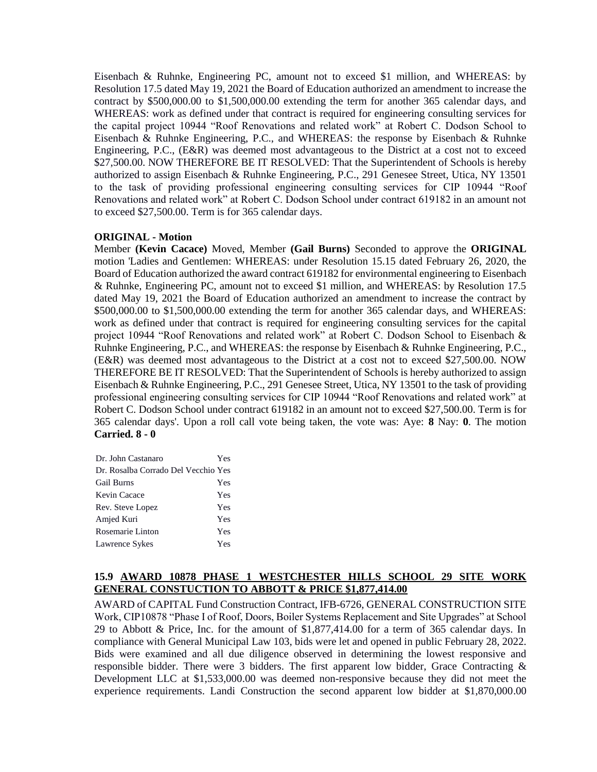Eisenbach & Ruhnke, Engineering PC, amount not to exceed \$1 million, and WHEREAS: by Resolution 17.5 dated May 19, 2021 the Board of Education authorized an amendment to increase the contract by \$500,000.00 to \$1,500,000.00 extending the term for another 365 calendar days, and WHEREAS: work as defined under that contract is required for engineering consulting services for the capital project 10944 "Roof Renovations and related work" at Robert C. Dodson School to Eisenbach & Ruhnke Engineering, P.C., and WHEREAS: the response by Eisenbach & Ruhnke Engineering, P.C., (E&R) was deemed most advantageous to the District at a cost not to exceed \$27,500.00. NOW THEREFORE BE IT RESOLVED: That the Superintendent of Schools is hereby authorized to assign Eisenbach & Ruhnke Engineering, P.C., 291 Genesee Street, Utica, NY 13501 to the task of providing professional engineering consulting services for CIP 10944 "Roof Renovations and related work" at Robert C. Dodson School under contract 619182 in an amount not to exceed \$27,500.00. Term is for 365 calendar days.

#### **ORIGINAL - Motion**

Member **(Kevin Cacace)** Moved, Member **(Gail Burns)** Seconded to approve the **ORIGINAL**  motion 'Ladies and Gentlemen: WHEREAS: under Resolution 15.15 dated February 26, 2020, the Board of Education authorized the award contract 619182 for environmental engineering to Eisenbach & Ruhnke, Engineering PC, amount not to exceed \$1 million, and WHEREAS: by Resolution 17.5 dated May 19, 2021 the Board of Education authorized an amendment to increase the contract by \$500,000.00 to \$1,500,000.00 extending the term for another 365 calendar days, and WHEREAS: work as defined under that contract is required for engineering consulting services for the capital project 10944 "Roof Renovations and related work" at Robert C. Dodson School to Eisenbach & Ruhnke Engineering, P.C., and WHEREAS: the response by Eisenbach & Ruhnke Engineering, P.C., (E&R) was deemed most advantageous to the District at a cost not to exceed \$27,500.00. NOW THEREFORE BE IT RESOLVED: That the Superintendent of Schools is hereby authorized to assign Eisenbach & Ruhnke Engineering, P.C., 291 Genesee Street, Utica, NY 13501 to the task of providing professional engineering consulting services for CIP 10944 "Roof Renovations and related work" at Robert C. Dodson School under contract 619182 in an amount not to exceed \$27,500.00. Term is for 365 calendar days'. Upon a roll call vote being taken, the vote was: Aye: **8** Nay: **0**. The motion **Carried. 8 - 0** 

| Dr. John Castanaro                  | Yes |
|-------------------------------------|-----|
| Dr. Rosalba Corrado Del Vecchio Yes |     |
| <b>Gail Burns</b>                   | Yes |
| Kevin Cacace                        | Yes |
| Rev. Steve Lopez                    | Yes |
| Amjed Kuri                          | Yes |
| Rosemarie Linton                    | Yes |
| Lawrence Sykes                      | Yes |

### **15.9 AWARD 10878 PHASE 1 WESTCHESTER HILLS SCHOOL 29 SITE WORK GENERAL CONSTUCTION TO ABBOTT & PRICE \$1,877,414.00**

AWARD of CAPITAL Fund Construction Contract, IFB-6726, GENERAL CONSTRUCTION SITE Work, CIP10878 "Phase I of Roof, Doors, Boiler Systems Replacement and Site Upgrades" at School 29 to Abbott & Price, Inc. for the amount of \$1,877,414.00 for a term of 365 calendar days. In compliance with General Municipal Law 103, bids were let and opened in public February 28, 2022. Bids were examined and all due diligence observed in determining the lowest responsive and responsible bidder. There were 3 bidders. The first apparent low bidder, Grace Contracting & Development LLC at \$1,533,000.00 was deemed non-responsive because they did not meet the experience requirements. Landi Construction the second apparent low bidder at \$1,870,000.00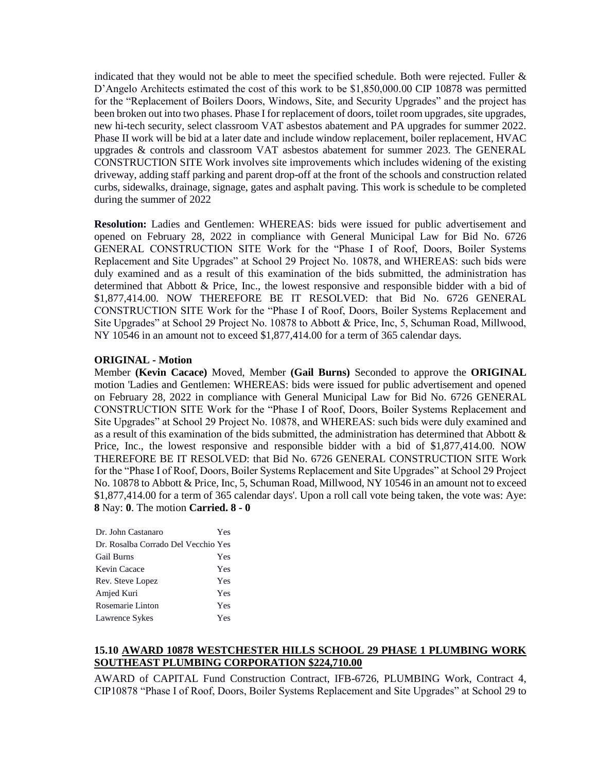indicated that they would not be able to meet the specified schedule. Both were rejected. Fuller  $\&$ D'Angelo Architects estimated the cost of this work to be \$1,850,000.00 CIP 10878 was permitted for the "Replacement of Boilers Doors, Windows, Site, and Security Upgrades" and the project has been broken out into two phases. Phase I for replacement of doors, toilet room upgrades, site upgrades, new hi-tech security, select classroom VAT asbestos abatement and PA upgrades for summer 2022. Phase II work will be bid at a later date and include window replacement, boiler replacement, HVAC upgrades & controls and classroom VAT asbestos abatement for summer 2023. The GENERAL CONSTRUCTION SITE Work involves site improvements which includes widening of the existing driveway, adding staff parking and parent drop-off at the front of the schools and construction related curbs, sidewalks, drainage, signage, gates and asphalt paving. This work is schedule to be completed during the summer of 2022

**Resolution:** Ladies and Gentlemen: WHEREAS: bids were issued for public advertisement and opened on February 28, 2022 in compliance with General Municipal Law for Bid No. 6726 GENERAL CONSTRUCTION SITE Work for the "Phase I of Roof, Doors, Boiler Systems Replacement and Site Upgrades" at School 29 Project No. 10878, and WHEREAS: such bids were duly examined and as a result of this examination of the bids submitted, the administration has determined that Abbott & Price, Inc., the lowest responsive and responsible bidder with a bid of \$1,877,414.00. NOW THEREFORE BE IT RESOLVED: that Bid No. 6726 GENERAL CONSTRUCTION SITE Work for the "Phase I of Roof, Doors, Boiler Systems Replacement and Site Upgrades" at School 29 Project No. 10878 to Abbott & Price, Inc, 5, Schuman Road, Millwood, NY 10546 in an amount not to exceed \$1,877,414.00 for a term of 365 calendar days.

#### **ORIGINAL - Motion**

Member **(Kevin Cacace)** Moved, Member **(Gail Burns)** Seconded to approve the **ORIGINAL**  motion 'Ladies and Gentlemen: WHEREAS: bids were issued for public advertisement and opened on February 28, 2022 in compliance with General Municipal Law for Bid No. 6726 GENERAL CONSTRUCTION SITE Work for the "Phase I of Roof, Doors, Boiler Systems Replacement and Site Upgrades" at School 29 Project No. 10878, and WHEREAS: such bids were duly examined and as a result of this examination of the bids submitted, the administration has determined that Abbott & Price, Inc., the lowest responsive and responsible bidder with a bid of \$1,877,414.00. NOW THEREFORE BE IT RESOLVED: that Bid No. 6726 GENERAL CONSTRUCTION SITE Work for the "Phase I of Roof, Doors, Boiler Systems Replacement and Site Upgrades" at School 29 Project No. 10878 to Abbott & Price, Inc, 5, Schuman Road, Millwood, NY 10546 in an amount not to exceed \$1,877,414.00 for a term of 365 calendar days'. Upon a roll call vote being taken, the vote was: Aye: **8** Nay: **0**. The motion **Carried. 8 - 0** 

| Dr. John Castanaro                  | Yes |
|-------------------------------------|-----|
| Dr. Rosalba Corrado Del Vecchio Yes |     |
| <b>Gail Burns</b>                   | Yes |
| Kevin Cacace                        | Yes |
| Rev. Steve Lopez                    | Yes |
| Amjed Kuri                          | Yes |
| Rosemarie Linton                    | Yes |
| Lawrence Sykes                      | Yes |

# **15.10 AWARD 10878 WESTCHESTER HILLS SCHOOL 29 PHASE 1 PLUMBING WORK SOUTHEAST PLUMBING CORPORATION \$224,710.00**

AWARD of CAPITAL Fund Construction Contract, IFB-6726, PLUMBING Work, Contract 4, CIP10878 "Phase I of Roof, Doors, Boiler Systems Replacement and Site Upgrades" at School 29 to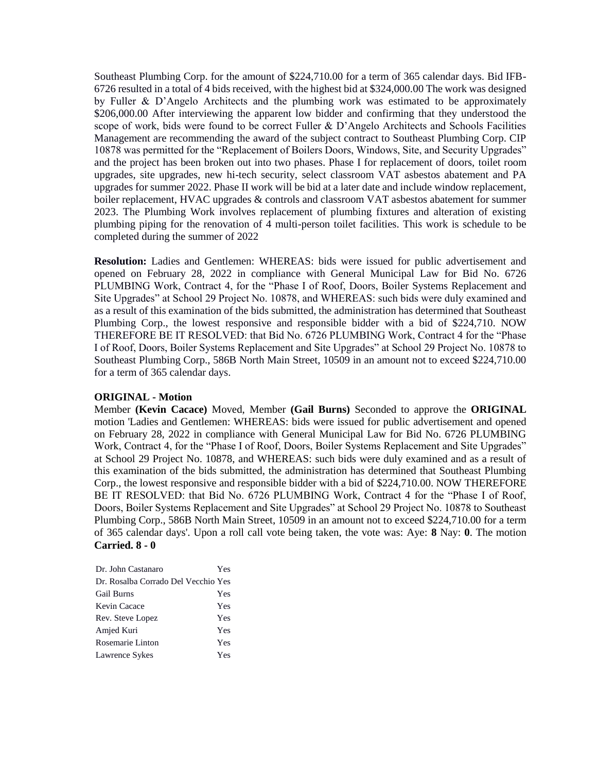Southeast Plumbing Corp. for the amount of \$224,710.00 for a term of 365 calendar days. Bid IFB-6726 resulted in a total of 4 bids received, with the highest bid at \$324,000.00 The work was designed by Fuller & D'Angelo Architects and the plumbing work was estimated to be approximately \$206,000.00 After interviewing the apparent low bidder and confirming that they understood the scope of work, bids were found to be correct Fuller & D'Angelo Architects and Schools Facilities Management are recommending the award of the subject contract to Southeast Plumbing Corp. CIP 10878 was permitted for the "Replacement of Boilers Doors, Windows, Site, and Security Upgrades" and the project has been broken out into two phases. Phase I for replacement of doors, toilet room upgrades, site upgrades, new hi-tech security, select classroom VAT asbestos abatement and PA upgrades for summer 2022. Phase II work will be bid at a later date and include window replacement, boiler replacement, HVAC upgrades & controls and classroom VAT asbestos abatement for summer 2023. The Plumbing Work involves replacement of plumbing fixtures and alteration of existing plumbing piping for the renovation of 4 multi-person toilet facilities. This work is schedule to be completed during the summer of 2022

**Resolution:** Ladies and Gentlemen: WHEREAS: bids were issued for public advertisement and opened on February 28, 2022 in compliance with General Municipal Law for Bid No. 6726 PLUMBING Work, Contract 4, for the "Phase I of Roof, Doors, Boiler Systems Replacement and Site Upgrades" at School 29 Project No. 10878, and WHEREAS: such bids were duly examined and as a result of this examination of the bids submitted, the administration has determined that Southeast Plumbing Corp., the lowest responsive and responsible bidder with a bid of \$224,710. NOW THEREFORE BE IT RESOLVED: that Bid No. 6726 PLUMBING Work, Contract 4 for the "Phase I of Roof, Doors, Boiler Systems Replacement and Site Upgrades" at School 29 Project No. 10878 to Southeast Plumbing Corp., 586B North Main Street, 10509 in an amount not to exceed \$224,710.00 for a term of 365 calendar days.

#### **ORIGINAL - Motion**

Member **(Kevin Cacace)** Moved, Member **(Gail Burns)** Seconded to approve the **ORIGINAL**  motion 'Ladies and Gentlemen: WHEREAS: bids were issued for public advertisement and opened on February 28, 2022 in compliance with General Municipal Law for Bid No. 6726 PLUMBING Work, Contract 4, for the "Phase I of Roof, Doors, Boiler Systems Replacement and Site Upgrades" at School 29 Project No. 10878, and WHEREAS: such bids were duly examined and as a result of this examination of the bids submitted, the administration has determined that Southeast Plumbing Corp., the lowest responsive and responsible bidder with a bid of \$224,710.00. NOW THEREFORE BE IT RESOLVED: that Bid No. 6726 PLUMBING Work, Contract 4 for the "Phase I of Roof, Doors, Boiler Systems Replacement and Site Upgrades" at School 29 Project No. 10878 to Southeast Plumbing Corp., 586B North Main Street, 10509 in an amount not to exceed \$224,710.00 for a term of 365 calendar days'. Upon a roll call vote being taken, the vote was: Aye: **8** Nay: **0**. The motion **Carried. 8 - 0** 

| Dr. John Castanaro                  | Yes |
|-------------------------------------|-----|
| Dr. Rosalba Corrado Del Vecchio Yes |     |
| <b>Gail Burns</b>                   | Yes |
| Kevin Cacace                        | Yes |
| Rev. Steve Lopez                    | Yes |
| Amjed Kuri                          | Yes |
| Rosemarie Linton                    | Yes |
| Lawrence Sykes                      | Yes |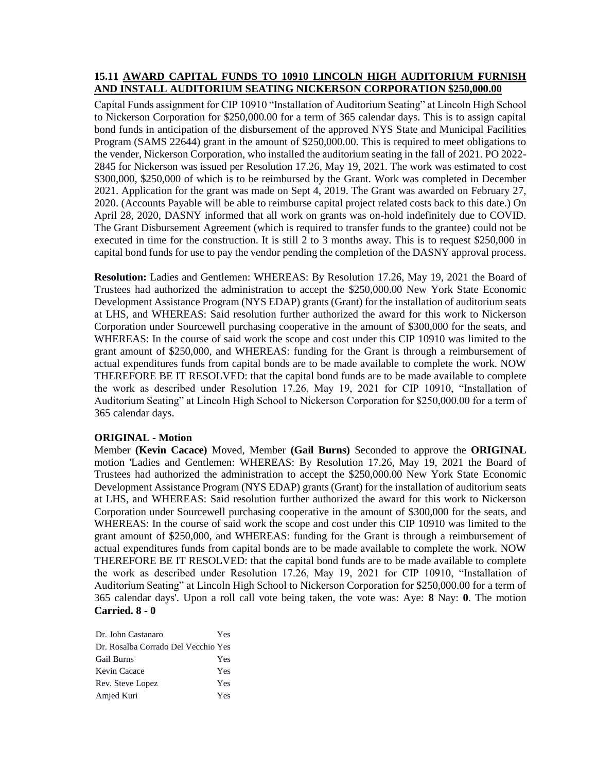#### **15.11 AWARD CAPITAL FUNDS TO 10910 LINCOLN HIGH AUDITORIUM FURNISH AND INSTALL AUDITORIUM SEATING NICKERSON CORPORATION \$250,000.00**

Capital Funds assignment for CIP 10910 "Installation of Auditorium Seating" at Lincoln High School to Nickerson Corporation for \$250,000.00 for a term of 365 calendar days. This is to assign capital bond funds in anticipation of the disbursement of the approved NYS State and Municipal Facilities Program (SAMS 22644) grant in the amount of \$250,000.00. This is required to meet obligations to the vender, Nickerson Corporation, who installed the auditorium seating in the fall of 2021. PO 2022- 2845 for Nickerson was issued per Resolution 17.26, May 19, 2021. The work was estimated to cost \$300,000, \$250,000 of which is to be reimbursed by the Grant. Work was completed in December 2021. Application for the grant was made on Sept 4, 2019. The Grant was awarded on February 27, 2020. (Accounts Payable will be able to reimburse capital project related costs back to this date.) On April 28, 2020, DASNY informed that all work on grants was on-hold indefinitely due to COVID. The Grant Disbursement Agreement (which is required to transfer funds to the grantee) could not be executed in time for the construction. It is still 2 to 3 months away. This is to request \$250,000 in capital bond funds for use to pay the vendor pending the completion of the DASNY approval process.

**Resolution:** Ladies and Gentlemen: WHEREAS: By Resolution 17.26, May 19, 2021 the Board of Trustees had authorized the administration to accept the \$250,000.00 New York State Economic Development Assistance Program (NYS EDAP) grants (Grant) for the installation of auditorium seats at LHS, and WHEREAS: Said resolution further authorized the award for this work to Nickerson Corporation under Sourcewell purchasing cooperative in the amount of \$300,000 for the seats, and WHEREAS: In the course of said work the scope and cost under this CIP 10910 was limited to the grant amount of \$250,000, and WHEREAS: funding for the Grant is through a reimbursement of actual expenditures funds from capital bonds are to be made available to complete the work. NOW THEREFORE BE IT RESOLVED: that the capital bond funds are to be made available to complete the work as described under Resolution 17.26, May 19, 2021 for CIP 10910, "Installation of Auditorium Seating" at Lincoln High School to Nickerson Corporation for \$250,000.00 for a term of 365 calendar days.

### **ORIGINAL - Motion**

Member **(Kevin Cacace)** Moved, Member **(Gail Burns)** Seconded to approve the **ORIGINAL**  motion 'Ladies and Gentlemen: WHEREAS: By Resolution 17.26, May 19, 2021 the Board of Trustees had authorized the administration to accept the \$250,000.00 New York State Economic Development Assistance Program (NYS EDAP) grants (Grant) for the installation of auditorium seats at LHS, and WHEREAS: Said resolution further authorized the award for this work to Nickerson Corporation under Sourcewell purchasing cooperative in the amount of \$300,000 for the seats, and WHEREAS: In the course of said work the scope and cost under this CIP 10910 was limited to the grant amount of \$250,000, and WHEREAS: funding for the Grant is through a reimbursement of actual expenditures funds from capital bonds are to be made available to complete the work. NOW THEREFORE BE IT RESOLVED: that the capital bond funds are to be made available to complete the work as described under Resolution 17.26, May 19, 2021 for CIP 10910, "Installation of Auditorium Seating" at Lincoln High School to Nickerson Corporation for \$250,000.00 for a term of 365 calendar days'. Upon a roll call vote being taken, the vote was: Aye: **8** Nay: **0**. The motion **Carried. 8 - 0** 

| Dr. John Castanaro                  | Yes |
|-------------------------------------|-----|
| Dr. Rosalba Corrado Del Vecchio Yes |     |
| <b>Gail Burns</b>                   | Yes |
| Kevin Cacace                        | Yes |
| Rev. Steve Lopez                    | Yes |
| Amjed Kuri                          | Yes |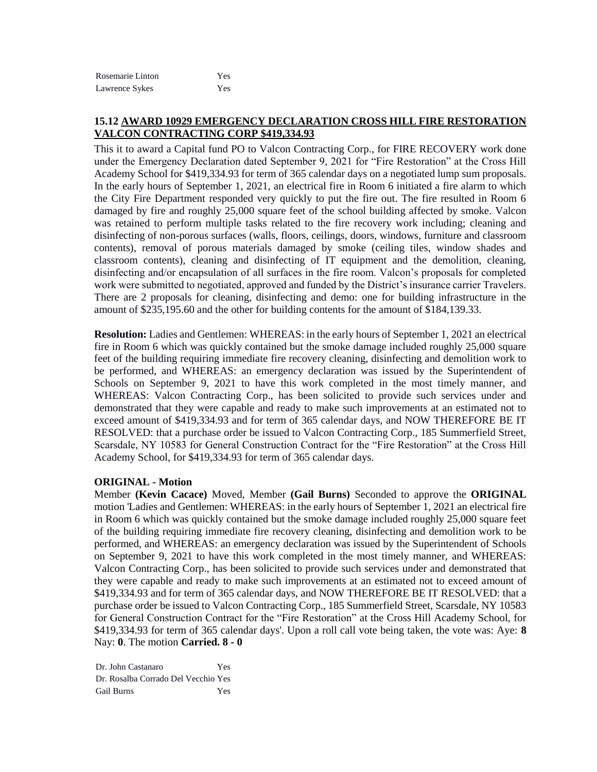| Rosemarie Linton | Yes |
|------------------|-----|
| Lawrence Sykes   | Yes |

# **15.12 AWARD 10929 EMERGENCY DECLARATION CROSS HILL FIRE RESTORATION VALCON CONTRACTING CORP \$419,334.93**

This it to award a Capital fund PO to Valcon Contracting Corp., for FIRE RECOVERY work done under the Emergency Declaration dated September 9, 2021 for "Fire Restoration" at the Cross Hill Academy School for \$419,334.93 for term of 365 calendar days on a negotiated lump sum proposals. In the early hours of September 1, 2021, an electrical fire in Room 6 initiated a fire alarm to which the City Fire Department responded very quickly to put the fire out. The fire resulted in Room 6 damaged by fire and roughly 25,000 square feet of the school building affected by smoke. Valcon was retained to perform multiple tasks related to the fire recovery work including; cleaning and disinfecting of non-porous surfaces (walls, floors, ceilings, doors, windows, furniture and classroom contents), removal of porous materials damaged by smoke (ceiling tiles, window shades and classroom contents), cleaning and disinfecting of IT equipment and the demolition, cleaning, disinfecting and/or encapsulation of all surfaces in the fire room. Valcon's proposals for completed work were submitted to negotiated, approved and funded by the District's insurance carrier Travelers. There are 2 proposals for cleaning, disinfecting and demo: one for building infrastructure in the amount of \$235,195.60 and the other for building contents for the amount of \$184,139.33.

**Resolution:** Ladies and Gentlemen: WHEREAS: in the early hours of September 1, 2021 an electrical fire in Room 6 which was quickly contained but the smoke damage included roughly 25,000 square feet of the building requiring immediate fire recovery cleaning, disinfecting and demolition work to be performed, and WHEREAS: an emergency declaration was issued by the Superintendent of Schools on September 9, 2021 to have this work completed in the most timely manner, and WHEREAS: Valcon Contracting Corp., has been solicited to provide such services under and demonstrated that they were capable and ready to make such improvements at an estimated not to exceed amount of \$419,334.93 and for term of 365 calendar days, and NOW THEREFORE BE IT RESOLVED: that a purchase order be issued to Valcon Contracting Corp., 185 Summerfield Street, Scarsdale, NY 10583 for General Construction Contract for the "Fire Restoration" at the Cross Hill Academy School, for \$419,334.93 for term of 365 calendar days.

#### **ORIGINAL - Motion**

Member **(Kevin Cacace)** Moved, Member **(Gail Burns)** Seconded to approve the **ORIGINAL**  motion 'Ladies and Gentlemen: WHEREAS: in the early hours of September 1, 2021 an electrical fire in Room 6 which was quickly contained but the smoke damage included roughly 25,000 square feet of the building requiring immediate fire recovery cleaning, disinfecting and demolition work to be performed, and WHEREAS: an emergency declaration was issued by the Superintendent of Schools on September 9, 2021 to have this work completed in the most timely manner, and WHEREAS: Valcon Contracting Corp., has been solicited to provide such services under and demonstrated that they were capable and ready to make such improvements at an estimated not to exceed amount of \$419,334.93 and for term of 365 calendar days, and NOW THEREFORE BE IT RESOLVED: that a purchase order be issued to Valcon Contracting Corp., 185 Summerfield Street, Scarsdale, NY 10583 for General Construction Contract for the "Fire Restoration" at the Cross Hill Academy School, for \$419,334.93 for term of 365 calendar days'. Upon a roll call vote being taken, the vote was: Aye: **8** Nay: **0**. The motion **Carried. 8 - 0** 

Dr. John Castanaro Yes Dr. Rosalba Corrado Del Vecchio Yes Gail Burns Yes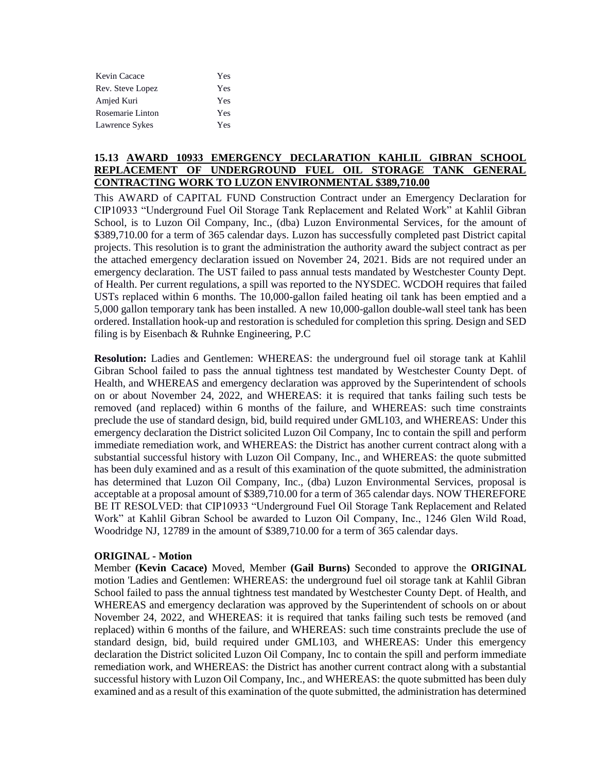| Kevin Cacace     | Yes |
|------------------|-----|
| Rev. Steve Lopez | Yes |
| Amjed Kuri       | Yes |
| Rosemarie Linton | Yes |
| Lawrence Sykes   | Yes |

# **15.13 AWARD 10933 EMERGENCY DECLARATION KAHLIL GIBRAN SCHOOL REPLACEMENT OF UNDERGROUND FUEL OIL STORAGE TANK GENERAL CONTRACTING WORK TO LUZON ENVIRONMENTAL \$389,710.00**

This AWARD of CAPITAL FUND Construction Contract under an Emergency Declaration for CIP10933 "Underground Fuel Oil Storage Tank Replacement and Related Work" at Kahlil Gibran School, is to Luzon Oil Company, Inc., (dba) Luzon Environmental Services, for the amount of \$389,710.00 for a term of 365 calendar days. Luzon has successfully completed past District capital projects. This resolution is to grant the administration the authority award the subject contract as per the attached emergency declaration issued on November 24, 2021. Bids are not required under an emergency declaration. The UST failed to pass annual tests mandated by Westchester County Dept. of Health. Per current regulations, a spill was reported to the NYSDEC. WCDOH requires that failed USTs replaced within 6 months. The 10,000-gallon failed heating oil tank has been emptied and a 5,000 gallon temporary tank has been installed. A new 10,000-gallon double-wall steel tank has been ordered. Installation hook-up and restoration is scheduled for completion this spring. Design and SED filing is by Eisenbach & Ruhnke Engineering, P.C

**Resolution:** Ladies and Gentlemen: WHEREAS: the underground fuel oil storage tank at Kahlil Gibran School failed to pass the annual tightness test mandated by Westchester County Dept. of Health, and WHEREAS and emergency declaration was approved by the Superintendent of schools on or about November 24, 2022, and WHEREAS: it is required that tanks failing such tests be removed (and replaced) within 6 months of the failure, and WHEREAS: such time constraints preclude the use of standard design, bid, build required under GML103, and WHEREAS: Under this emergency declaration the District solicited Luzon Oil Company, Inc to contain the spill and perform immediate remediation work, and WHEREAS: the District has another current contract along with a substantial successful history with Luzon Oil Company, Inc., and WHEREAS: the quote submitted has been duly examined and as a result of this examination of the quote submitted, the administration has determined that Luzon Oil Company, Inc., (dba) Luzon Environmental Services, proposal is acceptable at a proposal amount of \$389,710.00 for a term of 365 calendar days. NOW THEREFORE BE IT RESOLVED: that CIP10933 "Underground Fuel Oil Storage Tank Replacement and Related Work" at Kahlil Gibran School be awarded to Luzon Oil Company, Inc., 1246 Glen Wild Road, Woodridge NJ, 12789 in the amount of \$389,710.00 for a term of 365 calendar days.

### **ORIGINAL - Motion**

Member **(Kevin Cacace)** Moved, Member **(Gail Burns)** Seconded to approve the **ORIGINAL**  motion 'Ladies and Gentlemen: WHEREAS: the underground fuel oil storage tank at Kahlil Gibran School failed to pass the annual tightness test mandated by Westchester County Dept. of Health, and WHEREAS and emergency declaration was approved by the Superintendent of schools on or about November 24, 2022, and WHEREAS: it is required that tanks failing such tests be removed (and replaced) within 6 months of the failure, and WHEREAS: such time constraints preclude the use of standard design, bid, build required under GML103, and WHEREAS: Under this emergency declaration the District solicited Luzon Oil Company, Inc to contain the spill and perform immediate remediation work, and WHEREAS: the District has another current contract along with a substantial successful history with Luzon Oil Company, Inc., and WHEREAS: the quote submitted has been duly examined and as a result of this examination of the quote submitted, the administration has determined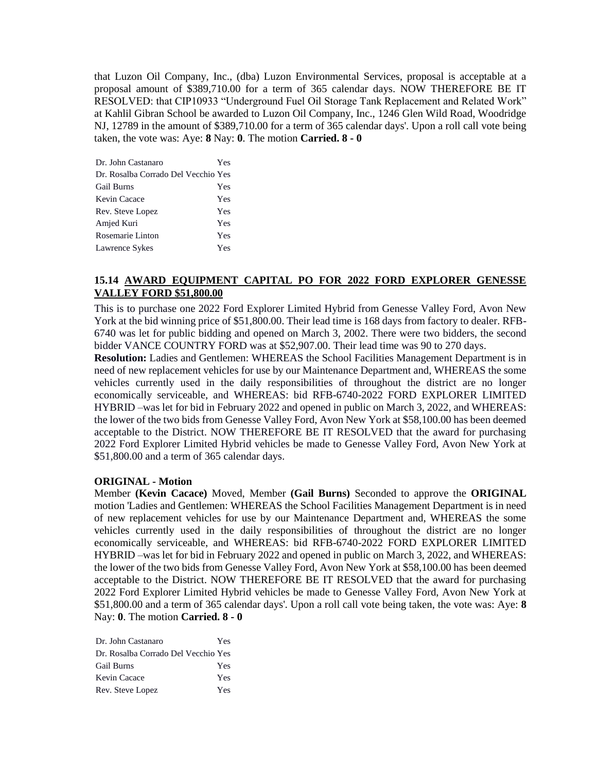that Luzon Oil Company, Inc., (dba) Luzon Environmental Services, proposal is acceptable at a proposal amount of \$389,710.00 for a term of 365 calendar days. NOW THEREFORE BE IT RESOLVED: that CIP10933 "Underground Fuel Oil Storage Tank Replacement and Related Work" at Kahlil Gibran School be awarded to Luzon Oil Company, Inc., 1246 Glen Wild Road, Woodridge NJ, 12789 in the amount of \$389,710.00 for a term of 365 calendar days'. Upon a roll call vote being taken, the vote was: Aye: **8** Nay: **0**. The motion **Carried. 8 - 0** 

| Dr. John Castanaro                  | Yes |
|-------------------------------------|-----|
| Dr. Rosalba Corrado Del Vecchio Yes |     |
| <b>Gail Burns</b>                   | Yes |
| Kevin Cacace                        | Yes |
| Rev. Steve Lopez                    | Yes |
| Amjed Kuri                          | Yes |
| Rosemarie Linton                    | Yes |
| Lawrence Sykes                      | Yes |

# **15.14 AWARD EQUIPMENT CAPITAL PO FOR 2022 FORD EXPLORER GENESSE VALLEY FORD \$51,800.00**

This is to purchase one 2022 Ford Explorer Limited Hybrid from Genesse Valley Ford, Avon New York at the bid winning price of \$51,800.00. Their lead time is 168 days from factory to dealer. RFB-6740 was let for public bidding and opened on March 3, 2002. There were two bidders, the second bidder VANCE COUNTRY FORD was at \$52,907.00. Their lead time was 90 to 270 days.

**Resolution:** Ladies and Gentlemen: WHEREAS the School Facilities Management Department is in need of new replacement vehicles for use by our Maintenance Department and, WHEREAS the some vehicles currently used in the daily responsibilities of throughout the district are no longer economically serviceable, and WHEREAS: bid RFB-6740-2022 FORD EXPLORER LIMITED HYBRID –was let for bid in February 2022 and opened in public on March 3, 2022, and WHEREAS: the lower of the two bids from Genesse Valley Ford, Avon New York at \$58,100.00 has been deemed acceptable to the District. NOW THEREFORE BE IT RESOLVED that the award for purchasing 2022 Ford Explorer Limited Hybrid vehicles be made to Genesse Valley Ford, Avon New York at \$51,800.00 and a term of 365 calendar days.

### **ORIGINAL - Motion**

Member **(Kevin Cacace)** Moved, Member **(Gail Burns)** Seconded to approve the **ORIGINAL**  motion 'Ladies and Gentlemen: WHEREAS the School Facilities Management Department is in need of new replacement vehicles for use by our Maintenance Department and, WHEREAS the some vehicles currently used in the daily responsibilities of throughout the district are no longer economically serviceable, and WHEREAS: bid RFB-6740-2022 FORD EXPLORER LIMITED HYBRID –was let for bid in February 2022 and opened in public on March 3, 2022, and WHEREAS: the lower of the two bids from Genesse Valley Ford, Avon New York at \$58,100.00 has been deemed acceptable to the District. NOW THEREFORE BE IT RESOLVED that the award for purchasing 2022 Ford Explorer Limited Hybrid vehicles be made to Genesse Valley Ford, Avon New York at \$51,800.00 and a term of 365 calendar days'. Upon a roll call vote being taken, the vote was: Aye: **8** Nay: **0**. The motion **Carried. 8 - 0** 

| Dr. John Castanaro                  | Yes |
|-------------------------------------|-----|
| Dr. Rosalba Corrado Del Vecchio Yes |     |
| <b>Gail Burns</b>                   | Yes |
| Kevin Cacace                        | Yes |
| Rev. Steve Lopez                    | Yes |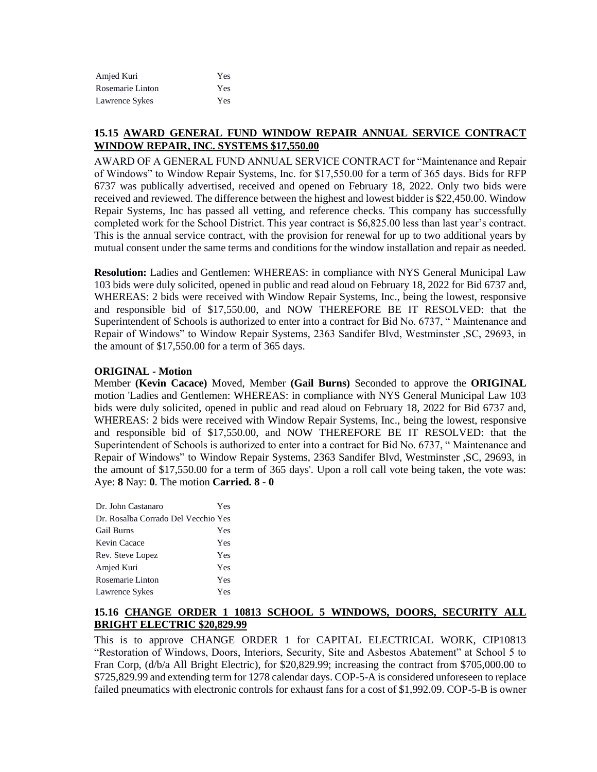| Amjed Kuri       | Yes |
|------------------|-----|
| Rosemarie Linton | Yes |
| Lawrence Sykes   | Yes |

# **15.15 AWARD GENERAL FUND WINDOW REPAIR ANNUAL SERVICE CONTRACT WINDOW REPAIR, INC. SYSTEMS \$17,550.00**

AWARD OF A GENERAL FUND ANNUAL SERVICE CONTRACT for "Maintenance and Repair of Windows" to Window Repair Systems, Inc. for \$17,550.00 for a term of 365 days. Bids for RFP 6737 was publically advertised, received and opened on February 18, 2022. Only two bids were received and reviewed. The difference between the highest and lowest bidder is \$22,450.00. Window Repair Systems, Inc has passed all vetting, and reference checks. This company has successfully completed work for the School District. This year contract is \$6,825.00 less than last year's contract. This is the annual service contract, with the provision for renewal for up to two additional years by mutual consent under the same terms and conditions for the window installation and repair as needed.

**Resolution:** Ladies and Gentlemen: WHEREAS: in compliance with NYS General Municipal Law 103 bids were duly solicited, opened in public and read aloud on February 18, 2022 for Bid 6737 and, WHEREAS: 2 bids were received with Window Repair Systems, Inc., being the lowest, responsive and responsible bid of \$17,550.00, and NOW THEREFORE BE IT RESOLVED: that the Superintendent of Schools is authorized to enter into a contract for Bid No. 6737, " Maintenance and Repair of Windows" to Window Repair Systems, 2363 Sandifer Blvd, Westminster ,SC, 29693, in the amount of \$17,550.00 for a term of 365 days.

#### **ORIGINAL - Motion**

Member **(Kevin Cacace)** Moved, Member **(Gail Burns)** Seconded to approve the **ORIGINAL**  motion 'Ladies and Gentlemen: WHEREAS: in compliance with NYS General Municipal Law 103 bids were duly solicited, opened in public and read aloud on February 18, 2022 for Bid 6737 and, WHEREAS: 2 bids were received with Window Repair Systems, Inc., being the lowest, responsive and responsible bid of \$17,550.00, and NOW THEREFORE BE IT RESOLVED: that the Superintendent of Schools is authorized to enter into a contract for Bid No. 6737, " Maintenance and Repair of Windows" to Window Repair Systems, 2363 Sandifer Blvd, Westminster ,SC, 29693, in the amount of \$17,550.00 for a term of 365 days'. Upon a roll call vote being taken, the vote was: Aye: **8** Nay: **0**. The motion **Carried. 8 - 0** 

| Dr. John Castanaro                  | <b>Yes</b> |
|-------------------------------------|------------|
| Dr. Rosalba Corrado Del Vecchio Yes |            |
| Gail Burns                          | Yes        |
| Kevin Cacace                        | Yes        |
| Rev. Steve Lopez                    | Yes        |
| Amjed Kuri                          | Yes        |
| Rosemarie Linton                    | Yes        |
| Lawrence Sykes                      | Yes        |

### **15.16 CHANGE ORDER 1 10813 SCHOOL 5 WINDOWS, DOORS, SECURITY ALL BRIGHT ELECTRIC \$20,829.99**

This is to approve CHANGE ORDER 1 for CAPITAL ELECTRICAL WORK, CIP10813 "Restoration of Windows, Doors, Interiors, Security, Site and Asbestos Abatement" at School 5 to Fran Corp, (d/b/a All Bright Electric), for \$20,829.99; increasing the contract from \$705,000.00 to \$725,829.99 and extending term for 1278 calendar days. COP-5-A is considered unforeseen to replace failed pneumatics with electronic controls for exhaust fans for a cost of \$1,992.09. COP-5-B is owner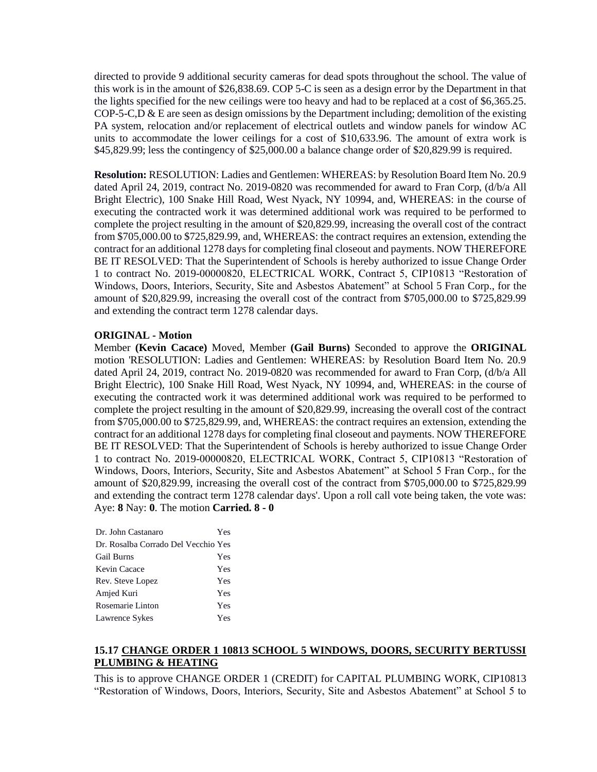directed to provide 9 additional security cameras for dead spots throughout the school. The value of this work is in the amount of \$26,838.69. COP 5-C is seen as a design error by the Department in that the lights specified for the new ceilings were too heavy and had to be replaced at a cost of \$6,365.25. COP-5-C,D & E are seen as design omissions by the Department including; demolition of the existing PA system, relocation and/or replacement of electrical outlets and window panels for window AC units to accommodate the lower ceilings for a cost of \$10,633.96. The amount of extra work is \$45,829.99; less the contingency of \$25,000.00 a balance change order of \$20,829.99 is required.

**Resolution:** RESOLUTION: Ladies and Gentlemen: WHEREAS: by Resolution Board Item No. 20.9 dated April 24, 2019, contract No. 2019-0820 was recommended for award to Fran Corp, (d/b/a All Bright Electric), 100 Snake Hill Road, West Nyack, NY 10994, and, WHEREAS: in the course of executing the contracted work it was determined additional work was required to be performed to complete the project resulting in the amount of \$20,829.99, increasing the overall cost of the contract from \$705,000.00 to \$725,829.99, and, WHEREAS: the contract requires an extension, extending the contract for an additional 1278 days for completing final closeout and payments. NOW THEREFORE BE IT RESOLVED: That the Superintendent of Schools is hereby authorized to issue Change Order 1 to contract No. 2019-00000820, ELECTRICAL WORK, Contract 5, CIP10813 "Restoration of Windows, Doors, Interiors, Security, Site and Asbestos Abatement" at School 5 Fran Corp., for the amount of \$20,829.99, increasing the overall cost of the contract from \$705,000.00 to \$725,829.99 and extending the contract term 1278 calendar days.

#### **ORIGINAL - Motion**

Member **(Kevin Cacace)** Moved, Member **(Gail Burns)** Seconded to approve the **ORIGINAL**  motion 'RESOLUTION: Ladies and Gentlemen: WHEREAS: by Resolution Board Item No. 20.9 dated April 24, 2019, contract No. 2019-0820 was recommended for award to Fran Corp, (d/b/a All Bright Electric), 100 Snake Hill Road, West Nyack, NY 10994, and, WHEREAS: in the course of executing the contracted work it was determined additional work was required to be performed to complete the project resulting in the amount of \$20,829.99, increasing the overall cost of the contract from \$705,000.00 to \$725,829.99, and, WHEREAS: the contract requires an extension, extending the contract for an additional 1278 days for completing final closeout and payments. NOW THEREFORE BE IT RESOLVED: That the Superintendent of Schools is hereby authorized to issue Change Order 1 to contract No. 2019-00000820, ELECTRICAL WORK, Contract 5, CIP10813 "Restoration of Windows, Doors, Interiors, Security, Site and Asbestos Abatement" at School 5 Fran Corp., for the amount of \$20,829.99, increasing the overall cost of the contract from \$705,000.00 to \$725,829.99 and extending the contract term 1278 calendar days'. Upon a roll call vote being taken, the vote was: Aye: **8** Nay: **0**. The motion **Carried. 8 - 0** 

| Dr. John Castanaro                  | Yes |
|-------------------------------------|-----|
| Dr. Rosalba Corrado Del Vecchio Yes |     |
| <b>Gail Burns</b>                   | Yes |
| Kevin Cacace                        | Yes |
| Rev. Steve Lopez                    | Yes |
| Amjed Kuri                          | Yes |
| Rosemarie Linton                    | Yes |
| Lawrence Sykes                      | Yes |

# **15.17 CHANGE ORDER 1 10813 SCHOOL 5 WINDOWS, DOORS, SECURITY BERTUSSI PLUMBING & HEATING**

This is to approve CHANGE ORDER 1 (CREDIT) for CAPITAL PLUMBING WORK, CIP10813 "Restoration of Windows, Doors, Interiors, Security, Site and Asbestos Abatement" at School 5 to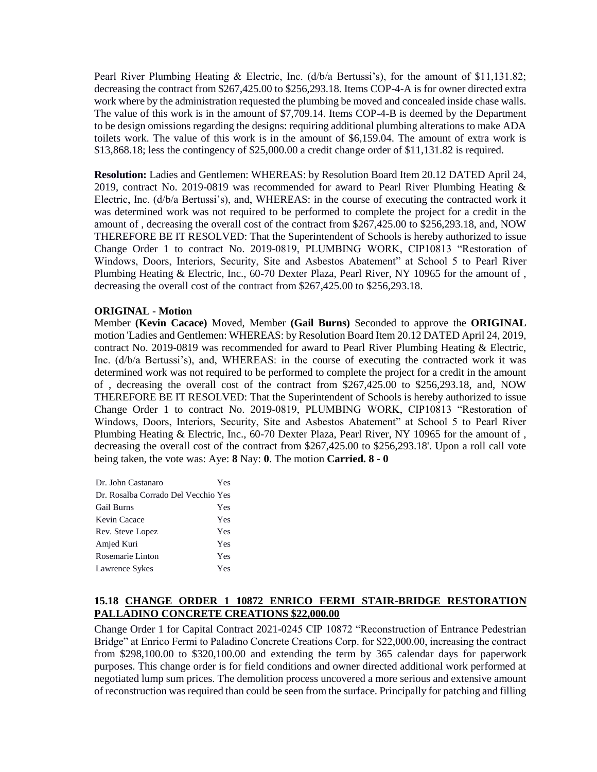Pearl River Plumbing Heating & Electric, Inc. (d/b/a Bertussi's), for the amount of \$11,131.82; decreasing the contract from \$267,425.00 to \$256,293.18. Items COP-4-A is for owner directed extra work where by the administration requested the plumbing be moved and concealed inside chase walls. The value of this work is in the amount of \$7,709.14. Items COP-4-B is deemed by the Department to be design omissions regarding the designs: requiring additional plumbing alterations to make ADA toilets work. The value of this work is in the amount of \$6,159.04. The amount of extra work is \$13,868.18; less the contingency of \$25,000.00 a credit change order of \$11,131.82 is required.

**Resolution:** Ladies and Gentlemen: WHEREAS: by Resolution Board Item 20.12 DATED April 24, 2019, contract No. 2019-0819 was recommended for award to Pearl River Plumbing Heating & Electric, Inc. (d/b/a Bertussi's), and, WHEREAS: in the course of executing the contracted work it was determined work was not required to be performed to complete the project for a credit in the amount of , decreasing the overall cost of the contract from \$267,425.00 to \$256,293.18, and, NOW THEREFORE BE IT RESOLVED: That the Superintendent of Schools is hereby authorized to issue Change Order 1 to contract No. 2019-0819, PLUMBING WORK, CIP10813 "Restoration of Windows, Doors, Interiors, Security, Site and Asbestos Abatement" at School 5 to Pearl River Plumbing Heating & Electric, Inc., 60-70 Dexter Plaza, Pearl River, NY 10965 for the amount of , decreasing the overall cost of the contract from \$267,425.00 to \$256,293.18.

### **ORIGINAL - Motion**

Member **(Kevin Cacace)** Moved, Member **(Gail Burns)** Seconded to approve the **ORIGINAL**  motion 'Ladies and Gentlemen: WHEREAS: by Resolution Board Item 20.12 DATED April 24, 2019, contract No. 2019-0819 was recommended for award to Pearl River Plumbing Heating & Electric, Inc. (d/b/a Bertussi's), and, WHEREAS: in the course of executing the contracted work it was determined work was not required to be performed to complete the project for a credit in the amount of , decreasing the overall cost of the contract from \$267,425.00 to \$256,293.18, and, NOW THEREFORE BE IT RESOLVED: That the Superintendent of Schools is hereby authorized to issue Change Order 1 to contract No. 2019-0819, PLUMBING WORK, CIP10813 "Restoration of Windows, Doors, Interiors, Security, Site and Asbestos Abatement" at School 5 to Pearl River Plumbing Heating & Electric, Inc., 60-70 Dexter Plaza, Pearl River, NY 10965 for the amount of , decreasing the overall cost of the contract from \$267,425.00 to \$256,293.18'. Upon a roll call vote being taken, the vote was: Aye: **8** Nay: **0**. The motion **Carried. 8 - 0** 

| Dr. John Castanaro                  | Yes |
|-------------------------------------|-----|
| Dr. Rosalba Corrado Del Vecchio Yes |     |
| <b>Gail Burns</b>                   | Yes |
| Kevin Cacace                        | Yes |
| Rev. Steve Lopez                    | Yes |
| Amjed Kuri                          | Yes |
| Rosemarie Linton                    | Yes |
| Lawrence Sykes                      | Yes |

# **15.18 CHANGE ORDER 1 10872 ENRICO FERMI STAIR-BRIDGE RESTORATION PALLADINO CONCRETE CREATIONS \$22,000.00**

Change Order 1 for Capital Contract 2021-0245 CIP 10872 "Reconstruction of Entrance Pedestrian Bridge" at Enrico Fermi to Paladino Concrete Creations Corp. for \$22,000.00, increasing the contract from \$298,100.00 to \$320,100.00 and extending the term by 365 calendar days for paperwork purposes. This change order is for field conditions and owner directed additional work performed at negotiated lump sum prices. The demolition process uncovered a more serious and extensive amount of reconstruction was required than could be seen from the surface. Principally for patching and filling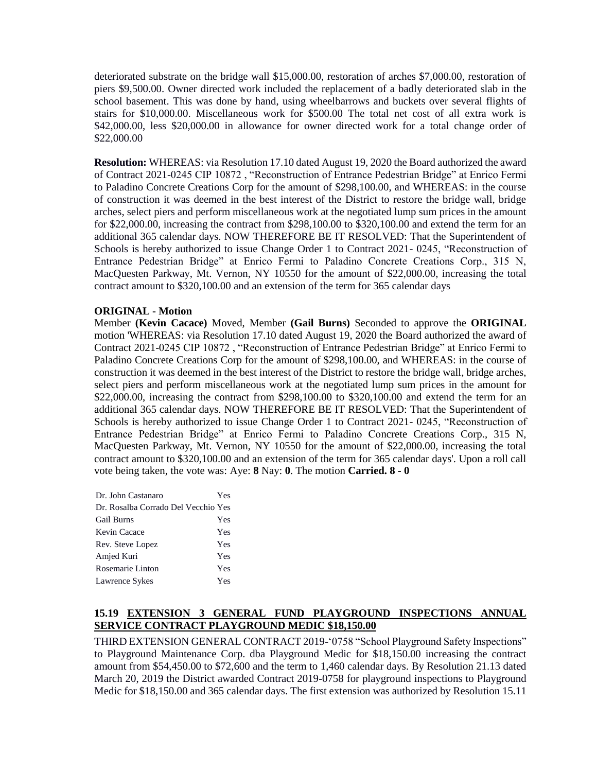deteriorated substrate on the bridge wall \$15,000.00, restoration of arches \$7,000.00, restoration of piers \$9,500.00. Owner directed work included the replacement of a badly deteriorated slab in the school basement. This was done by hand, using wheelbarrows and buckets over several flights of stairs for \$10,000.00. Miscellaneous work for \$500.00 The total net cost of all extra work is \$42,000.00, less \$20,000.00 in allowance for owner directed work for a total change order of \$22,000.00

**Resolution:** WHEREAS: via Resolution 17.10 dated August 19, 2020 the Board authorized the award of Contract 2021-0245 CIP 10872 , "Reconstruction of Entrance Pedestrian Bridge" at Enrico Fermi to Paladino Concrete Creations Corp for the amount of \$298,100.00, and WHEREAS: in the course of construction it was deemed in the best interest of the District to restore the bridge wall, bridge arches, select piers and perform miscellaneous work at the negotiated lump sum prices in the amount for \$22,000.00, increasing the contract from \$298,100.00 to \$320,100.00 and extend the term for an additional 365 calendar days. NOW THEREFORE BE IT RESOLVED: That the Superintendent of Schools is hereby authorized to issue Change Order 1 to Contract 2021- 0245, "Reconstruction of Entrance Pedestrian Bridge" at Enrico Fermi to Paladino Concrete Creations Corp., 315 N, MacQuesten Parkway, Mt. Vernon, NY 10550 for the amount of \$22,000.00, increasing the total contract amount to \$320,100.00 and an extension of the term for 365 calendar days

### **ORIGINAL - Motion**

Member **(Kevin Cacace)** Moved, Member **(Gail Burns)** Seconded to approve the **ORIGINAL**  motion 'WHEREAS: via Resolution 17.10 dated August 19, 2020 the Board authorized the award of Contract 2021-0245 CIP 10872 , "Reconstruction of Entrance Pedestrian Bridge" at Enrico Fermi to Paladino Concrete Creations Corp for the amount of \$298,100.00, and WHEREAS: in the course of construction it was deemed in the best interest of the District to restore the bridge wall, bridge arches, select piers and perform miscellaneous work at the negotiated lump sum prices in the amount for \$22,000.00, increasing the contract from \$298,100.00 to \$320,100.00 and extend the term for an additional 365 calendar days. NOW THEREFORE BE IT RESOLVED: That the Superintendent of Schools is hereby authorized to issue Change Order 1 to Contract 2021- 0245, "Reconstruction of Entrance Pedestrian Bridge" at Enrico Fermi to Paladino Concrete Creations Corp., 315 N, MacQuesten Parkway, Mt. Vernon, NY 10550 for the amount of \$22,000.00, increasing the total contract amount to \$320,100.00 and an extension of the term for 365 calendar days'. Upon a roll call vote being taken, the vote was: Aye: **8** Nay: **0**. The motion **Carried. 8 - 0** 

| Dr. John Castanaro                  | Yes |
|-------------------------------------|-----|
| Dr. Rosalba Corrado Del Vecchio Yes |     |
| <b>Gail Burns</b>                   | Yes |
| Kevin Cacace                        | Yes |
| Rev. Steve Lopez                    | Yes |
| Amjed Kuri                          | Yes |
| Rosemarie Linton                    | Yes |
| Lawrence Sykes                      | Yes |

# **15.19 EXTENSION 3 GENERAL FUND PLAYGROUND INSPECTIONS ANNUAL SERVICE CONTRACT PLAYGROUND MEDIC \$18,150.00**

THIRD EXTENSION GENERAL CONTRACT 2019-'0758 "School Playground Safety Inspections" to Playground Maintenance Corp. dba Playground Medic for \$18,150.00 increasing the contract amount from \$54,450.00 to \$72,600 and the term to 1,460 calendar days. By Resolution 21.13 dated March 20, 2019 the District awarded Contract 2019-0758 for playground inspections to Playground Medic for \$18,150.00 and 365 calendar days. The first extension was authorized by Resolution 15.11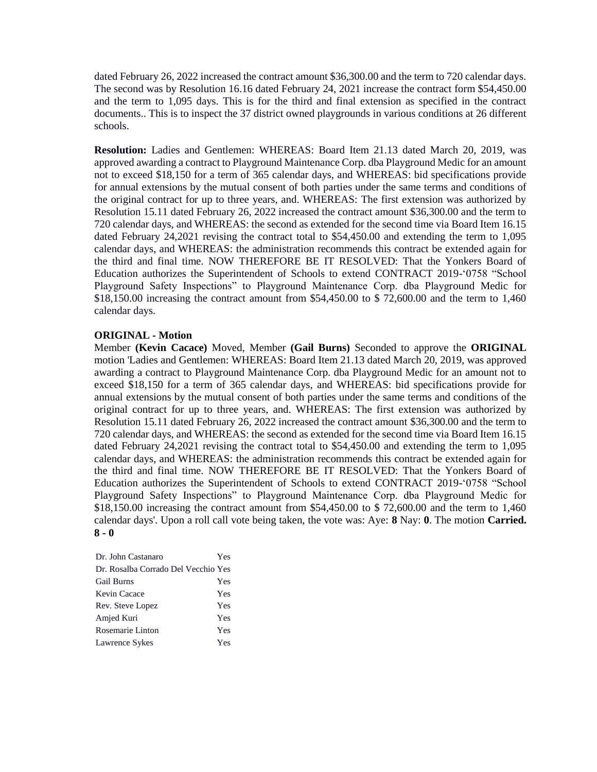dated February 26, 2022 increased the contract amount \$36,300.00 and the term to 720 calendar days. The second was by Resolution 16.16 dated February 24, 2021 increase the contract form \$54,450.00 and the term to 1,095 days. This is for the third and final extension as specified in the contract documents.. This is to inspect the 37 district owned playgrounds in various conditions at 26 different schools.

**Resolution:** Ladies and Gentlemen: WHEREAS: Board Item 21.13 dated March 20, 2019, was approved awarding a contract to Playground Maintenance Corp. dba Playground Medic for an amount not to exceed \$18,150 for a term of 365 calendar days, and WHEREAS: bid specifications provide for annual extensions by the mutual consent of both parties under the same terms and conditions of the original contract for up to three years, and. WHEREAS: The first extension was authorized by Resolution 15.11 dated February 26, 2022 increased the contract amount \$36,300.00 and the term to 720 calendar days, and WHEREAS: the second as extended for the second time via Board Item 16.15 dated February 24,2021 revising the contract total to \$54,450.00 and extending the term to 1,095 calendar days, and WHEREAS: the administration recommends this contract be extended again for the third and final time. NOW THEREFORE BE IT RESOLVED: That the Yonkers Board of Education authorizes the Superintendent of Schools to extend CONTRACT 2019-'0758 "School Playground Safety Inspections" to Playground Maintenance Corp. dba Playground Medic for \$18,150.00 increasing the contract amount from \$54,450.00 to \$ 72,600.00 and the term to 1,460 calendar days.

#### **ORIGINAL - Motion**

Member **(Kevin Cacace)** Moved, Member **(Gail Burns)** Seconded to approve the **ORIGINAL**  motion 'Ladies and Gentlemen: WHEREAS: Board Item 21.13 dated March 20, 2019, was approved awarding a contract to Playground Maintenance Corp. dba Playground Medic for an amount not to exceed \$18,150 for a term of 365 calendar days, and WHEREAS: bid specifications provide for annual extensions by the mutual consent of both parties under the same terms and conditions of the original contract for up to three years, and. WHEREAS: The first extension was authorized by Resolution 15.11 dated February 26, 2022 increased the contract amount \$36,300.00 and the term to 720 calendar days, and WHEREAS: the second as extended for the second time via Board Item 16.15 dated February 24,2021 revising the contract total to \$54,450.00 and extending the term to 1,095 calendar days, and WHEREAS: the administration recommends this contract be extended again for the third and final time. NOW THEREFORE BE IT RESOLVED: That the Yonkers Board of Education authorizes the Superintendent of Schools to extend CONTRACT 2019-'0758 "School Playground Safety Inspections" to Playground Maintenance Corp. dba Playground Medic for \$18,150.00 increasing the contract amount from \$54,450.00 to \$ 72,600.00 and the term to 1,460 calendar days'. Upon a roll call vote being taken, the vote was: Aye: **8** Nay: **0**. The motion **Carried. 8 - 0** 

| Dr. John Castanaro                  | Yes |
|-------------------------------------|-----|
| Dr. Rosalba Corrado Del Vecchio Yes |     |
| <b>Gail Burns</b>                   | Yes |
| Kevin Cacace                        | Yes |
| Rev. Steve Lopez                    | Yes |
| Amjed Kuri                          | Yes |
| Rosemarie Linton                    | Yes |
| Lawrence Sykes                      | Yes |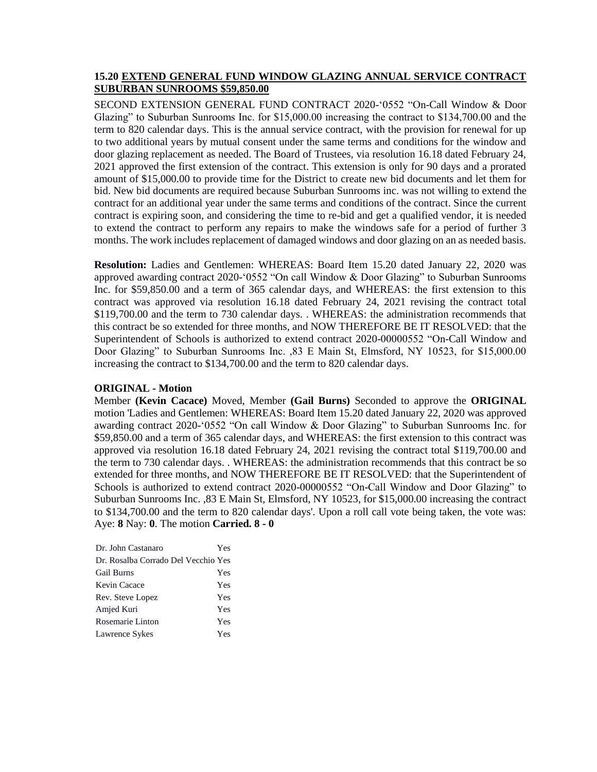### **15.20 EXTEND GENERAL FUND WINDOW GLAZING ANNUAL SERVICE CONTRACT SUBURBAN SUNROOMS \$59,850.00**

SECOND EXTENSION GENERAL FUND CONTRACT 2020-'0552 "On-Call Window & Door Glazing" to Suburban Sunrooms Inc. for \$15,000.00 increasing the contract to \$134,700.00 and the term to 820 calendar days. This is the annual service contract, with the provision for renewal for up to two additional years by mutual consent under the same terms and conditions for the window and door glazing replacement as needed. The Board of Trustees, via resolution 16.18 dated February 24, 2021 approved the first extension of the contract. This extension is only for 90 days and a prorated amount of \$15,000.00 to provide time for the District to create new bid documents and let them for bid. New bid documents are required because Suburban Sunrooms inc. was not willing to extend the contract for an additional year under the same terms and conditions of the contract. Since the current contract is expiring soon, and considering the time to re-bid and get a qualified vendor, it is needed to extend the contract to perform any repairs to make the windows safe for a period of further 3 months. The work includes replacement of damaged windows and door glazing on an as needed basis.

**Resolution:** Ladies and Gentlemen: WHEREAS: Board Item 15.20 dated January 22, 2020 was approved awarding contract 2020-'0552 "On call Window & Door Glazing" to Suburban Sunrooms Inc. for \$59,850.00 and a term of 365 calendar days, and WHEREAS: the first extension to this contract was approved via resolution 16.18 dated February 24, 2021 revising the contract total \$119,700.00 and the term to 730 calendar days. . WHEREAS: the administration recommends that this contract be so extended for three months, and NOW THEREFORE BE IT RESOLVED: that the Superintendent of Schools is authorized to extend contract 2020-00000552 "On-Call Window and Door Glazing" to Suburban Sunrooms Inc. ,83 E Main St, Elmsford, NY 10523, for \$15,000.00 increasing the contract to \$134,700.00 and the term to 820 calendar days.

### **ORIGINAL - Motion**

Member **(Kevin Cacace)** Moved, Member **(Gail Burns)** Seconded to approve the **ORIGINAL**  motion 'Ladies and Gentlemen: WHEREAS: Board Item 15.20 dated January 22, 2020 was approved awarding contract 2020-'0552 "On call Window & Door Glazing" to Suburban Sunrooms Inc. for \$59,850.00 and a term of 365 calendar days, and WHEREAS: the first extension to this contract was approved via resolution 16.18 dated February 24, 2021 revising the contract total \$119,700.00 and the term to 730 calendar days. . WHEREAS: the administration recommends that this contract be so extended for three months, and NOW THEREFORE BE IT RESOLVED: that the Superintendent of Schools is authorized to extend contract 2020-00000552 "On-Call Window and Door Glazing" to Suburban Sunrooms Inc. ,83 E Main St, Elmsford, NY 10523, for \$15,000.00 increasing the contract to \$134,700.00 and the term to 820 calendar days'. Upon a roll call vote being taken, the vote was: Aye: **8** Nay: **0**. The motion **Carried. 8 - 0** 

| Dr. John Castanaro                  | Yes |
|-------------------------------------|-----|
| Dr. Rosalba Corrado Del Vecchio Yes |     |
| <b>Gail Burns</b>                   | Yes |
| Kevin Cacace                        | Yes |
| Rev. Steve Lopez                    | Yes |
| Amjed Kuri                          | Yes |
| Rosemarie Linton                    | Yes |
| Lawrence Sykes                      | Yes |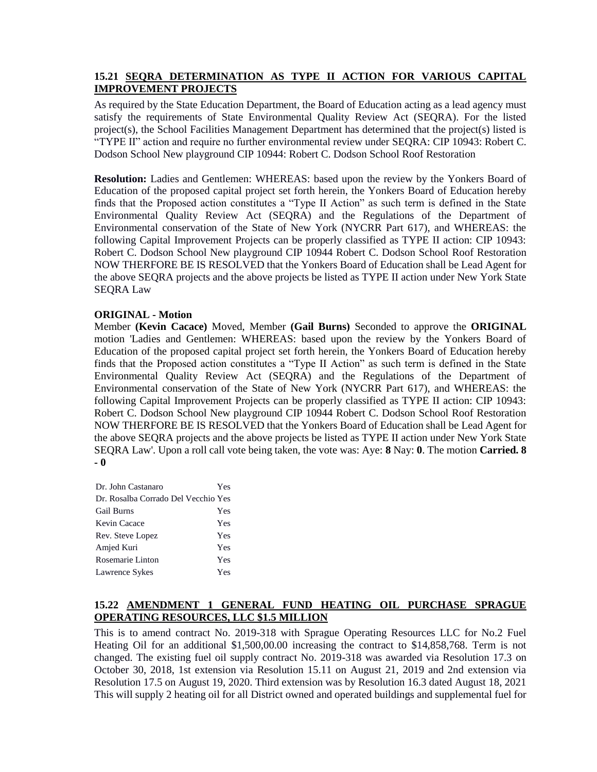# **15.21 SEQRA DETERMINATION AS TYPE II ACTION FOR VARIOUS CAPITAL IMPROVEMENT PROJECTS**

As required by the State Education Department, the Board of Education acting as a lead agency must satisfy the requirements of State Environmental Quality Review Act (SEQRA). For the listed project(s), the School Facilities Management Department has determined that the project(s) listed is "TYPE II" action and require no further environmental review under SEQRA: CIP 10943: Robert C. Dodson School New playground CIP 10944: Robert C. Dodson School Roof Restoration

**Resolution:** Ladies and Gentlemen: WHEREAS: based upon the review by the Yonkers Board of Education of the proposed capital project set forth herein, the Yonkers Board of Education hereby finds that the Proposed action constitutes a "Type II Action" as such term is defined in the State Environmental Quality Review Act (SEQRA) and the Regulations of the Department of Environmental conservation of the State of New York (NYCRR Part 617), and WHEREAS: the following Capital Improvement Projects can be properly classified as TYPE II action: CIP 10943: Robert C. Dodson School New playground CIP 10944 Robert C. Dodson School Roof Restoration NOW THERFORE BE IS RESOLVED that the Yonkers Board of Education shall be Lead Agent for the above SEQRA projects and the above projects be listed as TYPE II action under New York State SEQRA Law

### **ORIGINAL - Motion**

Member **(Kevin Cacace)** Moved, Member **(Gail Burns)** Seconded to approve the **ORIGINAL**  motion 'Ladies and Gentlemen: WHEREAS: based upon the review by the Yonkers Board of Education of the proposed capital project set forth herein, the Yonkers Board of Education hereby finds that the Proposed action constitutes a "Type II Action" as such term is defined in the State Environmental Quality Review Act (SEQRA) and the Regulations of the Department of Environmental conservation of the State of New York (NYCRR Part 617), and WHEREAS: the following Capital Improvement Projects can be properly classified as TYPE II action: CIP 10943: Robert C. Dodson School New playground CIP 10944 Robert C. Dodson School Roof Restoration NOW THERFORE BE IS RESOLVED that the Yonkers Board of Education shall be Lead Agent for the above SEQRA projects and the above projects be listed as TYPE II action under New York State SEQRA Law'. Upon a roll call vote being taken, the vote was: Aye: **8** Nay: **0**. The motion **Carried. 8 - 0** 

| Dr. John Castanaro                  | Yes |
|-------------------------------------|-----|
| Dr. Rosalba Corrado Del Vecchio Yes |     |
| <b>Gail Burns</b>                   | Yes |
| Kevin Cacace                        | Yes |
| Rev. Steve Lopez                    | Yes |
| Amjed Kuri                          | Yes |
| Rosemarie Linton                    | Yes |
| Lawrence Sykes                      | Yes |
|                                     |     |

# **15.22 AMENDMENT 1 GENERAL FUND HEATING OIL PURCHASE SPRAGUE OPERATING RESOURCES, LLC \$1.5 MILLION**

This is to amend contract No. 2019-318 with Sprague Operating Resources LLC for No.2 Fuel Heating Oil for an additional \$1,500,00.00 increasing the contract to \$14,858,768. Term is not changed. The existing fuel oil supply contract No. 2019-318 was awarded via Resolution 17.3 on October 30, 2018, 1st extension via Resolution 15.11 on August 21, 2019 and 2nd extension via Resolution 17.5 on August 19, 2020. Third extension was by Resolution 16.3 dated August 18, 2021 This will supply 2 heating oil for all District owned and operated buildings and supplemental fuel for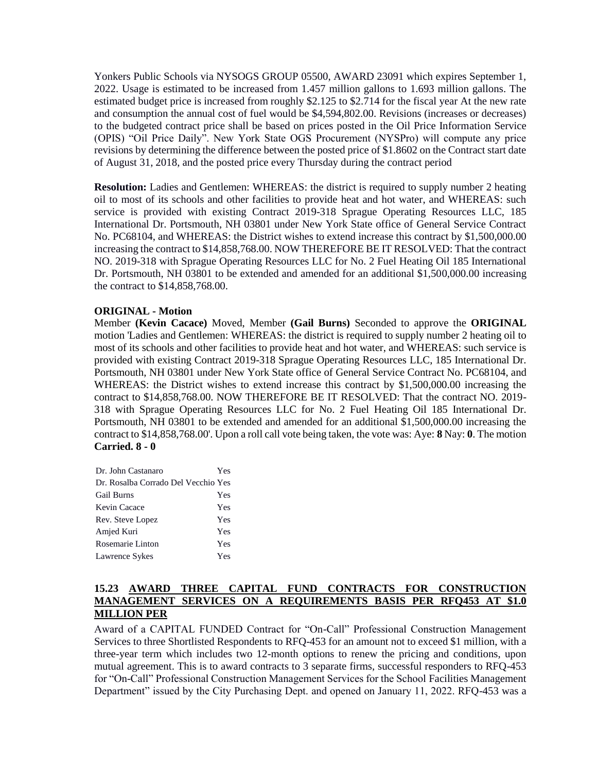Yonkers Public Schools via NYSOGS GROUP 05500, AWARD 23091 which expires September 1, 2022. Usage is estimated to be increased from 1.457 million gallons to 1.693 million gallons. The estimated budget price is increased from roughly \$2.125 to \$2.714 for the fiscal year At the new rate and consumption the annual cost of fuel would be \$4,594,802.00. Revisions (increases or decreases) to the budgeted contract price shall be based on prices posted in the Oil Price Information Service (OPIS) "Oil Price Daily". New York State OGS Procurement (NYSPro) will compute any price revisions by determining the difference between the posted price of \$1.8602 on the Contract start date of August 31, 2018, and the posted price every Thursday during the contract period

**Resolution:** Ladies and Gentlemen: WHEREAS: the district is required to supply number 2 heating oil to most of its schools and other facilities to provide heat and hot water, and WHEREAS: such service is provided with existing Contract 2019-318 Sprague Operating Resources LLC, 185 International Dr. Portsmouth, NH 03801 under New York State office of General Service Contract No. PC68104, and WHEREAS: the District wishes to extend increase this contract by \$1,500,000.00 increasing the contract to \$14,858,768.00. NOW THEREFORE BE IT RESOLVED: That the contract NO. 2019-318 with Sprague Operating Resources LLC for No. 2 Fuel Heating Oil 185 International Dr. Portsmouth, NH 03801 to be extended and amended for an additional \$1,500,000.00 increasing the contract to \$14,858,768.00.

### **ORIGINAL - Motion**

Member **(Kevin Cacace)** Moved, Member **(Gail Burns)** Seconded to approve the **ORIGINAL**  motion 'Ladies and Gentlemen: WHEREAS: the district is required to supply number 2 heating oil to most of its schools and other facilities to provide heat and hot water, and WHEREAS: such service is provided with existing Contract 2019-318 Sprague Operating Resources LLC, 185 International Dr. Portsmouth, NH 03801 under New York State office of General Service Contract No. PC68104, and WHEREAS: the District wishes to extend increase this contract by \$1,500,000.00 increasing the contract to \$14,858,768.00. NOW THEREFORE BE IT RESOLVED: That the contract NO. 2019- 318 with Sprague Operating Resources LLC for No. 2 Fuel Heating Oil 185 International Dr. Portsmouth, NH 03801 to be extended and amended for an additional \$1,500,000.00 increasing the contract to \$14,858,768.00'. Upon a roll call vote being taken, the vote was: Aye: **8** Nay: **0**. The motion **Carried. 8 - 0** 

| Dr. John Castanaro                  | Yes |
|-------------------------------------|-----|
| Dr. Rosalba Corrado Del Vecchio Yes |     |
| <b>Gail Burns</b>                   | Yes |
| Kevin Cacace                        | Yes |
| Rev. Steve Lopez                    | Yes |
| Amjed Kuri                          | Yes |
| Rosemarie Linton                    | Yes |
| Lawrence Sykes                      | Yes |

# **15.23 AWARD THREE CAPITAL FUND CONTRACTS FOR CONSTRUCTION MANAGEMENT SERVICES ON A REQUIREMENTS BASIS PER RFQ453 AT \$1.0 MILLION PER**

Award of a CAPITAL FUNDED Contract for "On-Call" Professional Construction Management Services to three Shortlisted Respondents to RFQ-453 for an amount not to exceed \$1 million, with a three-year term which includes two 12-month options to renew the pricing and conditions, upon mutual agreement. This is to award contracts to 3 separate firms, successful responders to RFQ-453 for "On-Call" Professional Construction Management Services for the School Facilities Management Department" issued by the City Purchasing Dept. and opened on January 11, 2022. RFQ-453 was a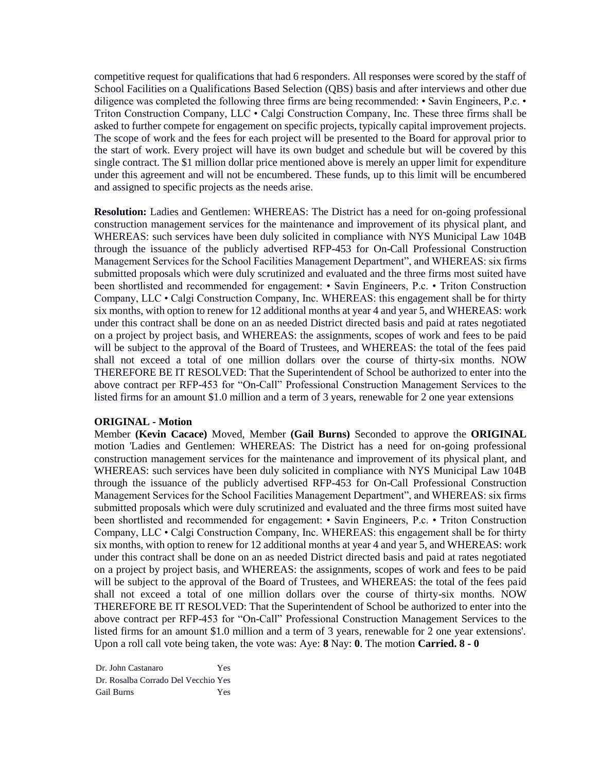competitive request for qualifications that had 6 responders. All responses were scored by the staff of School Facilities on a Qualifications Based Selection (QBS) basis and after interviews and other due diligence was completed the following three firms are being recommended: • Savin Engineers, P.c. • Triton Construction Company, LLC • Calgi Construction Company, Inc. These three firms shall be asked to further compete for engagement on specific projects, typically capital improvement projects. The scope of work and the fees for each project will be presented to the Board for approval prior to the start of work. Every project will have its own budget and schedule but will be covered by this single contract. The \$1 million dollar price mentioned above is merely an upper limit for expenditure under this agreement and will not be encumbered. These funds, up to this limit will be encumbered and assigned to specific projects as the needs arise.

**Resolution:** Ladies and Gentlemen: WHEREAS: The District has a need for on-going professional construction management services for the maintenance and improvement of its physical plant, and WHEREAS: such services have been duly solicited in compliance with NYS Municipal Law 104B through the issuance of the publicly advertised RFP-453 for On-Call Professional Construction Management Services for the School Facilities Management Department", and WHEREAS: six firms submitted proposals which were duly scrutinized and evaluated and the three firms most suited have been shortlisted and recommended for engagement: • Savin Engineers, P.c. • Triton Construction Company, LLC • Calgi Construction Company, Inc. WHEREAS: this engagement shall be for thirty six months, with option to renew for 12 additional months at year 4 and year 5, and WHEREAS: work under this contract shall be done on an as needed District directed basis and paid at rates negotiated on a project by project basis, and WHEREAS: the assignments, scopes of work and fees to be paid will be subject to the approval of the Board of Trustees, and WHEREAS: the total of the fees paid shall not exceed a total of one million dollars over the course of thirty-six months. NOW THEREFORE BE IT RESOLVED: That the Superintendent of School be authorized to enter into the above contract per RFP-453 for "On-Call" Professional Construction Management Services to the listed firms for an amount \$1.0 million and a term of 3 years, renewable for 2 one year extensions

#### **ORIGINAL - Motion**

Member **(Kevin Cacace)** Moved, Member **(Gail Burns)** Seconded to approve the **ORIGINAL**  motion 'Ladies and Gentlemen: WHEREAS: The District has a need for on-going professional construction management services for the maintenance and improvement of its physical plant, and WHEREAS: such services have been duly solicited in compliance with NYS Municipal Law 104B through the issuance of the publicly advertised RFP-453 for On-Call Professional Construction Management Services for the School Facilities Management Department", and WHEREAS: six firms submitted proposals which were duly scrutinized and evaluated and the three firms most suited have been shortlisted and recommended for engagement: • Savin Engineers, P.c. • Triton Construction Company, LLC • Calgi Construction Company, Inc. WHEREAS: this engagement shall be for thirty six months, with option to renew for 12 additional months at year 4 and year 5, and WHEREAS: work under this contract shall be done on an as needed District directed basis and paid at rates negotiated on a project by project basis, and WHEREAS: the assignments, scopes of work and fees to be paid will be subject to the approval of the Board of Trustees, and WHEREAS: the total of the fees paid shall not exceed a total of one million dollars over the course of thirty-six months. NOW THEREFORE BE IT RESOLVED: That the Superintendent of School be authorized to enter into the above contract per RFP-453 for "On-Call" Professional Construction Management Services to the listed firms for an amount \$1.0 million and a term of 3 years, renewable for 2 one year extensions'. Upon a roll call vote being taken, the vote was: Aye: **8** Nay: **0**. The motion **Carried. 8 - 0** 

Dr. John Castanaro Yes Dr. Rosalba Corrado Del Vecchio Yes Gail Burns Yes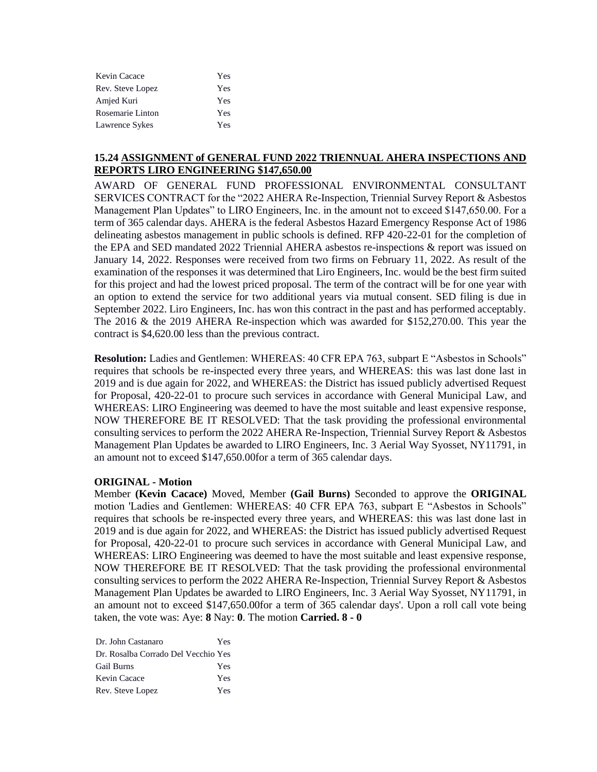| Kevin Cacace     | Yes |
|------------------|-----|
| Rev. Steve Lopez | Yes |
| Amjed Kuri       | Yes |
| Rosemarie Linton | Yes |
| Lawrence Sykes   | Yes |

### **15.24 ASSIGNMENT of GENERAL FUND 2022 TRIENNUAL AHERA INSPECTIONS AND REPORTS LIRO ENGINEERING \$147,650.00**

AWARD OF GENERAL FUND PROFESSIONAL ENVIRONMENTAL CONSULTANT SERVICES CONTRACT for the "2022 AHERA Re-Inspection, Triennial Survey Report & Asbestos Management Plan Updates" to LIRO Engineers, Inc. in the amount not to exceed \$147,650.00. For a term of 365 calendar days. AHERA is the federal Asbestos Hazard Emergency Response Act of 1986 delineating asbestos management in public schools is defined. RFP 420-22-01 for the completion of the EPA and SED mandated 2022 Triennial AHERA asbestos re-inspections & report was issued on January 14, 2022. Responses were received from two firms on February 11, 2022. As result of the examination of the responses it was determined that Liro Engineers, Inc. would be the best firm suited for this project and had the lowest priced proposal. The term of the contract will be for one year with an option to extend the service for two additional years via mutual consent. SED filing is due in September 2022. Liro Engineers, Inc. has won this contract in the past and has performed acceptably. The 2016 & the 2019 AHERA Re-inspection which was awarded for \$152,270.00. This year the contract is \$4,620.00 less than the previous contract.

**Resolution:** Ladies and Gentlemen: WHEREAS: 40 CFR EPA 763, subpart E "Asbestos in Schools" requires that schools be re-inspected every three years, and WHEREAS: this was last done last in 2019 and is due again for 2022, and WHEREAS: the District has issued publicly advertised Request for Proposal, 420-22-01 to procure such services in accordance with General Municipal Law, and WHEREAS: LIRO Engineering was deemed to have the most suitable and least expensive response, NOW THEREFORE BE IT RESOLVED: That the task providing the professional environmental consulting services to perform the 2022 AHERA Re-Inspection, Triennial Survey Report & Asbestos Management Plan Updates be awarded to LIRO Engineers, Inc. 3 Aerial Way Syosset, NY11791, in an amount not to exceed \$147,650.00for a term of 365 calendar days.

### **ORIGINAL - Motion**

Member **(Kevin Cacace)** Moved, Member **(Gail Burns)** Seconded to approve the **ORIGINAL**  motion 'Ladies and Gentlemen: WHEREAS: 40 CFR EPA 763, subpart E "Asbestos in Schools" requires that schools be re-inspected every three years, and WHEREAS: this was last done last in 2019 and is due again for 2022, and WHEREAS: the District has issued publicly advertised Request for Proposal, 420-22-01 to procure such services in accordance with General Municipal Law, and WHEREAS: LIRO Engineering was deemed to have the most suitable and least expensive response, NOW THEREFORE BE IT RESOLVED: That the task providing the professional environmental consulting services to perform the 2022 AHERA Re-Inspection, Triennial Survey Report & Asbestos Management Plan Updates be awarded to LIRO Engineers, Inc. 3 Aerial Way Syosset, NY11791, in an amount not to exceed \$147,650.00for a term of 365 calendar days'. Upon a roll call vote being taken, the vote was: Aye: **8** Nay: **0**. The motion **Carried. 8 - 0** 

| Dr. John Castanaro                  | Yes |
|-------------------------------------|-----|
| Dr. Rosalba Corrado Del Vecchio Yes |     |
| <b>Gail Burns</b>                   | Yes |
| Kevin Cacace                        | Yes |
| Rev. Steve Lopez                    | Yes |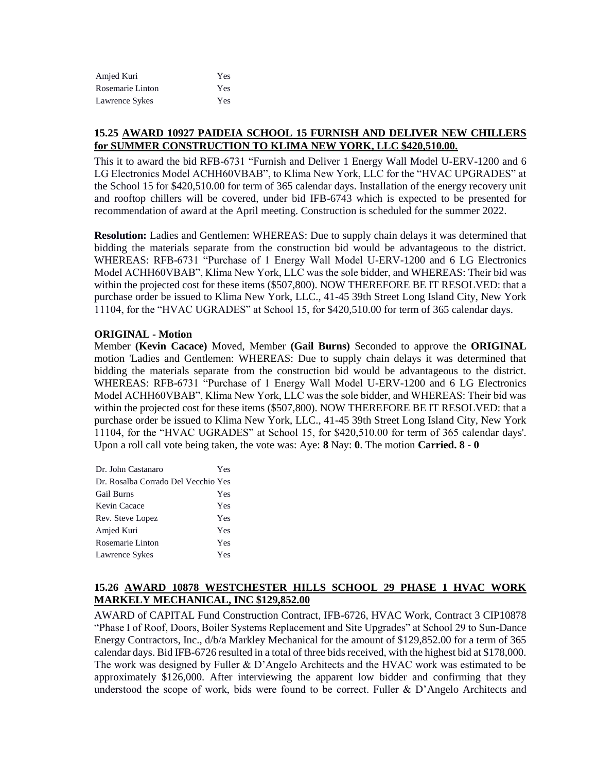| Amjed Kuri       | Yes |
|------------------|-----|
| Rosemarie Linton | Yes |
| Lawrence Sykes   | Yes |

# **15.25 AWARD 10927 PAIDEIA SCHOOL 15 FURNISH AND DELIVER NEW CHILLERS for SUMMER CONSTRUCTION TO KLIMA NEW YORK, LLC \$420,510.00.**

This it to award the bid RFB-6731 "Furnish and Deliver 1 Energy Wall Model U-ERV-1200 and 6 LG Electronics Model ACHH60VBAB", to Klima New York, LLC for the "HVAC UPGRADES" at the School 15 for \$420,510.00 for term of 365 calendar days. Installation of the energy recovery unit and rooftop chillers will be covered, under bid IFB-6743 which is expected to be presented for recommendation of award at the April meeting. Construction is scheduled for the summer 2022.

**Resolution:** Ladies and Gentlemen: WHEREAS: Due to supply chain delays it was determined that bidding the materials separate from the construction bid would be advantageous to the district. WHEREAS: RFB-6731 "Purchase of 1 Energy Wall Model U-ERV-1200 and 6 LG Electronics Model ACHH60VBAB", Klima New York, LLC was the sole bidder, and WHEREAS: Their bid was within the projected cost for these items (\$507,800). NOW THEREFORE BE IT RESOLVED: that a purchase order be issued to Klima New York, LLC., 41-45 39th Street Long Island City, New York 11104, for the "HVAC UGRADES" at School 15, for \$420,510.00 for term of 365 calendar days.

### **ORIGINAL - Motion**

Member **(Kevin Cacace)** Moved, Member **(Gail Burns)** Seconded to approve the **ORIGINAL**  motion 'Ladies and Gentlemen: WHEREAS: Due to supply chain delays it was determined that bidding the materials separate from the construction bid would be advantageous to the district. WHEREAS: RFB-6731 "Purchase of 1 Energy Wall Model U-ERV-1200 and 6 LG Electronics Model ACHH60VBAB", Klima New York, LLC was the sole bidder, and WHEREAS: Their bid was within the projected cost for these items (\$507,800). NOW THEREFORE BE IT RESOLVED: that a purchase order be issued to Klima New York, LLC., 41-45 39th Street Long Island City, New York 11104, for the "HVAC UGRADES" at School 15, for \$420,510.00 for term of 365 calendar days'. Upon a roll call vote being taken, the vote was: Aye: **8** Nay: **0**. The motion **Carried. 8 - 0** 

| Dr. John Castanaro                  | Yes |
|-------------------------------------|-----|
| Dr. Rosalba Corrado Del Vecchio Yes |     |
| <b>Gail Burns</b>                   | Yes |
| Kevin Cacace                        | Yes |
| Rev. Steve Lopez                    | Yes |
| Amjed Kuri                          | Yes |
| Rosemarie Linton                    | Yes |
| Lawrence Sykes                      | Yes |

# **15.26 AWARD 10878 WESTCHESTER HILLS SCHOOL 29 PHASE 1 HVAC WORK MARKELY MECHANICAL, INC \$129,852.00**

AWARD of CAPITAL Fund Construction Contract, IFB-6726, HVAC Work, Contract 3 CIP10878 "Phase I of Roof, Doors, Boiler Systems Replacement and Site Upgrades" at School 29 to Sun-Dance Energy Contractors, Inc., d/b/a Markley Mechanical for the amount of \$129,852.00 for a term of 365 calendar days. Bid IFB-6726 resulted in a total of three bids received, with the highest bid at \$178,000. The work was designed by Fuller & D'Angelo Architects and the HVAC work was estimated to be approximately \$126,000. After interviewing the apparent low bidder and confirming that they understood the scope of work, bids were found to be correct. Fuller  $\&$  D'Angelo Architects and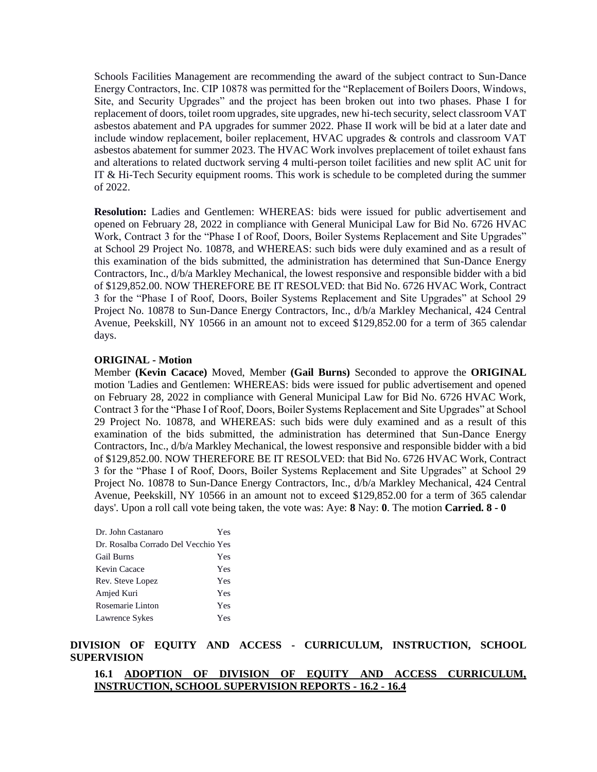Schools Facilities Management are recommending the award of the subject contract to Sun-Dance Energy Contractors, Inc. CIP 10878 was permitted for the "Replacement of Boilers Doors, Windows, Site, and Security Upgrades" and the project has been broken out into two phases. Phase I for replacement of doors, toilet room upgrades, site upgrades, new hi-tech security, select classroom VAT asbestos abatement and PA upgrades for summer 2022. Phase II work will be bid at a later date and include window replacement, boiler replacement, HVAC upgrades & controls and classroom VAT asbestos abatement for summer 2023. The HVAC Work involves preplacement of toilet exhaust fans and alterations to related ductwork serving 4 multi-person toilet facilities and new split AC unit for IT & Hi-Tech Security equipment rooms. This work is schedule to be completed during the summer of 2022.

**Resolution:** Ladies and Gentlemen: WHEREAS: bids were issued for public advertisement and opened on February 28, 2022 in compliance with General Municipal Law for Bid No. 6726 HVAC Work, Contract 3 for the "Phase I of Roof, Doors, Boiler Systems Replacement and Site Upgrades" at School 29 Project No. 10878, and WHEREAS: such bids were duly examined and as a result of this examination of the bids submitted, the administration has determined that Sun-Dance Energy Contractors, Inc., d/b/a Markley Mechanical, the lowest responsive and responsible bidder with a bid of \$129,852.00. NOW THEREFORE BE IT RESOLVED: that Bid No. 6726 HVAC Work, Contract 3 for the "Phase I of Roof, Doors, Boiler Systems Replacement and Site Upgrades" at School 29 Project No. 10878 to Sun-Dance Energy Contractors, Inc., d/b/a Markley Mechanical, 424 Central Avenue, Peekskill, NY 10566 in an amount not to exceed \$129,852.00 for a term of 365 calendar days.

#### **ORIGINAL - Motion**

Member **(Kevin Cacace)** Moved, Member **(Gail Burns)** Seconded to approve the **ORIGINAL**  motion 'Ladies and Gentlemen: WHEREAS: bids were issued for public advertisement and opened on February 28, 2022 in compliance with General Municipal Law for Bid No. 6726 HVAC Work, Contract 3 for the "Phase I of Roof, Doors, Boiler Systems Replacement and Site Upgrades" at School 29 Project No. 10878, and WHEREAS: such bids were duly examined and as a result of this examination of the bids submitted, the administration has determined that Sun-Dance Energy Contractors, Inc., d/b/a Markley Mechanical, the lowest responsive and responsible bidder with a bid of \$129,852.00. NOW THEREFORE BE IT RESOLVED: that Bid No. 6726 HVAC Work, Contract 3 for the "Phase I of Roof, Doors, Boiler Systems Replacement and Site Upgrades" at School 29 Project No. 10878 to Sun-Dance Energy Contractors, Inc., d/b/a Markley Mechanical, 424 Central Avenue, Peekskill, NY 10566 in an amount not to exceed \$129,852.00 for a term of 365 calendar days'. Upon a roll call vote being taken, the vote was: Aye: **8** Nay: **0**. The motion **Carried. 8 - 0** 

| Dr. John Castanaro                  | Yes |
|-------------------------------------|-----|
| Dr. Rosalba Corrado Del Vecchio Yes |     |
| Gail Burns                          | Yes |
| Kevin Cacace                        | Yes |
| Rev. Steve Lopez                    | Yes |
| Amjed Kuri                          | Yes |
| Rosemarie Linton                    | Yes |
| Lawrence Sykes                      | Yes |

#### **DIVISION OF EQUITY AND ACCESS - CURRICULUM, INSTRUCTION, SCHOOL SUPERVISION**

#### **16.1 ADOPTION OF DIVISION OF EQUITY AND ACCESS CURRICULUM, INSTRUCTION, SCHOOL SUPERVISION REPORTS - 16.2 - 16.4**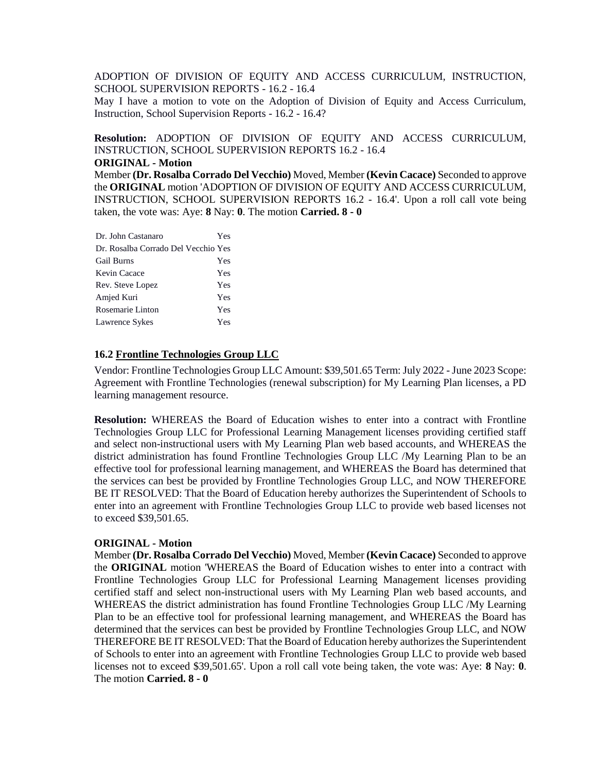ADOPTION OF DIVISION OF EQUITY AND ACCESS CURRICULUM, INSTRUCTION, SCHOOL SUPERVISION REPORTS - 16.2 - 16.4

May I have a motion to vote on the Adoption of Division of Equity and Access Curriculum, Instruction, School Supervision Reports - 16.2 - 16.4?

**Resolution:** ADOPTION OF DIVISION OF EQUITY AND ACCESS CURRICULUM, INSTRUCTION, SCHOOL SUPERVISION REPORTS 16.2 - 16.4

#### **ORIGINAL - Motion**

Member **(Dr. Rosalba Corrado Del Vecchio)** Moved, Member **(Kevin Cacace)** Seconded to approve the **ORIGINAL** motion 'ADOPTION OF DIVISION OF EQUITY AND ACCESS CURRICULUM, INSTRUCTION, SCHOOL SUPERVISION REPORTS 16.2 - 16.4'. Upon a roll call vote being taken, the vote was: Aye: **8** Nay: **0**. The motion **Carried. 8 - 0** 

| Dr. John Castanaro                  | Yes |
|-------------------------------------|-----|
| Dr. Rosalba Corrado Del Vecchio Yes |     |
| Gail Burns                          | Yes |
| Kevin Cacace                        | Yes |
| Rev. Steve Lopez                    | Yes |
| Amjed Kuri                          | Yes |
| Rosemarie Linton                    | Yes |
| Lawrence Sykes                      | Yes |

#### **16.2 Frontline Technologies Group LLC**

Vendor: Frontline Technologies Group LLC Amount: \$39,501.65 Term: July 2022 -June 2023 Scope: Agreement with Frontline Technologies (renewal subscription) for My Learning Plan licenses, a PD learning management resource.

**Resolution:** WHEREAS the Board of Education wishes to enter into a contract with Frontline Technologies Group LLC for Professional Learning Management licenses providing certified staff and select non-instructional users with My Learning Plan web based accounts, and WHEREAS the district administration has found Frontline Technologies Group LLC /My Learning Plan to be an effective tool for professional learning management, and WHEREAS the Board has determined that the services can best be provided by Frontline Technologies Group LLC, and NOW THEREFORE BE IT RESOLVED: That the Board of Education hereby authorizes the Superintendent of Schools to enter into an agreement with Frontline Technologies Group LLC to provide web based licenses not to exceed \$39,501.65.

#### **ORIGINAL - Motion**

Member **(Dr. Rosalba Corrado Del Vecchio)** Moved, Member **(Kevin Cacace)** Seconded to approve the **ORIGINAL** motion 'WHEREAS the Board of Education wishes to enter into a contract with Frontline Technologies Group LLC for Professional Learning Management licenses providing certified staff and select non-instructional users with My Learning Plan web based accounts, and WHEREAS the district administration has found Frontline Technologies Group LLC /My Learning Plan to be an effective tool for professional learning management, and WHEREAS the Board has determined that the services can best be provided by Frontline Technologies Group LLC, and NOW THEREFORE BE IT RESOLVED: That the Board of Education hereby authorizes the Superintendent of Schools to enter into an agreement with Frontline Technologies Group LLC to provide web based licenses not to exceed \$39,501.65'. Upon a roll call vote being taken, the vote was: Aye: **8** Nay: **0**. The motion **Carried. 8 - 0**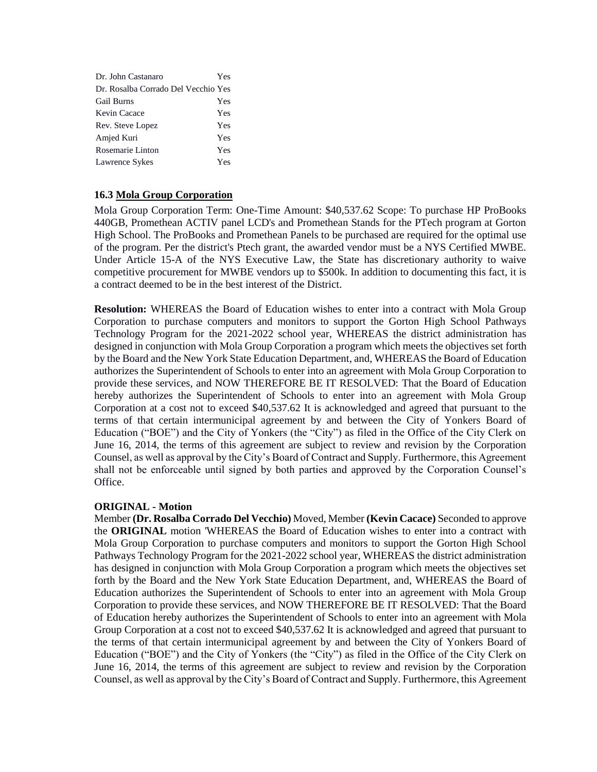| Dr. John Castanaro                  | Yes |
|-------------------------------------|-----|
| Dr. Rosalba Corrado Del Vecchio Yes |     |
| Gail Burns                          | Yes |
| Kevin Cacace                        | Yes |
| Rev. Steve Lopez                    | Yes |
| Amjed Kuri                          | Yes |
| Rosemarie Linton                    | Yes |
| Lawrence Sykes                      | Yes |

### **16.3 Mola Group Corporation**

Mola Group Corporation Term: One-Time Amount: \$40,537.62 Scope: To purchase HP ProBooks 440GB, Promethean ACTIV panel LCD's and Promethean Stands for the PTech program at Gorton High School. The ProBooks and Promethean Panels to be purchased are required for the optimal use of the program. Per the district's Ptech grant, the awarded vendor must be a NYS Certified MWBE. Under Article 15-A of the NYS Executive Law, the State has discretionary authority to waive competitive procurement for MWBE vendors up to \$500k. In addition to documenting this fact, it is a contract deemed to be in the best interest of the District.

**Resolution:** WHEREAS the Board of Education wishes to enter into a contract with Mola Group Corporation to purchase computers and monitors to support the Gorton High School Pathways Technology Program for the 2021-2022 school year, WHEREAS the district administration has designed in conjunction with Mola Group Corporation a program which meets the objectives set forth by the Board and the New York State Education Department, and, WHEREAS the Board of Education authorizes the Superintendent of Schools to enter into an agreement with Mola Group Corporation to provide these services, and NOW THEREFORE BE IT RESOLVED: That the Board of Education hereby authorizes the Superintendent of Schools to enter into an agreement with Mola Group Corporation at a cost not to exceed \$40,537.62 It is acknowledged and agreed that pursuant to the terms of that certain intermunicipal agreement by and between the City of Yonkers Board of Education ("BOE") and the City of Yonkers (the "City") as filed in the Office of the City Clerk on June 16, 2014, the terms of this agreement are subject to review and revision by the Corporation Counsel, as well as approval by the City's Board of Contract and Supply. Furthermore, this Agreement shall not be enforceable until signed by both parties and approved by the Corporation Counsel's Office.

### **ORIGINAL - Motion**

Member **(Dr. Rosalba Corrado Del Vecchio)** Moved, Member **(Kevin Cacace)** Seconded to approve the **ORIGINAL** motion 'WHEREAS the Board of Education wishes to enter into a contract with Mola Group Corporation to purchase computers and monitors to support the Gorton High School Pathways Technology Program for the 2021-2022 school year, WHEREAS the district administration has designed in conjunction with Mola Group Corporation a program which meets the objectives set forth by the Board and the New York State Education Department, and, WHEREAS the Board of Education authorizes the Superintendent of Schools to enter into an agreement with Mola Group Corporation to provide these services, and NOW THEREFORE BE IT RESOLVED: That the Board of Education hereby authorizes the Superintendent of Schools to enter into an agreement with Mola Group Corporation at a cost not to exceed \$40,537.62 It is acknowledged and agreed that pursuant to the terms of that certain intermunicipal agreement by and between the City of Yonkers Board of Education ("BOE") and the City of Yonkers (the "City") as filed in the Office of the City Clerk on June 16, 2014, the terms of this agreement are subject to review and revision by the Corporation Counsel, as well as approval by the City's Board of Contract and Supply. Furthermore, this Agreement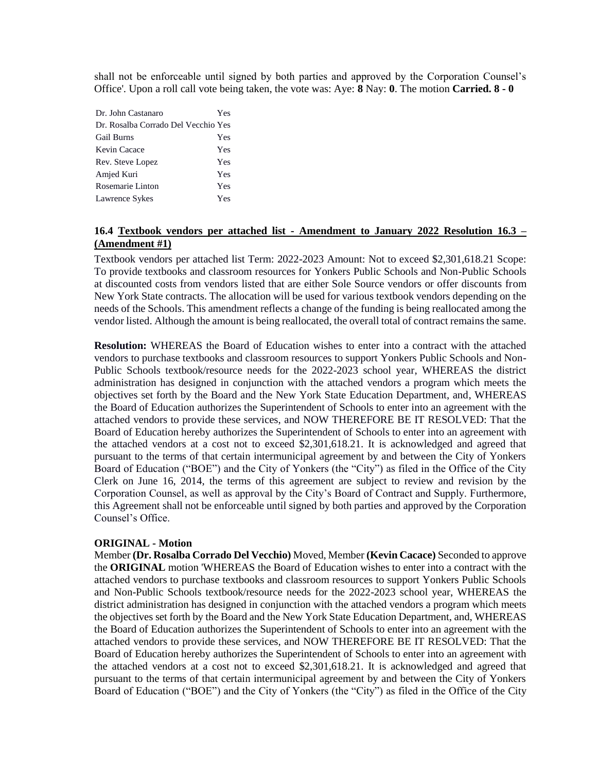shall not be enforceable until signed by both parties and approved by the Corporation Counsel's Office'. Upon a roll call vote being taken, the vote was: Aye: **8** Nay: **0**. The motion **Carried. 8 - 0** 

| Dr. John Castanaro                  | Yes |
|-------------------------------------|-----|
| Dr. Rosalba Corrado Del Vecchio Yes |     |
| <b>Gail Burns</b>                   | Yes |
| Kevin Cacace                        | Yes |
| Rev. Steve Lopez                    | Yes |
| Amjed Kuri                          | Yes |
| Rosemarie Linton                    | Yes |
| Lawrence Sykes                      | Yes |

## **16.4 Textbook vendors per attached list - Amendment to January 2022 Resolution 16.3 – (Amendment #1)**

Textbook vendors per attached list Term: 2022-2023 Amount: Not to exceed \$2,301,618.21 Scope: To provide textbooks and classroom resources for Yonkers Public Schools and Non-Public Schools at discounted costs from vendors listed that are either Sole Source vendors or offer discounts from New York State contracts. The allocation will be used for various textbook vendors depending on the needs of the Schools. This amendment reflects a change of the funding is being reallocated among the vendor listed. Although the amount is being reallocated, the overall total of contract remains the same.

**Resolution:** WHEREAS the Board of Education wishes to enter into a contract with the attached vendors to purchase textbooks and classroom resources to support Yonkers Public Schools and Non-Public Schools textbook/resource needs for the 2022-2023 school year, WHEREAS the district administration has designed in conjunction with the attached vendors a program which meets the objectives set forth by the Board and the New York State Education Department, and, WHEREAS the Board of Education authorizes the Superintendent of Schools to enter into an agreement with the attached vendors to provide these services, and NOW THEREFORE BE IT RESOLVED: That the Board of Education hereby authorizes the Superintendent of Schools to enter into an agreement with the attached vendors at a cost not to exceed \$2,301,618.21. It is acknowledged and agreed that pursuant to the terms of that certain intermunicipal agreement by and between the City of Yonkers Board of Education ("BOE") and the City of Yonkers (the "City") as filed in the Office of the City Clerk on June 16, 2014, the terms of this agreement are subject to review and revision by the Corporation Counsel, as well as approval by the City's Board of Contract and Supply. Furthermore, this Agreement shall not be enforceable until signed by both parties and approved by the Corporation Counsel's Office.

#### **ORIGINAL - Motion**

Member **(Dr. Rosalba Corrado Del Vecchio)** Moved, Member **(Kevin Cacace)** Seconded to approve the **ORIGINAL** motion 'WHEREAS the Board of Education wishes to enter into a contract with the attached vendors to purchase textbooks and classroom resources to support Yonkers Public Schools and Non-Public Schools textbook/resource needs for the 2022-2023 school year, WHEREAS the district administration has designed in conjunction with the attached vendors a program which meets the objectives set forth by the Board and the New York State Education Department, and, WHEREAS the Board of Education authorizes the Superintendent of Schools to enter into an agreement with the attached vendors to provide these services, and NOW THEREFORE BE IT RESOLVED: That the Board of Education hereby authorizes the Superintendent of Schools to enter into an agreement with the attached vendors at a cost not to exceed \$2,301,618.21. It is acknowledged and agreed that pursuant to the terms of that certain intermunicipal agreement by and between the City of Yonkers Board of Education ("BOE") and the City of Yonkers (the "City") as filed in the Office of the City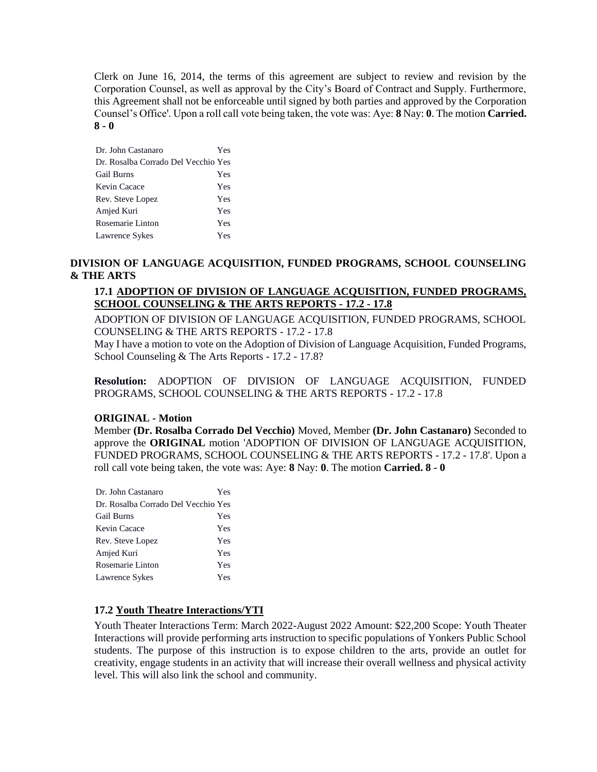Clerk on June 16, 2014, the terms of this agreement are subject to review and revision by the Corporation Counsel, as well as approval by the City's Board of Contract and Supply. Furthermore, this Agreement shall not be enforceable until signed by both parties and approved by the Corporation Counsel's Office'. Upon a roll call vote being taken, the vote was: Aye: **8** Nay: **0**. The motion **Carried. 8 - 0** 

| Dr. John Castanaro                  | Yes |
|-------------------------------------|-----|
| Dr. Rosalba Corrado Del Vecchio Yes |     |
| <b>Gail Burns</b>                   | Yes |
| Kevin Cacace                        | Yes |
| Rev. Steve Lopez                    | Yes |
| Amjed Kuri                          | Yes |
| Rosemarie Linton                    | Yes |
| Lawrence Sykes                      | Yes |

# **DIVISION OF LANGUAGE ACQUISITION, FUNDED PROGRAMS, SCHOOL COUNSELING & THE ARTS**

# **17.1 ADOPTION OF DIVISION OF LANGUAGE ACQUISITION, FUNDED PROGRAMS, SCHOOL COUNSELING & THE ARTS REPORTS - 17.2 - 17.8**

ADOPTION OF DIVISION OF LANGUAGE ACQUISITION, FUNDED PROGRAMS, SCHOOL COUNSELING & THE ARTS REPORTS - 17.2 - 17.8

May I have a motion to vote on the Adoption of Division of Language Acquisition, Funded Programs, School Counseling & The Arts Reports - 17.2 - 17.8?

**Resolution:** ADOPTION OF DIVISION OF LANGUAGE ACQUISITION, FUNDED PROGRAMS, SCHOOL COUNSELING & THE ARTS REPORTS - 17.2 - 17.8

### **ORIGINAL - Motion**

Member **(Dr. Rosalba Corrado Del Vecchio)** Moved, Member **(Dr. John Castanaro)** Seconded to approve the **ORIGINAL** motion 'ADOPTION OF DIVISION OF LANGUAGE ACQUISITION, FUNDED PROGRAMS, SCHOOL COUNSELING & THE ARTS REPORTS - 17.2 - 17.8'. Upon a roll call vote being taken, the vote was: Aye: **8** Nay: **0**. The motion **Carried. 8 - 0** 

| Dr. John Castanaro                  | Yes |
|-------------------------------------|-----|
| Dr. Rosalba Corrado Del Vecchio Yes |     |
| <b>Gail Burns</b>                   | Yes |
| Kevin Cacace                        | Yes |
| Rev. Steve Lopez                    | Yes |
| Amjed Kuri                          | Yes |
| Rosemarie Linton                    | Yes |
| Lawrence Sykes                      | Yes |

### **17.2 Youth Theatre Interactions/YTI**

Youth Theater Interactions Term: March 2022-August 2022 Amount: \$22,200 Scope: Youth Theater Interactions will provide performing arts instruction to specific populations of Yonkers Public School students. The purpose of this instruction is to expose children to the arts, provide an outlet for creativity, engage students in an activity that will increase their overall wellness and physical activity level. This will also link the school and community.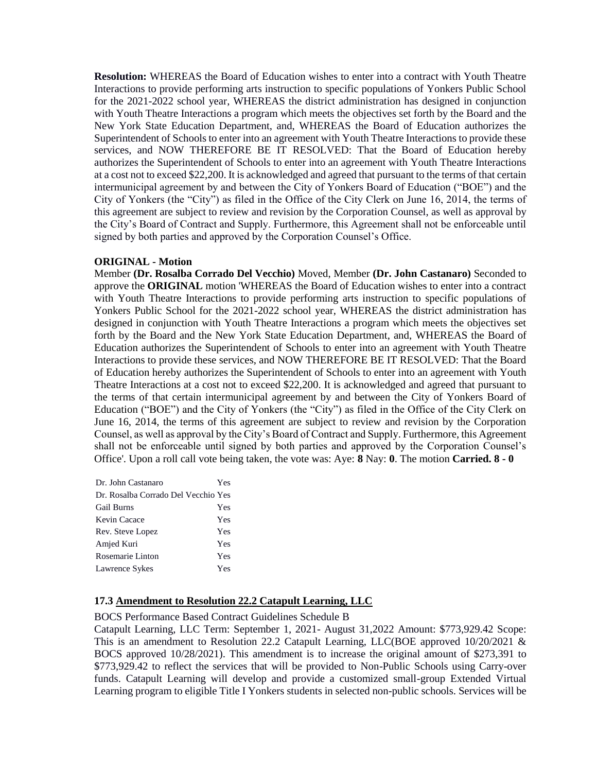**Resolution:** WHEREAS the Board of Education wishes to enter into a contract with Youth Theatre Interactions to provide performing arts instruction to specific populations of Yonkers Public School for the 2021-2022 school year, WHEREAS the district administration has designed in conjunction with Youth Theatre Interactions a program which meets the objectives set forth by the Board and the New York State Education Department, and, WHEREAS the Board of Education authorizes the Superintendent of Schools to enter into an agreement with Youth Theatre Interactions to provide these services, and NOW THEREFORE BE IT RESOLVED: That the Board of Education hereby authorizes the Superintendent of Schools to enter into an agreement with Youth Theatre Interactions at a cost not to exceed \$22,200. It is acknowledged and agreed that pursuant to the terms of that certain intermunicipal agreement by and between the City of Yonkers Board of Education ("BOE") and the City of Yonkers (the "City") as filed in the Office of the City Clerk on June 16, 2014, the terms of this agreement are subject to review and revision by the Corporation Counsel, as well as approval by the City's Board of Contract and Supply. Furthermore, this Agreement shall not be enforceable until signed by both parties and approved by the Corporation Counsel's Office.

#### **ORIGINAL - Motion**

Member **(Dr. Rosalba Corrado Del Vecchio)** Moved, Member **(Dr. John Castanaro)** Seconded to approve the **ORIGINAL** motion 'WHEREAS the Board of Education wishes to enter into a contract with Youth Theatre Interactions to provide performing arts instruction to specific populations of Yonkers Public School for the 2021-2022 school year, WHEREAS the district administration has designed in conjunction with Youth Theatre Interactions a program which meets the objectives set forth by the Board and the New York State Education Department, and, WHEREAS the Board of Education authorizes the Superintendent of Schools to enter into an agreement with Youth Theatre Interactions to provide these services, and NOW THEREFORE BE IT RESOLVED: That the Board of Education hereby authorizes the Superintendent of Schools to enter into an agreement with Youth Theatre Interactions at a cost not to exceed \$22,200. It is acknowledged and agreed that pursuant to the terms of that certain intermunicipal agreement by and between the City of Yonkers Board of Education ("BOE") and the City of Yonkers (the "City") as filed in the Office of the City Clerk on June 16, 2014, the terms of this agreement are subject to review and revision by the Corporation Counsel, as well as approval by the City's Board of Contract and Supply. Furthermore, this Agreement shall not be enforceable until signed by both parties and approved by the Corporation Counsel's Office'. Upon a roll call vote being taken, the vote was: Aye: **8** Nay: **0**. The motion **Carried. 8 - 0** 

| Dr. John Castanaro                  | Yes |
|-------------------------------------|-----|
| Dr. Rosalba Corrado Del Vecchio Yes |     |
| <b>Gail Burns</b>                   | Yes |
| Kevin Cacace                        | Yes |
| Rev. Steve Lopez                    | Yes |
| Amjed Kuri                          | Yes |
| Rosemarie Linton                    | Yes |
| Lawrence Sykes                      | Yes |

### **17.3 Amendment to Resolution 22.2 Catapult Learning, LLC**

BOCS Performance Based Contract Guidelines Schedule B

Catapult Learning, LLC Term: September 1, 2021- August 31,2022 Amount: \$773,929.42 Scope: This is an amendment to Resolution 22.2 Catapult Learning, LLC(BOE approved 10/20/2021 & BOCS approved 10/28/2021). This amendment is to increase the original amount of \$273,391 to \$773,929.42 to reflect the services that will be provided to Non-Public Schools using Carry-over funds. Catapult Learning will develop and provide a customized small-group Extended Virtual Learning program to eligible Title I Yonkers students in selected non-public schools. Services will be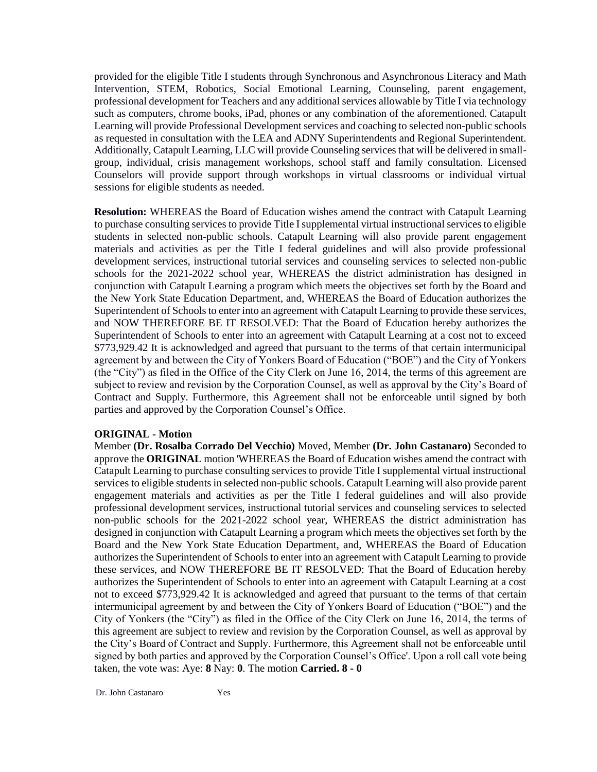provided for the eligible Title I students through Synchronous and Asynchronous Literacy and Math Intervention, STEM, Robotics, Social Emotional Learning, Counseling, parent engagement, professional development for Teachers and any additional services allowable by Title I via technology such as computers, chrome books, iPad, phones or any combination of the aforementioned. Catapult Learning will provide Professional Development services and coaching to selected non-public schools as requested in consultation with the LEA and ADNY Superintendents and Regional Superintendent. Additionally, Catapult Learning, LLC will provide Counseling services that will be delivered in smallgroup, individual, crisis management workshops, school staff and family consultation. Licensed Counselors will provide support through workshops in virtual classrooms or individual virtual sessions for eligible students as needed.

**Resolution:** WHEREAS the Board of Education wishes amend the contract with Catapult Learning to purchase consulting services to provide Title I supplemental virtual instructional services to eligible students in selected non-public schools. Catapult Learning will also provide parent engagement materials and activities as per the Title I federal guidelines and will also provide professional development services, instructional tutorial services and counseling services to selected non-public schools for the 2021-2022 school year, WHEREAS the district administration has designed in conjunction with Catapult Learning a program which meets the objectives set forth by the Board and the New York State Education Department, and, WHEREAS the Board of Education authorizes the Superintendent of Schools to enter into an agreement with Catapult Learning to provide these services, and NOW THEREFORE BE IT RESOLVED: That the Board of Education hereby authorizes the Superintendent of Schools to enter into an agreement with Catapult Learning at a cost not to exceed \$773,929.42 It is acknowledged and agreed that pursuant to the terms of that certain intermunicipal agreement by and between the City of Yonkers Board of Education ("BOE") and the City of Yonkers (the "City") as filed in the Office of the City Clerk on June 16, 2014, the terms of this agreement are subject to review and revision by the Corporation Counsel, as well as approval by the City's Board of Contract and Supply. Furthermore, this Agreement shall not be enforceable until signed by both parties and approved by the Corporation Counsel's Office.

### **ORIGINAL - Motion**

Member **(Dr. Rosalba Corrado Del Vecchio)** Moved, Member **(Dr. John Castanaro)** Seconded to approve the **ORIGINAL** motion 'WHEREAS the Board of Education wishes amend the contract with Catapult Learning to purchase consulting services to provide Title I supplemental virtual instructional services to eligible students in selected non-public schools. Catapult Learning will also provide parent engagement materials and activities as per the Title I federal guidelines and will also provide professional development services, instructional tutorial services and counseling services to selected non-public schools for the 2021-2022 school year, WHEREAS the district administration has designed in conjunction with Catapult Learning a program which meets the objectives set forth by the Board and the New York State Education Department, and, WHEREAS the Board of Education authorizes the Superintendent of Schools to enter into an agreement with Catapult Learning to provide these services, and NOW THEREFORE BE IT RESOLVED: That the Board of Education hereby authorizes the Superintendent of Schools to enter into an agreement with Catapult Learning at a cost not to exceed \$773,929.42 It is acknowledged and agreed that pursuant to the terms of that certain intermunicipal agreement by and between the City of Yonkers Board of Education ("BOE") and the City of Yonkers (the "City") as filed in the Office of the City Clerk on June 16, 2014, the terms of this agreement are subject to review and revision by the Corporation Counsel, as well as approval by the City's Board of Contract and Supply. Furthermore, this Agreement shall not be enforceable until signed by both parties and approved by the Corporation Counsel's Office'. Upon a roll call vote being taken, the vote was: Aye: **8** Nay: **0**. The motion **Carried. 8 - 0**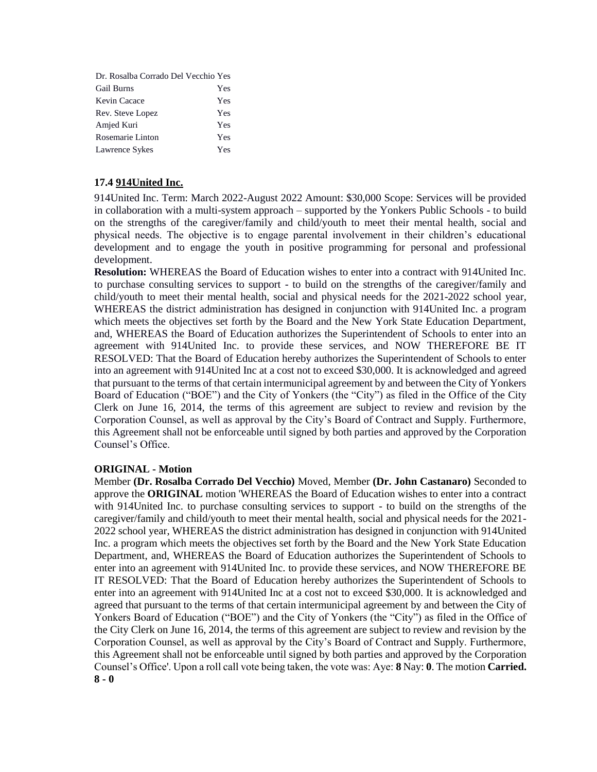| Dr. Rosalba Corrado Del Vecchio Yes |     |
|-------------------------------------|-----|
| <b>Gail Burns</b>                   | Yes |
| Kevin Cacace                        | Yes |
| Rev. Steve Lopez                    | Yes |
| Amjed Kuri                          | Yes |
| Rosemarie Linton                    | Yes |
| Lawrence Sykes                      | Yes |

# **17.4 914United Inc.**

914United Inc. Term: March 2022-August 2022 Amount: \$30,000 Scope: Services will be provided in collaboration with a multi-system approach – supported by the Yonkers Public Schools - to build on the strengths of the caregiver/family and child/youth to meet their mental health, social and physical needs. The objective is to engage parental involvement in their children's educational development and to engage the youth in positive programming for personal and professional development.

**Resolution:** WHEREAS the Board of Education wishes to enter into a contract with 914United Inc. to purchase consulting services to support - to build on the strengths of the caregiver/family and child/youth to meet their mental health, social and physical needs for the 2021-2022 school year, WHEREAS the district administration has designed in conjunction with 914United Inc. a program which meets the objectives set forth by the Board and the New York State Education Department, and, WHEREAS the Board of Education authorizes the Superintendent of Schools to enter into an agreement with 914United Inc. to provide these services, and NOW THEREFORE BE IT RESOLVED: That the Board of Education hereby authorizes the Superintendent of Schools to enter into an agreement with 914United Inc at a cost not to exceed \$30,000. It is acknowledged and agreed that pursuant to the terms of that certain intermunicipal agreement by and between the City of Yonkers Board of Education ("BOE") and the City of Yonkers (the "City") as filed in the Office of the City Clerk on June 16, 2014, the terms of this agreement are subject to review and revision by the Corporation Counsel, as well as approval by the City's Board of Contract and Supply. Furthermore, this Agreement shall not be enforceable until signed by both parties and approved by the Corporation Counsel's Office.

### **ORIGINAL - Motion**

Member **(Dr. Rosalba Corrado Del Vecchio)** Moved, Member **(Dr. John Castanaro)** Seconded to approve the **ORIGINAL** motion 'WHEREAS the Board of Education wishes to enter into a contract with 914United Inc. to purchase consulting services to support - to build on the strengths of the caregiver/family and child/youth to meet their mental health, social and physical needs for the 2021- 2022 school year, WHEREAS the district administration has designed in conjunction with 914United Inc. a program which meets the objectives set forth by the Board and the New York State Education Department, and, WHEREAS the Board of Education authorizes the Superintendent of Schools to enter into an agreement with 914United Inc. to provide these services, and NOW THEREFORE BE IT RESOLVED: That the Board of Education hereby authorizes the Superintendent of Schools to enter into an agreement with 914United Inc at a cost not to exceed \$30,000. It is acknowledged and agreed that pursuant to the terms of that certain intermunicipal agreement by and between the City of Yonkers Board of Education ("BOE") and the City of Yonkers (the "City") as filed in the Office of the City Clerk on June 16, 2014, the terms of this agreement are subject to review and revision by the Corporation Counsel, as well as approval by the City's Board of Contract and Supply. Furthermore, this Agreement shall not be enforceable until signed by both parties and approved by the Corporation Counsel's Office'. Upon a roll call vote being taken, the vote was: Aye: **8** Nay: **0**. The motion **Carried. 8 - 0**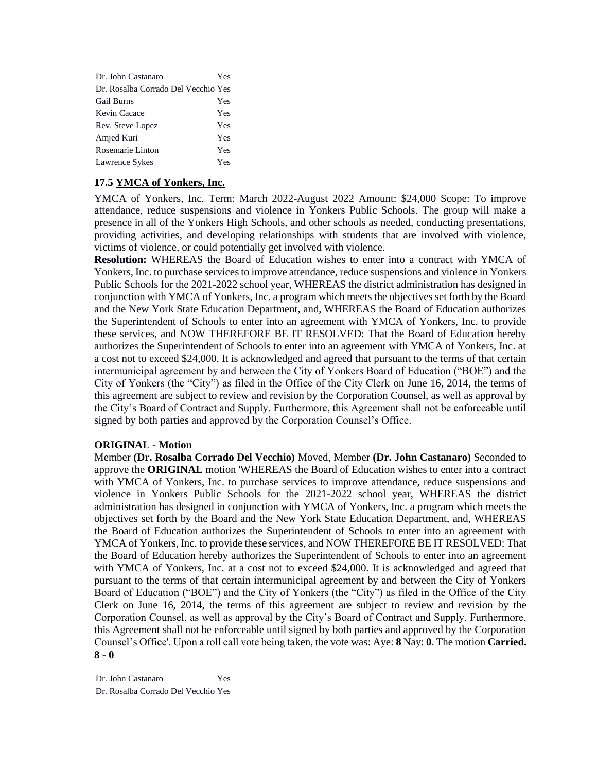| Dr. John Castanaro                  | Yes |
|-------------------------------------|-----|
| Dr. Rosalba Corrado Del Vecchio Yes |     |
| <b>Gail Burns</b>                   | Yes |
| Kevin Cacace                        | Yes |
| Rev. Steve Lopez                    | Yes |
| Amjed Kuri                          | Yes |
| Rosemarie Linton                    | Yes |
| Lawrence Sykes                      | Yes |

### **17.5 YMCA of Yonkers, Inc.**

YMCA of Yonkers, Inc. Term: March 2022-August 2022 Amount: \$24,000 Scope: To improve attendance, reduce suspensions and violence in Yonkers Public Schools. The group will make a presence in all of the Yonkers High Schools, and other schools as needed, conducting presentations, providing activities, and developing relationships with students that are involved with violence, victims of violence, or could potentially get involved with violence.

**Resolution:** WHEREAS the Board of Education wishes to enter into a contract with YMCA of Yonkers, Inc. to purchase services to improve attendance, reduce suspensions and violence in Yonkers Public Schools for the 2021-2022 school year, WHEREAS the district administration has designed in conjunction with YMCA of Yonkers, Inc. a program which meets the objectives set forth by the Board and the New York State Education Department, and, WHEREAS the Board of Education authorizes the Superintendent of Schools to enter into an agreement with YMCA of Yonkers, Inc. to provide these services, and NOW THEREFORE BE IT RESOLVED: That the Board of Education hereby authorizes the Superintendent of Schools to enter into an agreement with YMCA of Yonkers, Inc. at a cost not to exceed \$24,000. It is acknowledged and agreed that pursuant to the terms of that certain intermunicipal agreement by and between the City of Yonkers Board of Education ("BOE") and the City of Yonkers (the "City") as filed in the Office of the City Clerk on June 16, 2014, the terms of this agreement are subject to review and revision by the Corporation Counsel, as well as approval by the City's Board of Contract and Supply. Furthermore, this Agreement shall not be enforceable until signed by both parties and approved by the Corporation Counsel's Office.

### **ORIGINAL - Motion**

Member **(Dr. Rosalba Corrado Del Vecchio)** Moved, Member **(Dr. John Castanaro)** Seconded to approve the **ORIGINAL** motion 'WHEREAS the Board of Education wishes to enter into a contract with YMCA of Yonkers, Inc. to purchase services to improve attendance, reduce suspensions and violence in Yonkers Public Schools for the 2021-2022 school year, WHEREAS the district administration has designed in conjunction with YMCA of Yonkers, Inc. a program which meets the objectives set forth by the Board and the New York State Education Department, and, WHEREAS the Board of Education authorizes the Superintendent of Schools to enter into an agreement with YMCA of Yonkers, Inc. to provide these services, and NOW THEREFORE BE IT RESOLVED: That the Board of Education hereby authorizes the Superintendent of Schools to enter into an agreement with YMCA of Yonkers, Inc. at a cost not to exceed \$24,000. It is acknowledged and agreed that pursuant to the terms of that certain intermunicipal agreement by and between the City of Yonkers Board of Education ("BOE") and the City of Yonkers (the "City") as filed in the Office of the City Clerk on June 16, 2014, the terms of this agreement are subject to review and revision by the Corporation Counsel, as well as approval by the City's Board of Contract and Supply. Furthermore, this Agreement shall not be enforceable until signed by both parties and approved by the Corporation Counsel's Office'. Upon a roll call vote being taken, the vote was: Aye: **8** Nay: **0**. The motion **Carried. 8 - 0** 

Dr. John Castanaro Yes Dr. Rosalba Corrado Del Vecchio Yes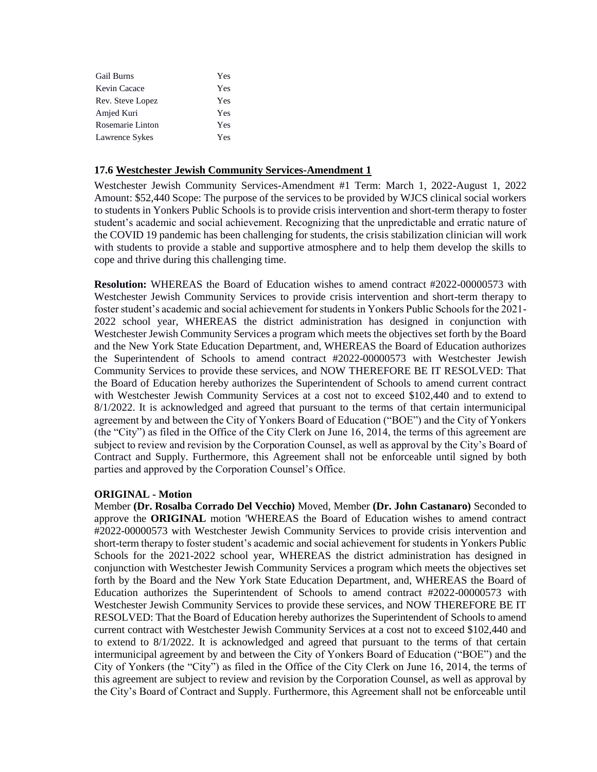| <b>Gail Burns</b> | Yes |
|-------------------|-----|
| Kevin Cacace      | Yes |
| Rev. Steve Lopez  | Yes |
| Amjed Kuri        | Yes |
| Rosemarie Linton  | Yes |
| Lawrence Sykes    | Yes |

### **17.6 Westchester Jewish Community Services-Amendment 1**

Westchester Jewish Community Services-Amendment #1 Term: March 1, 2022-August 1, 2022 Amount: \$52,440 Scope: The purpose of the services to be provided by WJCS clinical social workers to students in Yonkers Public Schools is to provide crisis intervention and short-term therapy to foster student's academic and social achievement. Recognizing that the unpredictable and erratic nature of the COVID 19 pandemic has been challenging for students, the crisis stabilization clinician will work with students to provide a stable and supportive atmosphere and to help them develop the skills to cope and thrive during this challenging time.

**Resolution:** WHEREAS the Board of Education wishes to amend contract #2022-00000573 with Westchester Jewish Community Services to provide crisis intervention and short-term therapy to foster student's academic and social achievement for students in Yonkers Public Schools for the 2021- 2022 school year, WHEREAS the district administration has designed in conjunction with Westchester Jewish Community Services a program which meets the objectives set forth by the Board and the New York State Education Department, and, WHEREAS the Board of Education authorizes the Superintendent of Schools to amend contract #2022-00000573 with Westchester Jewish Community Services to provide these services, and NOW THEREFORE BE IT RESOLVED: That the Board of Education hereby authorizes the Superintendent of Schools to amend current contract with Westchester Jewish Community Services at a cost not to exceed \$102,440 and to extend to 8/1/2022. It is acknowledged and agreed that pursuant to the terms of that certain intermunicipal agreement by and between the City of Yonkers Board of Education ("BOE") and the City of Yonkers (the "City") as filed in the Office of the City Clerk on June 16, 2014, the terms of this agreement are subject to review and revision by the Corporation Counsel, as well as approval by the City's Board of Contract and Supply. Furthermore, this Agreement shall not be enforceable until signed by both parties and approved by the Corporation Counsel's Office.

#### **ORIGINAL - Motion**

Member **(Dr. Rosalba Corrado Del Vecchio)** Moved, Member **(Dr. John Castanaro)** Seconded to approve the **ORIGINAL** motion 'WHEREAS the Board of Education wishes to amend contract #2022-00000573 with Westchester Jewish Community Services to provide crisis intervention and short-term therapy to foster student's academic and social achievement for students in Yonkers Public Schools for the 2021-2022 school year, WHEREAS the district administration has designed in conjunction with Westchester Jewish Community Services a program which meets the objectives set forth by the Board and the New York State Education Department, and, WHEREAS the Board of Education authorizes the Superintendent of Schools to amend contract #2022-00000573 with Westchester Jewish Community Services to provide these services, and NOW THEREFORE BE IT RESOLVED: That the Board of Education hereby authorizes the Superintendent of Schools to amend current contract with Westchester Jewish Community Services at a cost not to exceed \$102,440 and to extend to 8/1/2022. It is acknowledged and agreed that pursuant to the terms of that certain intermunicipal agreement by and between the City of Yonkers Board of Education ("BOE") and the City of Yonkers (the "City") as filed in the Office of the City Clerk on June 16, 2014, the terms of this agreement are subject to review and revision by the Corporation Counsel, as well as approval by the City's Board of Contract and Supply. Furthermore, this Agreement shall not be enforceable until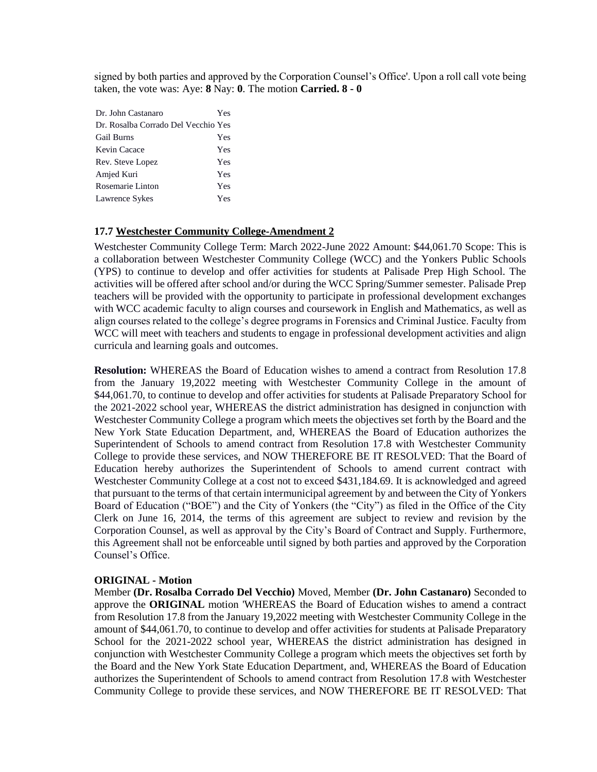signed by both parties and approved by the Corporation Counsel's Office'. Upon a roll call vote being taken, the vote was: Aye: **8** Nay: **0**. The motion **Carried. 8 - 0** 

| Dr. John Castanaro                  | Yes |
|-------------------------------------|-----|
| Dr. Rosalba Corrado Del Vecchio Yes |     |
| <b>Gail Burns</b>                   | Yes |
| Kevin Cacace                        | Yes |
| Rev. Steve Lopez                    | Yes |
| Amjed Kuri                          | Yes |
| Rosemarie Linton                    | Yes |
| Lawrence Sykes                      | Yes |

#### **17.7 Westchester Community College-Amendment 2**

Westchester Community College Term: March 2022-June 2022 Amount: \$44,061.70 Scope: This is a collaboration between Westchester Community College (WCC) and the Yonkers Public Schools (YPS) to continue to develop and offer activities for students at Palisade Prep High School. The activities will be offered after school and/or during the WCC Spring/Summer semester. Palisade Prep teachers will be provided with the opportunity to participate in professional development exchanges with WCC academic faculty to align courses and coursework in English and Mathematics, as well as align courses related to the college's degree programs in Forensics and Criminal Justice. Faculty from WCC will meet with teachers and students to engage in professional development activities and align curricula and learning goals and outcomes.

**Resolution:** WHEREAS the Board of Education wishes to amend a contract from Resolution 17.8 from the January 19,2022 meeting with Westchester Community College in the amount of \$44,061.70, to continue to develop and offer activities for students at Palisade Preparatory School for the 2021-2022 school year, WHEREAS the district administration has designed in conjunction with Westchester Community College a program which meets the objectives set forth by the Board and the New York State Education Department, and, WHEREAS the Board of Education authorizes the Superintendent of Schools to amend contract from Resolution 17.8 with Westchester Community College to provide these services, and NOW THEREFORE BE IT RESOLVED: That the Board of Education hereby authorizes the Superintendent of Schools to amend current contract with Westchester Community College at a cost not to exceed \$431,184.69. It is acknowledged and agreed that pursuant to the terms of that certain intermunicipal agreement by and between the City of Yonkers Board of Education ("BOE") and the City of Yonkers (the "City") as filed in the Office of the City Clerk on June 16, 2014, the terms of this agreement are subject to review and revision by the Corporation Counsel, as well as approval by the City's Board of Contract and Supply. Furthermore, this Agreement shall not be enforceable until signed by both parties and approved by the Corporation Counsel's Office.

#### **ORIGINAL - Motion**

Member **(Dr. Rosalba Corrado Del Vecchio)** Moved, Member **(Dr. John Castanaro)** Seconded to approve the **ORIGINAL** motion 'WHEREAS the Board of Education wishes to amend a contract from Resolution 17.8 from the January 19,2022 meeting with Westchester Community College in the amount of \$44,061.70, to continue to develop and offer activities for students at Palisade Preparatory School for the 2021-2022 school year, WHEREAS the district administration has designed in conjunction with Westchester Community College a program which meets the objectives set forth by the Board and the New York State Education Department, and, WHEREAS the Board of Education authorizes the Superintendent of Schools to amend contract from Resolution 17.8 with Westchester Community College to provide these services, and NOW THEREFORE BE IT RESOLVED: That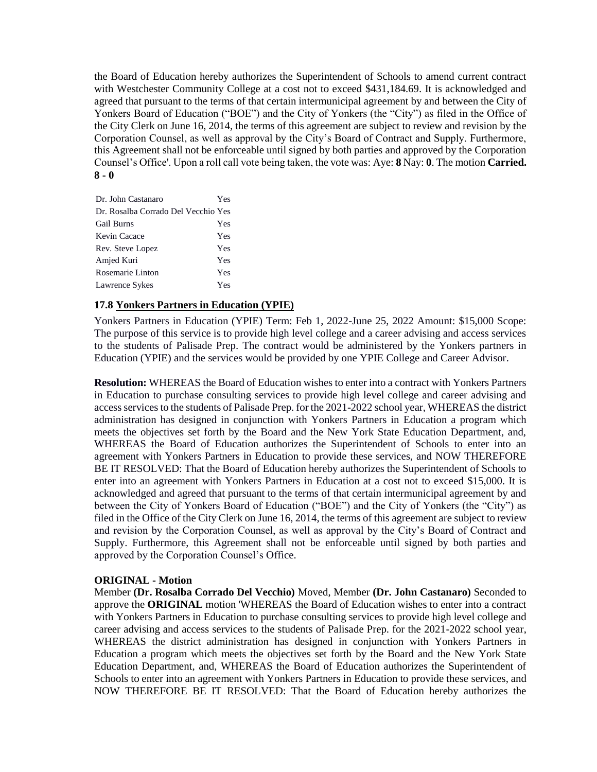the Board of Education hereby authorizes the Superintendent of Schools to amend current contract with Westchester Community College at a cost not to exceed \$431,184.69. It is acknowledged and agreed that pursuant to the terms of that certain intermunicipal agreement by and between the City of Yonkers Board of Education ("BOE") and the City of Yonkers (the "City") as filed in the Office of the City Clerk on June 16, 2014, the terms of this agreement are subject to review and revision by the Corporation Counsel, as well as approval by the City's Board of Contract and Supply. Furthermore, this Agreement shall not be enforceable until signed by both parties and approved by the Corporation Counsel's Office'. Upon a roll call vote being taken, the vote was: Aye: **8** Nay: **0**. The motion **Carried. 8 - 0** 

| Dr. John Castanaro                  | Yes |
|-------------------------------------|-----|
| Dr. Rosalba Corrado Del Vecchio Yes |     |
| <b>Gail Burns</b>                   | Yes |
| Kevin Cacace                        | Yes |
| Rev. Steve Lopez                    | Yes |
| Amjed Kuri                          | Yes |
| Rosemarie Linton                    | Yes |
| Lawrence Sykes                      | Yes |

# **17.8 Yonkers Partners in Education (YPIE)**

Yonkers Partners in Education (YPIE) Term: Feb 1, 2022-June 25, 2022 Amount: \$15,000 Scope: The purpose of this service is to provide high level college and a career advising and access services to the students of Palisade Prep. The contract would be administered by the Yonkers partners in Education (YPIE) and the services would be provided by one YPIE College and Career Advisor.

**Resolution:** WHEREAS the Board of Education wishes to enter into a contract with Yonkers Partners in Education to purchase consulting services to provide high level college and career advising and access services to the students of Palisade Prep. for the 2021-2022 school year, WHEREAS the district administration has designed in conjunction with Yonkers Partners in Education a program which meets the objectives set forth by the Board and the New York State Education Department, and, WHEREAS the Board of Education authorizes the Superintendent of Schools to enter into an agreement with Yonkers Partners in Education to provide these services, and NOW THEREFORE BE IT RESOLVED: That the Board of Education hereby authorizes the Superintendent of Schools to enter into an agreement with Yonkers Partners in Education at a cost not to exceed \$15,000. It is acknowledged and agreed that pursuant to the terms of that certain intermunicipal agreement by and between the City of Yonkers Board of Education ("BOE") and the City of Yonkers (the "City") as filed in the Office of the City Clerk on June 16, 2014, the terms of this agreement are subject to review and revision by the Corporation Counsel, as well as approval by the City's Board of Contract and Supply. Furthermore, this Agreement shall not be enforceable until signed by both parties and approved by the Corporation Counsel's Office.

### **ORIGINAL - Motion**

Member **(Dr. Rosalba Corrado Del Vecchio)** Moved, Member **(Dr. John Castanaro)** Seconded to approve the **ORIGINAL** motion 'WHEREAS the Board of Education wishes to enter into a contract with Yonkers Partners in Education to purchase consulting services to provide high level college and career advising and access services to the students of Palisade Prep. for the 2021-2022 school year, WHEREAS the district administration has designed in conjunction with Yonkers Partners in Education a program which meets the objectives set forth by the Board and the New York State Education Department, and, WHEREAS the Board of Education authorizes the Superintendent of Schools to enter into an agreement with Yonkers Partners in Education to provide these services, and NOW THEREFORE BE IT RESOLVED: That the Board of Education hereby authorizes the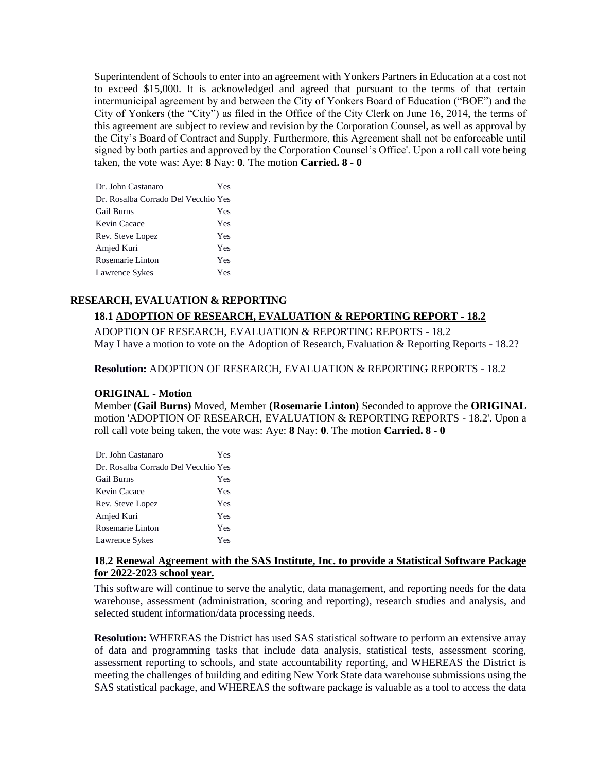Superintendent of Schools to enter into an agreement with Yonkers Partners in Education at a cost not to exceed \$15,000. It is acknowledged and agreed that pursuant to the terms of that certain intermunicipal agreement by and between the City of Yonkers Board of Education ("BOE") and the City of Yonkers (the "City") as filed in the Office of the City Clerk on June 16, 2014, the terms of this agreement are subject to review and revision by the Corporation Counsel, as well as approval by the City's Board of Contract and Supply. Furthermore, this Agreement shall not be enforceable until signed by both parties and approved by the Corporation Counsel's Office'. Upon a roll call vote being taken, the vote was: Aye: **8** Nay: **0**. The motion **Carried. 8 - 0** 

| Dr. John Castanaro                  | Yes |
|-------------------------------------|-----|
| Dr. Rosalba Corrado Del Vecchio Yes |     |
| <b>Gail Burns</b>                   | Yes |
| Kevin Cacace                        | Yes |
| Rev. Steve Lopez                    | Yes |
| Amjed Kuri                          | Yes |
| Rosemarie Linton                    | Yes |
| Lawrence Sykes                      | Yes |

# **RESEARCH, EVALUATION & REPORTING**

# **18.1 ADOPTION OF RESEARCH, EVALUATION & REPORTING REPORT - 18.2**

ADOPTION OF RESEARCH, EVALUATION & REPORTING REPORTS - 18.2 May I have a motion to vote on the Adoption of Research, Evaluation & Reporting Reports - 18.2?

**Resolution:** ADOPTION OF RESEARCH, EVALUATION & REPORTING REPORTS - 18.2

### **ORIGINAL - Motion**

Member **(Gail Burns)** Moved, Member **(Rosemarie Linton)** Seconded to approve the **ORIGINAL**  motion 'ADOPTION OF RESEARCH, EVALUATION & REPORTING REPORTS - 18.2'. Upon a roll call vote being taken, the vote was: Aye: **8** Nay: **0**. The motion **Carried. 8 - 0** 

| Dr. John Castanaro                  | Yes |
|-------------------------------------|-----|
| Dr. Rosalba Corrado Del Vecchio Yes |     |
| <b>Gail Burns</b>                   | Yes |
| Kevin Cacace                        | Yes |
| Rev. Steve Lopez                    | Yes |
| Amjed Kuri                          | Yes |
| Rosemarie Linton                    | Yes |
| Lawrence Sykes                      | Yes |

#### **18.2 Renewal Agreement with the SAS Institute, Inc. to provide a Statistical Software Package for 2022-2023 school year.**

This software will continue to serve the analytic, data management, and reporting needs for the data warehouse, assessment (administration, scoring and reporting), research studies and analysis, and selected student information/data processing needs.

**Resolution:** WHEREAS the District has used SAS statistical software to perform an extensive array of data and programming tasks that include data analysis, statistical tests, assessment scoring, assessment reporting to schools, and state accountability reporting, and WHEREAS the District is meeting the challenges of building and editing New York State data warehouse submissions using the SAS statistical package, and WHEREAS the software package is valuable as a tool to access the data